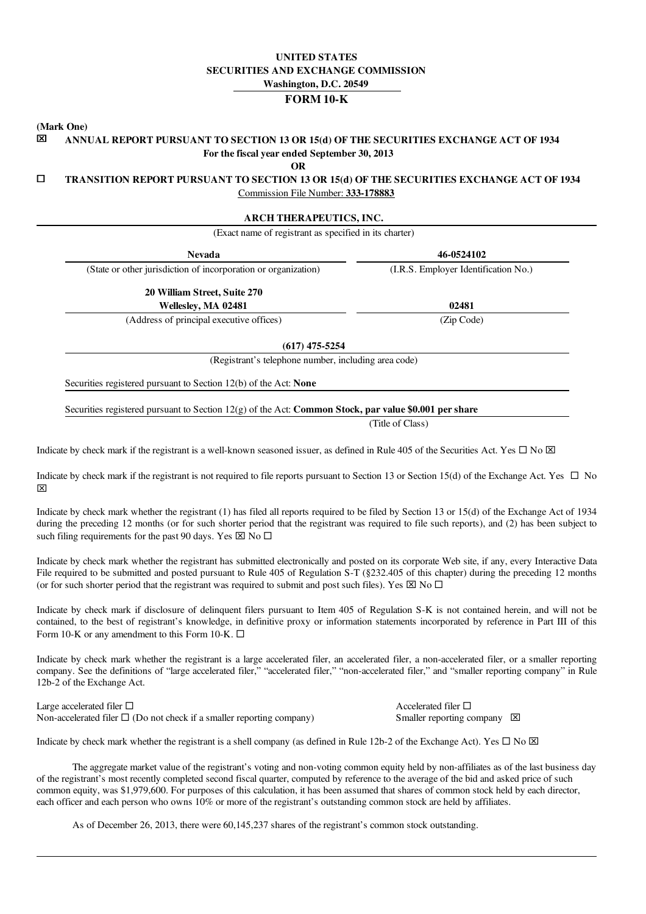# UNITED STATES SECURITIES AND EXCHANGE COMMISSION Washington, D.C. 20549

# FORM 10-K

(Mark One)

# x ANNUAL REPORT PURSUANT TO SECTION 13 OR 15(d) OF THE SECURITIES EXCHANGE ACT OF 1934 For the fiscal year ended September 30, 2013

OR

# □ TRANSITION REPORT PURSUANT TO SECTION 13 OR 15(d) OF THE SECURITIES EXCHANGE ACT OF 1934 Commission File Number: 333-178883

ARCH THERAPEUTICS, INC.

| <b>Nevada</b>                                                  | 46-0524102                           |  |  |
|----------------------------------------------------------------|--------------------------------------|--|--|
| (State or other jurisdiction of incorporation or organization) | (I.R.S. Employer Identification No.) |  |  |
| 20 William Street, Suite 270                                   |                                      |  |  |
| Wellesley, MA 02481                                            | 02481                                |  |  |
| (Address of principal executive offices)                       | (Zip Code)                           |  |  |
| $(617)$ 475-5254                                               |                                      |  |  |
| (Registrant's telephone number, including area code)           |                                      |  |  |

Securities registered pursuant to Section  $12(g)$  of the Act: **Common Stock, par value \$0.001 per share** 

(Title of Class)

Indicate by check mark if the registrant is a well-known seasoned issuer, as defined in Rule 405 of the Securities Act. Yes  $\Box$  No  $\boxtimes$ 

Indicate by check mark if the registrant is not required to file reports pursuant to Section 13 or Section 15(d) of the Exchange Act. Yes  $\Box$  No x

Indicate by check mark whether the registrant (1) has filed all reports required to be filed by Section 13 or 15(d) of the Exchange Act of 1934 during the preceding 12 months (or for such shorter period that the registrant was required to file such reports), and (2) has been subject to such filing requirements for the past 90 days. Yes  $\boxtimes$  No  $\Box$ 

Indicate by check mark whether the registrant has submitted electronically and posted on its corporate Web site, if any, every Interactive Data File required to be submitted and posted pursuant to Rule 405 of Regulation S-T (§232.405 of this chapter) during the preceding 12 months (or for such shorter period that the registrant was required to submit and post such files). Yes  $\boxtimes$  No  $\square$ 

Indicate by check mark if disclosure of delinquent filers pursuant to Item 405 of Regulation S-K is not contained herein, and will not be contained, to the best of registrant's knowledge, in definitive proxy or information statements incorporated by reference in Part III of this Form 10-K or any amendment to this Form 10-K.  $\Box$ 

Indicate by check mark whether the registrant is a large accelerated filer, an accelerated filer, a non-accelerated filer, or a smaller reporting company. See the definitions of "large accelerated filer," "accelerated filer," "non-accelerated filer," and "smaller reporting company" in Rule 12b-2 of the Exchange Act.

Large accelerated filer  $\square$ Non-accelerated filer  $\square$  (Do not check if a smaller reporting company) Smaller reporting company  $\square$ 

Indicate by check mark whether the registrant is a shell company (as defined in Rule 12b-2 of the Exchange Act). Yes  $\Box$  No  $\boxtimes$ 

The aggregate market value of the registrant's voting and non-voting common equity held by non-affiliates as of the last business day of the registrant's most recently completed second fiscal quarter, computed by reference to the average of the bid and asked price of such common equity, was \$1,979,600. For purposes of this calculation, it has been assumed that shares of common stock held by each director, each officer and each person who owns 10% or more of the registrant's outstanding common stock are held by affiliates.

As of December 26, 2013, there were 60,145,237 shares of the registrant's common stock outstanding.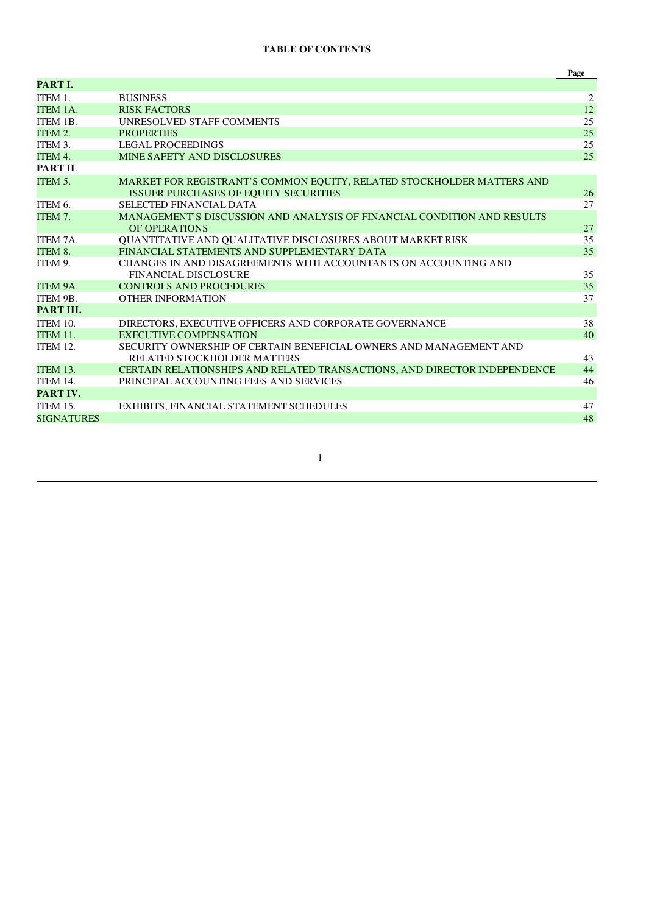# TABLE OF CONTENTS

|                   |                                                                                          | Page |
|-------------------|------------------------------------------------------------------------------------------|------|
| PART I.           |                                                                                          |      |
| ITEM 1.           | <b>BUSINESS</b>                                                                          | 2    |
| <b>ITEM 1A.</b>   | <b>RISK FACTORS</b>                                                                      | 12   |
| ITEM 1B.          | UNRESOLVED STAFF COMMENTS                                                                | 25   |
| ITEM 2.           | <b>PROPERTIES</b>                                                                        | 25   |
| ITEM 3.           | <b>LEGAL PROCEEDINGS</b>                                                                 | 25   |
| ITEM 4.           | <b>MINE SAFETY AND DISCLOSURES</b>                                                       | 25   |
| PART II.          |                                                                                          |      |
| ITEM 5.           | MARKET FOR REGISTRANT'S COMMON EQUITY, RELATED STOCKHOLDER MATTERS AND                   |      |
|                   | <b>ISSUER PURCHASES OF EQUITY SECURITIES</b>                                             | 26   |
| ITEM 6.           | <b>SELECTED FINANCIAL DATA</b>                                                           | 27   |
| ITEM 7.           | MANAGEMENT'S DISCUSSION AND ANALYSIS OF FINANCIAL CONDITION AND RESULTS<br>OF OPERATIONS | 27   |
| ITEM 7A.          | QUANTITATIVE AND QUALITATIVE DISCLOSURES ABOUT MARKET RISK                               | 35   |
| ITEM 8.           | FINANCIAL STATEMENTS AND SUPPLEMENTARY DATA                                              | 35   |
| ITEM 9.           | CHANGES IN AND DISAGREEMENTS WITH ACCOUNTANTS ON ACCOUNTING AND                          |      |
|                   | <b>FINANCIAL DISCLOSURE</b>                                                              | 35   |
| ITEM 9A.          | CONTROLS AND PROCEDURES                                                                  | 35   |
| ITEM 9B.          | <b>OTHER INFORMATION</b>                                                                 | 37   |
| PART III.         |                                                                                          |      |
| ITEM 10.          | DIRECTORS, EXECUTIVE OFFICERS AND CORPORATE GOVERNANCE                                   | 38   |
| <b>ITEM 11.</b>   | <b>EXECUTIVE COMPENSATION</b>                                                            | 40   |
| <b>ITEM 12.</b>   | SECURITY OWNERSHIP OF CERTAIN BENEFICIAL OWNERS AND MANAGEMENT AND                       |      |
|                   | RELATED STOCKHOLDER MATTERS                                                              | 43   |
| <b>ITEM 13.</b>   | CERTAIN RELATIONSHIPS AND RELATED TRANSACTIONS, AND DIRECTOR INDEPENDENCE                | 44   |
| ITEM 14.          | PRINCIPAL ACCOUNTING FEES AND SERVICES                                                   | 46   |
| PART IV.          |                                                                                          |      |
| <b>ITEM 15.</b>   | EXHIBITS, FINANCIAL STATEMENT SCHEDULES                                                  | 47   |
| <b>SIGNATURES</b> |                                                                                          | 48   |

1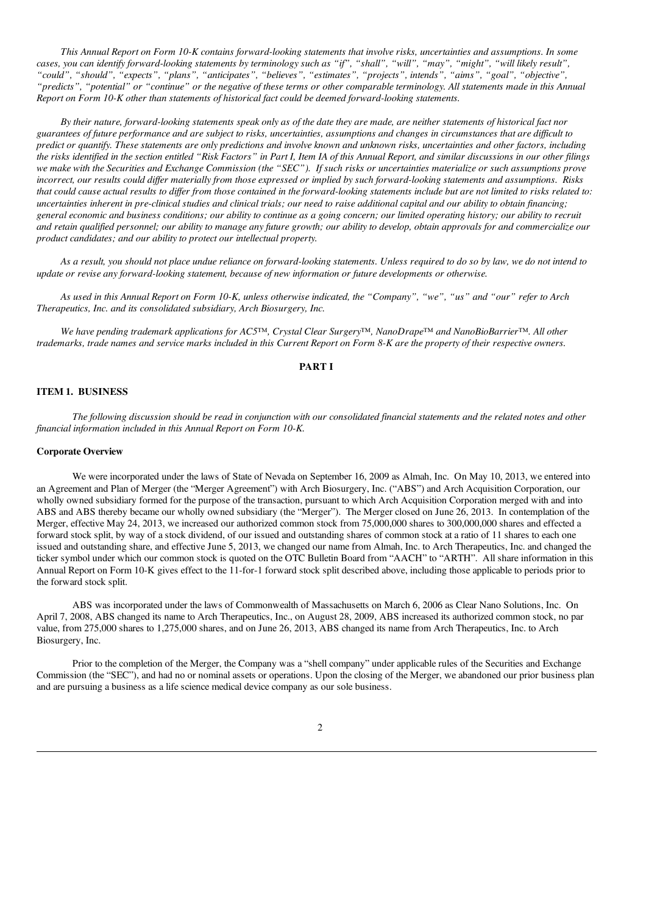This Annual Report on Form 10-K contains forward-looking statements that involve risks, uncertainties and assumptions. In some cases, you can identify forward-looking statements by terminology such as "if", "shall", "will", "may", "might", "will likely result", *"could", "should", "expects", "plans", "anticipates", "believes", "estimates", "projects", intends", "aims", "goal", "objective",* "predicts", "potential" or "continue" or the negative of these terms or other comparable terminology. All statements made in this Annual *Report on Form 10-K other than statements of historical fact could be deemed forward-looking statements.*

By their nature, forward-looking statements speak only as of the date they are made, are neither statements of historical fact nor guarantees of future performance and are subject to risks, uncertainties, assumptions and changes in circumstances that are difficult to predict or quantify. These statements are only predictions and involve known and unknown risks, uncertainties and other factors, including the risks identified in the section entitled "Risk Factors" in Part I, Item IA of this Annual Report, and similar discussions in our other filings we make with the Securities and Exchange Commission (the "SEC"). If such risks or uncertainties materialize or such assumptions prove incorrect, our results could differ materially from those expressed or implied by such forward-looking statements and assumptions. Risks that could cause actual results to differ from those contained in the forward-looking statements include but are not limited to risks related to: uncertainties inherent in pre-clinical studies and clinical trials; our need to raise additional capital and our ability to obtain financing; general economic and business conditions; our ability to continue as a going concern; our limited operating history; our ability to recruit and retain qualified personnel; our ability to manage any future growth; our ability to develop, obtain approvals for and commercialize our *product candidates; and our ability to protect our intellectual property.*

As a result, you should not place undue reliance on forward-looking statements. Unless required to do so by law, we do not intend to *update or revise any forward-looking statement, because of new information or future developments or otherwise.*

As used in this Annual Report on Form 10-K, unless otherwise indicated, the "Company", "we", "us" and "our" refer to Arch *Therapeutics, Inc. and its consolidated subsidiary, Arch Biosurgery, Inc.*

*We have pending trademark applications for AC5™, Crystal Clear Surgery™, NanoDrape™ and NanoBioBarrier™. All other* trademarks, trade names and service marks included in this Current Report on Form 8-K are the property of their respective owners.

# PART I

# ITEM 1. BUSINESS

The following discussion should be read in conjunction with our consolidated financial statements and the related notes and other *financial information included in this Annual Report on Form 10-K.*

#### Corporate Overview

We were incorporated under the laws of State of Nevada on September 16, 2009 as Almah, Inc. On May 10, 2013, we entered into an Agreement and Plan of Merger (the "Merger Agreement") with Arch Biosurgery, Inc. ("ABS") and Arch Acquisition Corporation, our wholly owned subsidiary formed for the purpose of the transaction, pursuant to which Arch Acquisition Corporation merged with and into ABS and ABS thereby became our wholly owned subsidiary (the "Merger"). The Merger closed on June 26, 2013. In contemplation of the Merger, effective May 24, 2013, we increased our authorized common stock from 75,000,000 shares to 300,000,000 shares and effected a forward stock split, by way of a stock dividend, of our issued and outstanding shares of common stock at a ratio of 11 shares to each one issued and outstanding share, and effective June 5, 2013, we changed our name from Almah, Inc. to Arch Therapeutics, Inc. and changed the ticker symbol under which our common stock is quoted on the OTC Bulletin Board from "AACH" to "ARTH". All share information in this Annual Report on Form 10-K gives effect to the 11-for-1 forward stock split described above, including those applicable to periods prior to the forward stock split.

ABS was incorporated under the laws of Commonwealth of Massachusetts on March 6, 2006 as Clear Nano Solutions, Inc. On April 7, 2008, ABS changed its name to Arch Therapeutics, Inc., on August 28, 2009, ABS increased its authorized common stock, no par value, from 275,000 shares to 1,275,000 shares, and on June 26, 2013, ABS changed its name from Arch Therapeutics, Inc. to Arch Biosurgery, Inc.

Prior to the completion of the Merger, the Company was a "shell company" under applicable rules of the Securities and Exchange Commission (the "SEC"), and had no or nominal assets or operations. Upon the closing of the Merger, we abandoned our prior business plan and are pursuing a business as a life science medical device company as our sole business.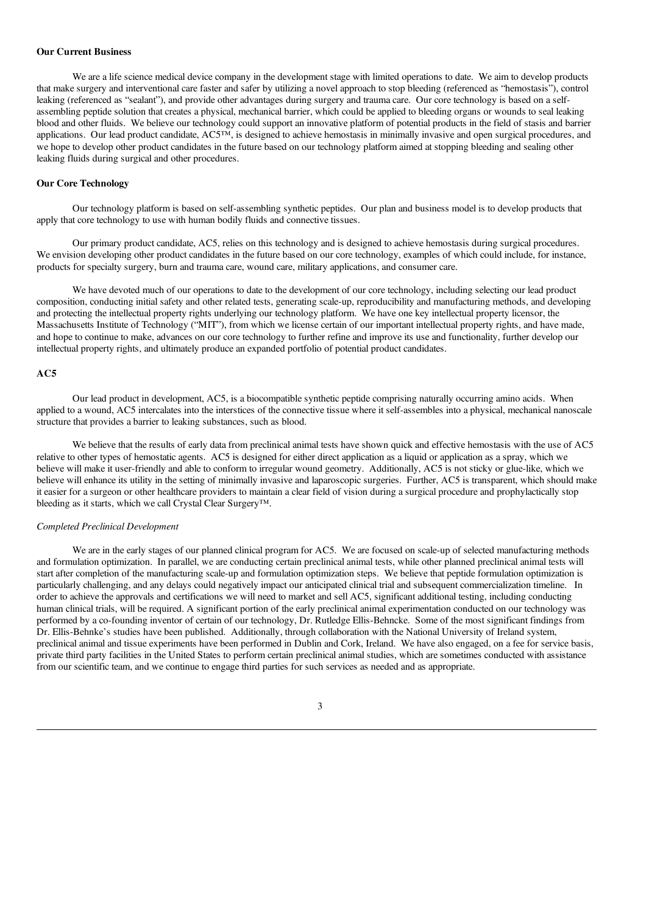#### Our Current Business

We are a life science medical device company in the development stage with limited operations to date. We aim to develop products that make surgery and interventional care faster and safer by utilizing a novel approach to stop bleeding (referenced as "hemostasis"), control leaking (referenced as "sealant"), and provide other advantages during surgery and trauma care. Our core technology is based on a selfassembling peptide solution that creates a physical, mechanical barrier, which could be applied to bleeding organs or wounds to seal leaking blood and other fluids. We believe our technology could support an innovative platform of potential products in the field of stasis and barrier applications. Our lead product candidate, AC5™, is designed to achieve hemostasis in minimally invasive and open surgical procedures, and we hope to develop other product candidates in the future based on our technology platform aimed at stopping bleeding and sealing other leaking fluids during surgical and other procedures.

## Our Core Technology

Our technology platform is based on self-assembling synthetic peptides. Our plan and business model is to develop products that apply that core technology to use with human bodily fluids and connective tissues.

Our primary product candidate, AC5, relies on this technology and is designed to achieve hemostasis during surgical procedures. We envision developing other product candidates in the future based on our core technology, examples of which could include, for instance, products for specialty surgery, burn and trauma care, wound care, military applications, and consumer care.

We have devoted much of our operations to date to the development of our core technology, including selecting our lead product composition, conducting initial safety and other related tests, generating scale-up, reproducibility and manufacturing methods, and developing and protecting the intellectual property rights underlying our technology platform. We have one key intellectual property licensor, the Massachusetts Institute of Technology ("MIT"), from which we license certain of our important intellectual property rights, and have made, and hope to continue to make, advances on our core technology to further refine and improve its use and functionality, further develop our intellectual property rights, and ultimately produce an expanded portfolio of potential product candidates.

## AC5

Our lead product in development, AC5, is a biocompatible synthetic peptide comprising naturally occurring amino acids. When applied to a wound, AC5 intercalates into the interstices of the connective tissue where it self-assembles into a physical, mechanical nanoscale structure that provides a barrier to leaking substances, such as blood.

We believe that the results of early data from preclinical animal tests have shown quick and effective hemostasis with the use of AC5 relative to other types of hemostatic agents. AC5 is designed for either direct application as a liquid or application as a spray, which we believe will make it user-friendly and able to conform to irregular wound geometry. Additionally, AC5 is not sticky or glue-like, which we believe will enhance its utility in the setting of minimally invasive and laparoscopic surgeries. Further, AC5 is transparent, which should make it easier for a surgeon or other healthcare providers to maintain a clear field of vision during a surgical procedure and prophylactically stop bleeding as it starts, which we call Crystal Clear Surgery™.

### *Completed Preclinical Development*

We are in the early stages of our planned clinical program for AC5. We are focused on scale-up of selected manufacturing methods and formulation optimization. In parallel, we are conducting certain preclinical animal tests, while other planned preclinical animal tests will start after completion of the manufacturing scale-up and formulation optimization steps. We believe that peptide formulation optimization is particularly challenging, and any delays could negatively impact our anticipated clinical trial and subsequent commercialization timeline. In order to achieve the approvals and certifications we will need to market and sell AC5, significant additional testing, including conducting human clinical trials, will be required. A significant portion of the early preclinical animal experimentation conducted on our technology was performed by a co-founding inventor of certain of our technology, Dr. Rutledge Ellis-Behncke. Some of the most significant findings from Dr. Ellis-Behnke's studies have been published. Additionally, through collaboration with the National University of Ireland system, preclinical animal and tissue experiments have been performed in Dublin and Cork, Ireland. We have also engaged, on a fee for service basis, private third party facilities in the United States to perform certain preclinical animal studies, which are sometimes conducted with assistance from our scientific team, and we continue to engage third parties for such services as needed and as appropriate.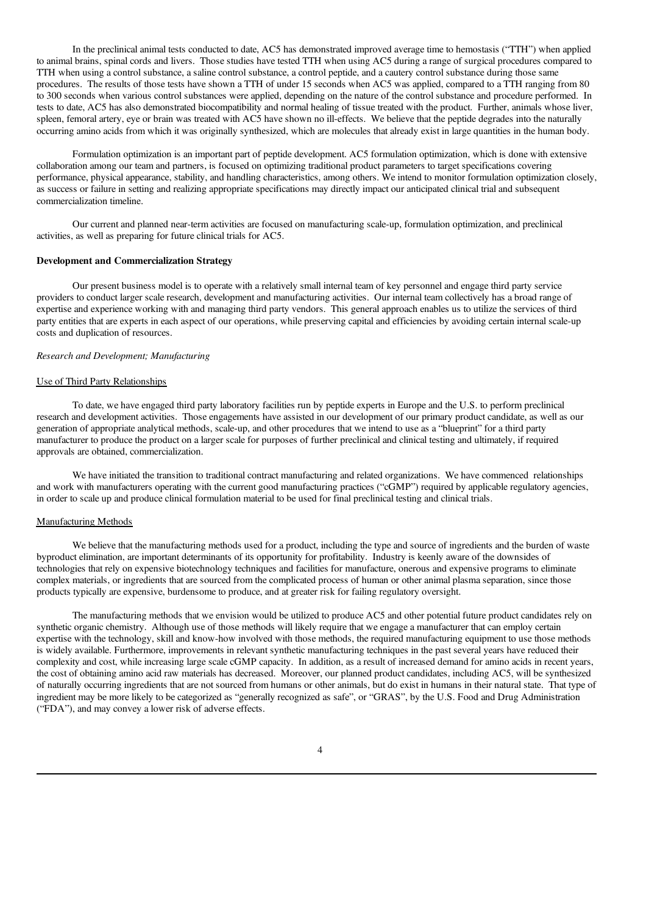In the preclinical animal tests conducted to date, AC5 has demonstrated improved average time to hemostasis ("TTH") when applied to animal brains, spinal cords and livers. Those studies have tested TTH when using AC5 during a range of surgical procedures compared to TTH when using a control substance, a saline control substance, a control peptide, and a cautery control substance during those same procedures. The results of those tests have shown a TTH of under 15 seconds when AC5 was applied, compared to a TTH ranging from 80 to 300 seconds when various control substances were applied, depending on the nature of the control substance and procedure performed. In tests to date, AC5 has also demonstrated biocompatibility and normal healing of tissue treated with the product. Further, animals whose liver, spleen, femoral artery, eye or brain was treated with AC5 have shown no ill-effects. We believe that the peptide degrades into the naturally occurring amino acids from which it was originally synthesized, which are molecules that already exist in large quantities in the human body.

Formulation optimization is an important part of peptide development. AC5 formulation optimization, which is done with extensive collaboration among our team and partners, is focused on optimizing traditional product parameters to target specifications covering performance, physical appearance, stability, and handling characteristics, among others. We intend to monitor formulation optimization closely, as success or failure in setting and realizing appropriate specifications may directly impact our anticipated clinical trial and subsequent commercialization timeline.

Our current and planned near-term activities are focused on manufacturing scale-up, formulation optimization, and preclinical activities, as well as preparing for future clinical trials for AC5.

#### Development and Commercialization Strategy

Our present business model is to operate with a relatively small internal team of key personnel and engage third party service providers to conduct larger scale research, development and manufacturing activities. Our internal team collectively has a broad range of expertise and experience working with and managing third party vendors. This general approach enables us to utilize the services of third party entities that are experts in each aspect of our operations, while preserving capital and efficiencies by avoiding certain internal scale-up costs and duplication of resources.

### *Research and Development; Manufacturing*

### Use of Third Party Relationships

To date, we have engaged third party laboratory facilities run by peptide experts in Europe and the U.S. to perform preclinical research and development activities. Those engagements have assisted in our development of our primary product candidate, as well as our generation of appropriate analytical methods, scale-up, and other procedures that we intend to use as a "blueprint" for a third party manufacturer to produce the product on a larger scale for purposes of further preclinical and clinical testing and ultimately, if required approvals are obtained, commercialization.

We have initiated the transition to traditional contract manufacturing and related organizations. We have commenced relationships and work with manufacturers operating with the current good manufacturing practices ("cGMP") required by applicable regulatory agencies, in order to scale up and produce clinical formulation material to be used for final preclinical testing and clinical trials.

### Manufacturing Methods

We believe that the manufacturing methods used for a product, including the type and source of ingredients and the burden of waste byproduct elimination, are important determinants of its opportunity for profitability. Industry is keenly aware of the downsides of technologies that rely on expensive biotechnology techniques and facilities for manufacture, onerous and expensive programs to eliminate complex materials, or ingredients that are sourced from the complicated process of human or other animal plasma separation, since those products typically are expensive, burdensome to produce, and at greater risk for failing regulatory oversight.

The manufacturing methods that we envision would be utilized to produce AC5 and other potential future product candidates rely on synthetic organic chemistry. Although use of those methods will likely require that we engage a manufacturer that can employ certain expertise with the technology, skill and know-how involved with those methods, the required manufacturing equipment to use those methods is widely available. Furthermore, improvements in relevant synthetic manufacturing techniques in the past several years have reduced their complexity and cost, while increasing large scale cGMP capacity. In addition, as a result of increased demand for amino acids in recent years, the cost of obtaining amino acid raw materials has decreased. Moreover, our planned product candidates, including AC5, will be synthesized of naturally occurring ingredients that are not sourced from humans or other animals, but do exist in humans in their natural state. That type of ingredient may be more likely to be categorized as "generally recognized as safe", or "GRAS", by the U.S. Food and Drug Administration ("FDA"), and may convey a lower risk of adverse effects.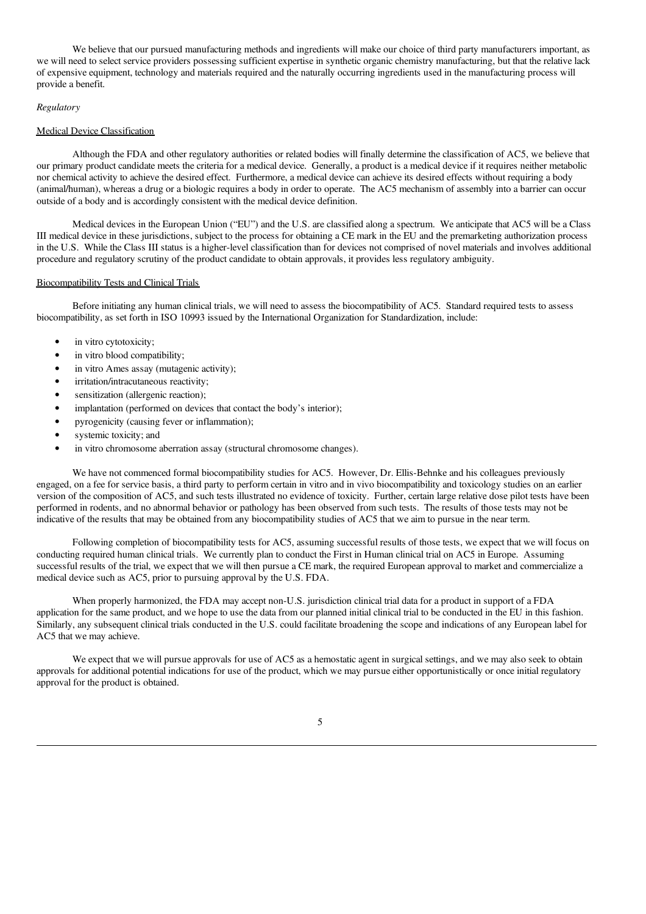We believe that our pursued manufacturing methods and ingredients will make our choice of third party manufacturers important, as we will need to select service providers possessing sufficient expertise in synthetic organic chemistry manufacturing, but that the relative lack of expensive equipment, technology and materials required and the naturally occurring ingredients used in the manufacturing process will provide a benefit.

### *Regulatory*

### Medical Device Classification

Although the FDA and other regulatory authorities or related bodies will finally determine the classification of AC5, we believe that our primary product candidate meets the criteria for a medical device. Generally, a product is a medical device if it requires neither metabolic nor chemical activity to achieve the desired effect. Furthermore, a medical device can achieve its desired effects without requiring a body (animal/human), whereas a drug or a biologic requires a body in order to operate. The AC5 mechanism of assembly into a barrier can occur outside of a body and is accordingly consistent with the medical device definition.

Medical devices in the European Union ("EU") and the U.S. are classified along a spectrum. We anticipate that AC5 will be a Class III medical device in these jurisdictions, subject to the process for obtaining a CE mark in the EU and the premarketing authorization process in the U.S. While the Class III status is a higher-level classification than for devices not comprised of novel materials and involves additional procedure and regulatory scrutiny of the product candidate to obtain approvals, it provides less regulatory ambiguity.

### Biocompatibility Tests and Clinical Trials

Before initiating any human clinical trials, we will need to assess the biocompatibility of AC5. Standard required tests to assess biocompatibility, as set forth in ISO 10993 issued by the International Organization for Standardization, include:

- in vitro cytotoxicity;
- in vitro blood compatibility;
- in vitro Ames assay (mutagenic activity);
- irritation/intracutaneous reactivity;
- sensitization (allergenic reaction);
- implantation (performed on devices that contact the body's interior);
- pyrogenicity (causing fever or inflammation);
- systemic toxicity; and
- in vitro chromosome aberration assay (structural chromosome changes).

We have not commenced formal biocompatibility studies for AC5. However, Dr. Ellis-Behnke and his colleagues previously engaged, on a fee for service basis, a third party to perform certain in vitro and in vivo biocompatibility and toxicology studies on an earlier version of the composition of AC5, and such tests illustrated no evidence of toxicity. Further, certain large relative dose pilot tests have been performed in rodents, and no abnormal behavior or pathology has been observed from such tests. The results of those tests may not be indicative of the results that may be obtained from any biocompatibility studies of AC5 that we aim to pursue in the near term.

Following completion of biocompatibility tests for AC5, assuming successful results of those tests, we expect that we will focus on conducting required human clinical trials. We currently plan to conduct the First in Human clinical trial on AC5 in Europe. Assuming successful results of the trial, we expect that we will then pursue a CE mark, the required European approval to market and commercialize a medical device such as AC5, prior to pursuing approval by the U.S. FDA.

When properly harmonized, the FDA may accept non-U.S. jurisdiction clinical trial data for a product in support of a FDA application for the same product, and we hope to use the data from our planned initial clinical trial to be conducted in the EU in this fashion. Similarly, any subsequent clinical trials conducted in the U.S. could facilitate broadening the scope and indications of any European label for AC5 that we may achieve.

We expect that we will pursue approvals for use of AC5 as a hemostatic agent in surgical settings, and we may also seek to obtain approvals for additional potential indications for use of the product, which we may pursue either opportunistically or once initial regulatory approval for the product is obtained.

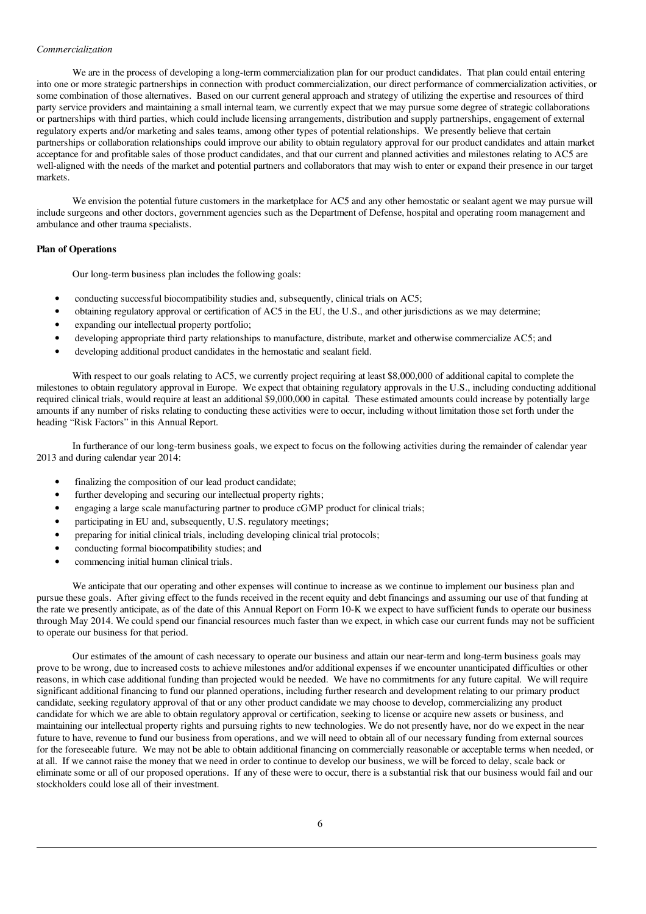### *Commercialization*

We are in the process of developing a long-term commercialization plan for our product candidates. That plan could entail entering into one or more strategic partnerships in connection with product commercialization, our direct performance of commercialization activities, or some combination of those alternatives. Based on our current general approach and strategy of utilizing the expertise and resources of third party service providers and maintaining a small internal team, we currently expect that we may pursue some degree of strategic collaborations or partnerships with third parties, which could include licensing arrangements, distribution and supply partnerships, engagement of external regulatory experts and/or marketing and sales teams, among other types of potential relationships. We presently believe that certain partnerships or collaboration relationships could improve our ability to obtain regulatory approval for our product candidates and attain market acceptance for and profitable sales of those product candidates, and that our current and planned activities and milestones relating to AC5 are well-aligned with the needs of the market and potential partners and collaborators that may wish to enter or expand their presence in our target markets.

We envision the potential future customers in the marketplace for AC5 and any other hemostatic or sealant agent we may pursue will include surgeons and other doctors, government agencies such as the Department of Defense, hospital and operating room management and ambulance and other trauma specialists.

### Plan of Operations

Our long-term business plan includes the following goals:

- conducting successful biocompatibility studies and, subsequently, clinical trials on AC5;
- · obtaining regulatory approval or certification of AC5 in the EU, the U.S., and other jurisdictions as we may determine;
- expanding our intellectual property portfolio;
- developing appropriate third party relationships to manufacture, distribute, market and otherwise commercialize AC5; and
- developing additional product candidates in the hemostatic and sealant field.

With respect to our goals relating to AC5, we currently project requiring at least \$8,000,000 of additional capital to complete the milestones to obtain regulatory approval in Europe. We expect that obtaining regulatory approvals in the U.S., including conducting additional required clinical trials, would require at least an additional \$9,000,000 in capital. These estimated amounts could increase by potentially large amounts if any number of risks relating to conducting these activities were to occur, including without limitation those set forth under the heading "Risk Factors" in this Annual Report.

In furtherance of our long-term business goals, we expect to focus on the following activities during the remainder of calendar year 2013 and during calendar year 2014:

- finalizing the composition of our lead product candidate;
- further developing and securing our intellectual property rights;
- · engaging a large scale manufacturing partner to produce cGMP product for clinical trials;
- participating in EU and, subsequently, U.S. regulatory meetings;
- preparing for initial clinical trials, including developing clinical trial protocols;
- conducting formal biocompatibility studies; and
- commencing initial human clinical trials.

We anticipate that our operating and other expenses will continue to increase as we continue to implement our business plan and pursue these goals. After giving effect to the funds received in the recent equity and debt financings and assuming our use of that funding at the rate we presently anticipate, as of the date of this Annual Report on Form 10-K we expect to have sufficient funds to operate our business through May 2014. We could spend our financial resources much faster than we expect, in which case our current funds may not be sufficient to operate our business for that period.

Our estimates of the amount of cash necessary to operate our business and attain our near-term and long-term business goals may prove to be wrong, due to increased costs to achieve milestones and/or additional expenses if we encounter unanticipated difficulties or other reasons, in which case additional funding than projected would be needed. We have no commitments for any future capital. We will require significant additional financing to fund our planned operations, including further research and development relating to our primary product candidate, seeking regulatory approval of that or any other product candidate we may choose to develop, commercializing any product candidate for which we are able to obtain regulatory approval or certification, seeking to license or acquire new assets or business, and maintaining our intellectual property rights and pursuing rights to new technologies. We do not presently have, nor do we expect in the near future to have, revenue to fund our business from operations, and we will need to obtain all of our necessary funding from external sources for the foreseeable future. We may not be able to obtain additional financing on commercially reasonable or acceptable terms when needed, or at all. If we cannot raise the money that we need in order to continue to develop our business, we will be forced to delay, scale back or eliminate some or all of our proposed operations. If any of these were to occur, there is a substantial risk that our business would fail and our stockholders could lose all of their investment.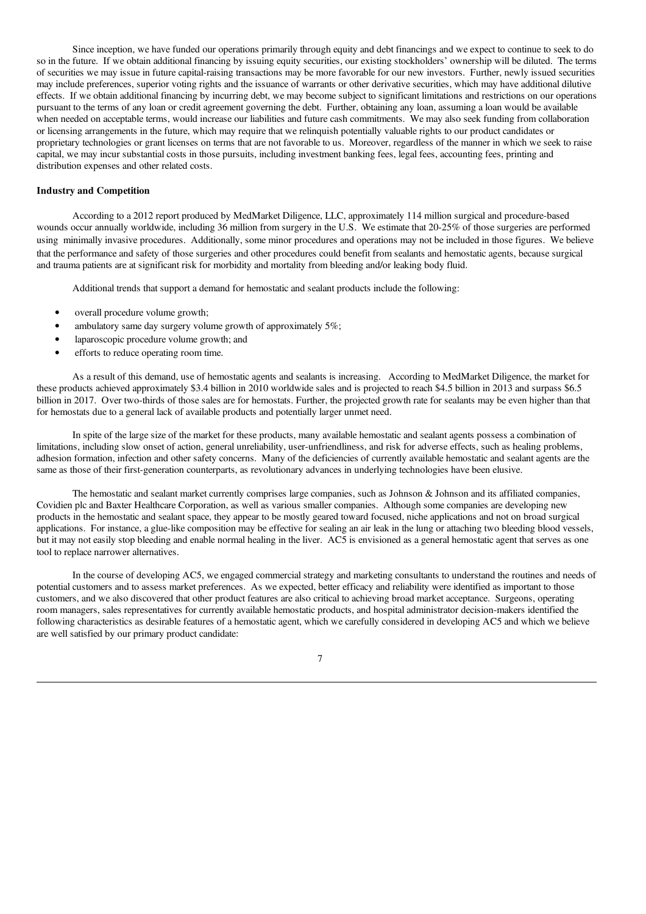Since inception, we have funded our operations primarily through equity and debt financings and we expect to continue to seek to do so in the future. If we obtain additional financing by issuing equity securities, our existing stockholders' ownership will be diluted. The terms of securities we may issue in future capital-raising transactions may be more favorable for our new investors. Further, newly issued securities may include preferences, superior voting rights and the issuance of warrants or other derivative securities, which may have additional dilutive effects. If we obtain additional financing by incurring debt, we may become subject to significant limitations and restrictions on our operations pursuant to the terms of any loan or credit agreement governing the debt. Further, obtaining any loan, assuming a loan would be available when needed on acceptable terms, would increase our liabilities and future cash commitments. We may also seek funding from collaboration or licensing arrangements in the future, which may require that we relinquish potentially valuable rights to our product candidates or proprietary technologies or grant licenses on terms that are not favorable to us. Moreover, regardless of the manner in which we seek to raise capital, we may incur substantial costs in those pursuits, including investment banking fees, legal fees, accounting fees, printing and distribution expenses and other related costs.

### Industry and Competition

According to a 2012 report produced by MedMarket Diligence, LLC, approximately 114 million surgical and procedure-based wounds occur annually worldwide, including 36 million from surgery in the U.S. We estimate that 20-25% of those surgeries are performed using minimally invasive procedures. Additionally, some minor procedures and operations may not be included in those figures. We believe that the performance and safety of those surgeries and other procedures could benefit from sealants and hemostatic agents, because surgical and trauma patients are at significant risk for morbidity and mortality from bleeding and/or leaking body fluid.

Additional trends that support a demand for hemostatic and sealant products include the following:

- · overall procedure volume growth;
- ambulatory same day surgery volume growth of approximately  $5\%$ ;
- laparoscopic procedure volume growth; and
- efforts to reduce operating room time.

As a result of this demand, use of hemostatic agents and sealants is increasing. According to MedMarket Diligence, the market for these products achieved approximately \$3.4 billion in 2010 worldwide sales and is projected to reach \$4.5 billion in 2013 and surpass \$6.5 billion in 2017. Over two-thirds of those sales are for hemostats. Further, the projected growth rate for sealants may be even higher than that for hemostats due to a general lack of available products and potentially larger unmet need.

In spite of the large size of the market for these products, many available hemostatic and sealant agents possess a combination of limitations, including slow onset of action, general unreliability, user-unfriendliness, and risk for adverse effects, such as healing problems, adhesion formation, infection and other safety concerns. Many of the deficiencies of currently available hemostatic and sealant agents are the same as those of their first-generation counterparts, as revolutionary advances in underlying technologies have been elusive.

The hemostatic and sealant market currently comprises large companies, such as Johnson & Johnson and its affiliated companies, Covidien plc and Baxter Healthcare Corporation, as well as various smaller companies. Although some companies are developing new products in the hemostatic and sealant space, they appear to be mostly geared toward focused, niche applications and not on broad surgical applications. For instance, a glue-like composition may be effective for sealing an air leak in the lung or attaching two bleeding blood vessels, but it may not easily stop bleeding and enable normal healing in the liver. AC5 is envisioned as a general hemostatic agent that serves as one tool to replace narrower alternatives.

In the course of developing AC5, we engaged commercial strategy and marketing consultants to understand the routines and needs of potential customers and to assess market preferences. As we expected, better efficacy and reliability were identified as important to those customers, and we also discovered that other product features are also critical to achieving broad market acceptance. Surgeons, operating room managers, sales representatives for currently available hemostatic products, and hospital administrator decision-makers identified the following characteristics as desirable features of a hemostatic agent, which we carefully considered in developing AC5 and which we believe are well satisfied by our primary product candidate: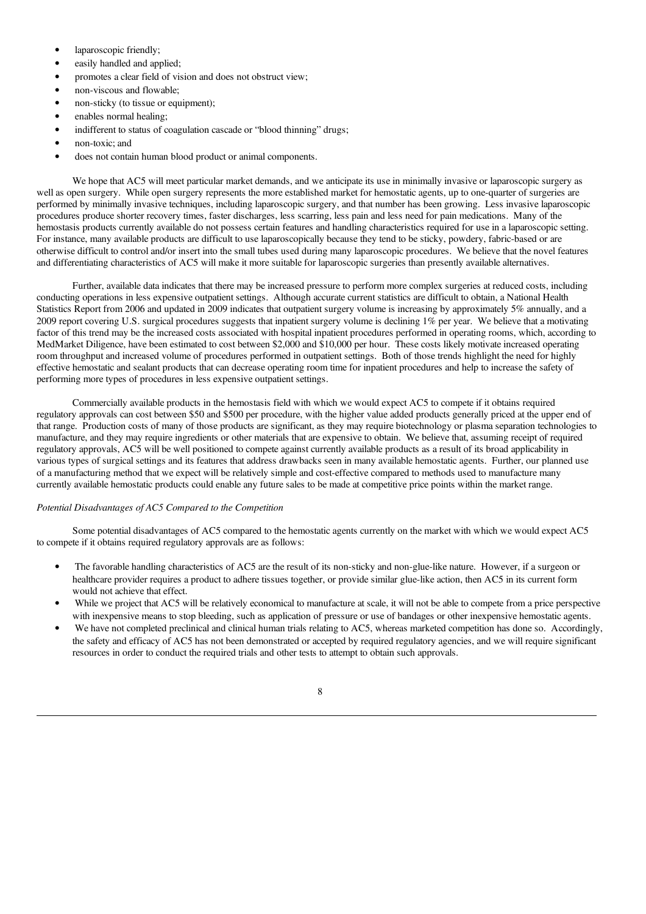- laparoscopic friendly;
- easily handled and applied;
- promotes a clear field of vision and does not obstruct view;
- non-viscous and flowable;
- non-sticky (to tissue or equipment);
- enables normal healing:
- indifferent to status of coagulation cascade or "blood thinning" drugs;
- non-toxic; and
- does not contain human blood product or animal components.

We hope that AC5 will meet particular market demands, and we anticipate its use in minimally invasive or laparoscopic surgery as well as open surgery. While open surgery represents the more established market for hemostatic agents, up to one-quarter of surgeries are performed by minimally invasive techniques, including laparoscopic surgery, and that number has been growing. Less invasive laparoscopic procedures produce shorter recovery times, faster discharges, less scarring, less pain and less need for pain medications. Many of the hemostasis products currently available do not possess certain features and handling characteristics required for use in a laparoscopic setting. For instance, many available products are difficult to use laparoscopically because they tend to be sticky, powdery, fabric-based or are otherwise difficult to control and/or insert into the small tubes used during many laparoscopic procedures. We believe that the novel features and differentiating characteristics of AC5 will make it more suitable for laparoscopic surgeries than presently available alternatives.

Further, available data indicates that there may be increased pressure to perform more complex surgeries at reduced costs, including conducting operations in less expensive outpatient settings. Although accurate current statistics are difficult to obtain, a National Health Statistics Report from 2006 and updated in 2009 indicates that outpatient surgery volume is increasing by approximately 5% annually, and a 2009 report covering U.S. surgical procedures suggests that inpatient surgery volume is declining 1% per year. We believe that a motivating factor of this trend may be the increased costs associated with hospital inpatient procedures performed in operating rooms, which, according to MedMarket Diligence, have been estimated to cost between \$2,000 and \$10,000 per hour. These costs likely motivate increased operating room throughput and increased volume of procedures performed in outpatient settings. Both of those trends highlight the need for highly effective hemostatic and sealant products that can decrease operating room time for inpatient procedures and help to increase the safety of performing more types of procedures in less expensive outpatient settings.

Commercially available products in the hemostasis field with which we would expect AC5 to compete if it obtains required regulatory approvals can cost between \$50 and \$500 per procedure, with the higher value added products generally priced at the upper end of that range. Production costs of many of those products are significant, as they may require biotechnology or plasma separation technologies to manufacture, and they may require ingredients or other materials that are expensive to obtain. We believe that, assuming receipt of required regulatory approvals, AC5 will be well positioned to compete against currently available products as a result of its broad applicability in various types of surgical settings and its features that address drawbacks seen in many available hemostatic agents. Further, our planned use of a manufacturing method that we expect will be relatively simple and cost-effective compared to methods used to manufacture many currently available hemostatic products could enable any future sales to be made at competitive price points within the market range.

### *Potential Disadvantages of AC5 Compared to the Competition*

Some potential disadvantages of AC5 compared to the hemostatic agents currently on the market with which we would expect AC5 to compete if it obtains required regulatory approvals are as follows:

- The favorable handling characteristics of AC5 are the result of its non-sticky and non-glue-like nature. However, if a surgeon or healthcare provider requires a product to adhere tissues together, or provide similar glue-like action, then AC5 in its current form would not achieve that effect.
- While we project that AC5 will be relatively economical to manufacture at scale, it will not be able to compete from a price perspective with inexpensive means to stop bleeding, such as application of pressure or use of bandages or other inexpensive hemostatic agents.
- We have not completed preclinical and clinical human trials relating to AC5, whereas marketed competition has done so. Accordingly, the safety and efficacy of AC5 has not been demonstrated or accepted by required regulatory agencies, and we will require significant resources in order to conduct the required trials and other tests to attempt to obtain such approvals.

8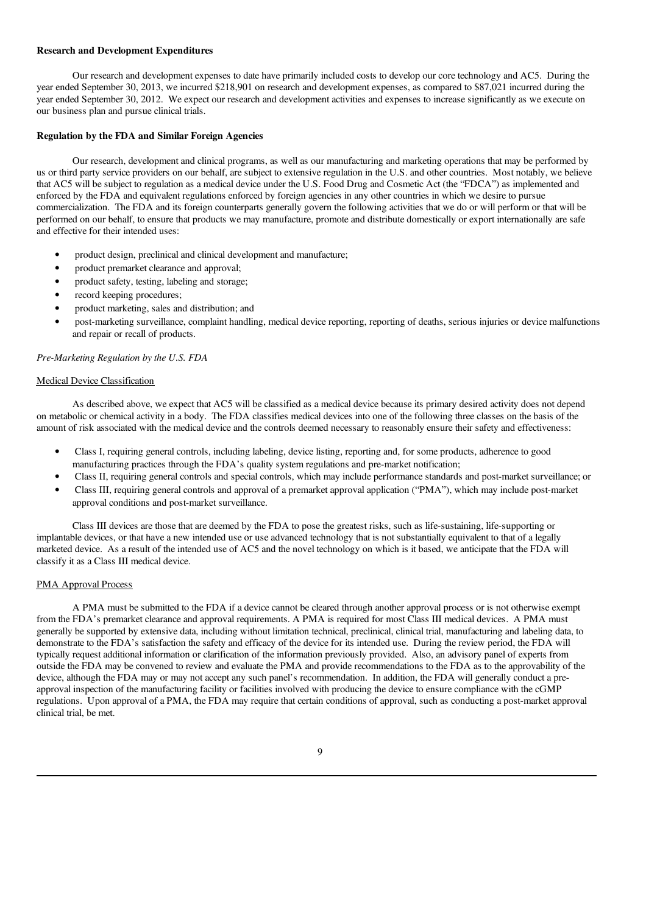#### Research and Development Expenditures

Our research and development expenses to date have primarily included costs to develop our core technology and AC5. During the year ended September 30, 2013, we incurred \$218,901 on research and development expenses, as compared to \$87,021 incurred during the year ended September 30, 2012. We expect our research and development activities and expenses to increase significantly as we execute on our business plan and pursue clinical trials.

### Regulation by the FDA and Similar Foreign Agencies

Our research, development and clinical programs, as well as our manufacturing and marketing operations that may be performed by us or third party service providers on our behalf, are subject to extensive regulation in the U.S. and other countries. Most notably, we believe that AC5 will be subject to regulation as a medical device under the U.S. Food Drug and Cosmetic Act (the "FDCA") as implemented and enforced by the FDA and equivalent regulations enforced by foreign agencies in any other countries in which we desire to pursue commercialization. The FDA and its foreign counterparts generally govern the following activities that we do or will perform or that will be performed on our behalf, to ensure that products we may manufacture, promote and distribute domestically or export internationally are safe and effective for their intended uses:

- product design, preclinical and clinical development and manufacture;
- product premarket clearance and approval;
- product safety, testing, labeling and storage;
- record keeping procedures;
- · product marketing, sales and distribution; and
- post-marketing surveillance, complaint handling, medical device reporting, reporting of deaths, serious injuries or device malfunctions and repair or recall of products.

### *Pre-Marketing Regulation by the U.S. FDA*

### Medical Device Classification

As described above, we expect that AC5 will be classified as a medical device because its primary desired activity does not depend on metabolic or chemical activity in a body. The FDA classifies medical devices into one of the following three classes on the basis of the amount of risk associated with the medical device and the controls deemed necessary to reasonably ensure their safety and effectiveness:

- · Class I, requiring general controls, including labeling, device listing, reporting and, for some products, adherence to good manufacturing practices through the FDA's quality system regulations and pre-market notification;
- · Class II, requiring general controls and special controls, which may include performance standards and post-market surveillance; or
- · Class III, requiring general controls and approval of a premarket approval application ("PMA"), which may include post-market approval conditions and post-market surveillance.

Class III devices are those that are deemed by the FDA to pose the greatest risks, such as life-sustaining, life-supporting or implantable devices, or that have a new intended use or use advanced technology that is not substantially equivalent to that of a legally marketed device. As a result of the intended use of AC5 and the novel technology on which is it based, we anticipate that the FDA will classify it as a Class III medical device.

#### PMA Approval Process

A PMA must be submitted to the FDA if a device cannot be cleared through another approval process or is not otherwise exempt from the FDA's premarket clearance and approval requirements. A PMA is required for most Class III medical devices. A PMA must generally be supported by extensive data, including without limitation technical, preclinical, clinical trial, manufacturing and labeling data, to demonstrate to the FDA's satisfaction the safety and efficacy of the device for its intended use. During the review period, the FDA will typically request additional information or clarification of the information previously provided. Also, an advisory panel of experts from outside the FDA may be convened to review and evaluate the PMA and provide recommendations to the FDA as to the approvability of the device, although the FDA may or may not accept any such panel's recommendation. In addition, the FDA will generally conduct a preapproval inspection of the manufacturing facility or facilities involved with producing the device to ensure compliance with the cGMP regulations. Upon approval of a PMA, the FDA may require that certain conditions of approval, such as conducting a post-market approval clinical trial, be met.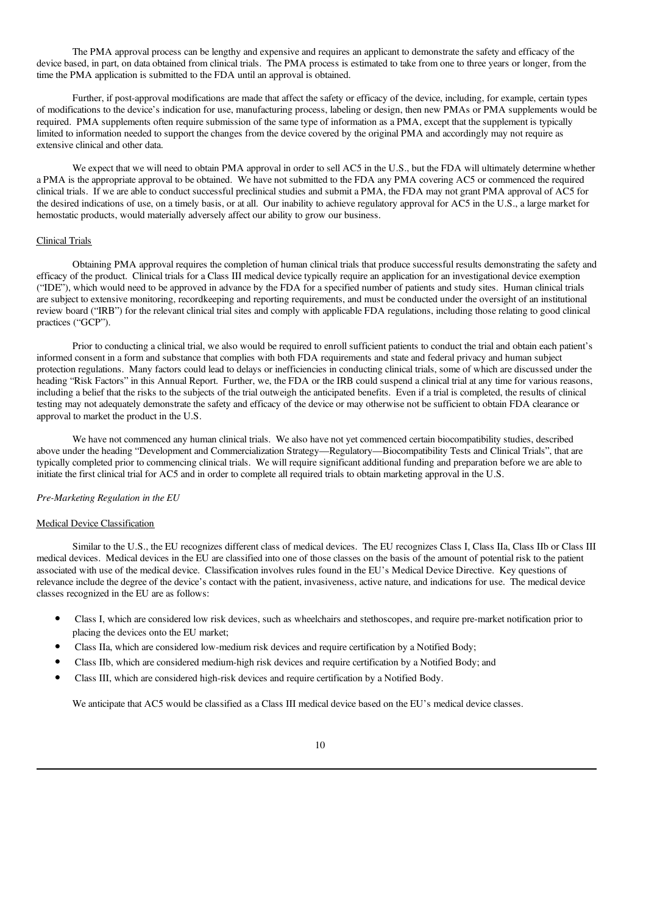The PMA approval process can be lengthy and expensive and requires an applicant to demonstrate the safety and efficacy of the device based, in part, on data obtained from clinical trials. The PMA process is estimated to take from one to three years or longer, from the time the PMA application is submitted to the FDA until an approval is obtained.

Further, if post-approval modifications are made that affect the safety or efficacy of the device, including, for example, certain types of modifications to the device's indication for use, manufacturing process, labeling or design, then new PMAs or PMA supplements would be required. PMA supplements often require submission of the same type of information as a PMA, except that the supplement is typically limited to information needed to support the changes from the device covered by the original PMA and accordingly may not require as extensive clinical and other data.

We expect that we will need to obtain PMA approval in order to sell AC5 in the U.S., but the FDA will ultimately determine whether a PMA is the appropriate approval to be obtained. We have not submitted to the FDA any PMA covering AC5 or commenced the required clinical trials. If we are able to conduct successful preclinical studies and submit a PMA, the FDA may not grant PMA approval of AC5 for the desired indications of use, on a timely basis, or at all. Our inability to achieve regulatory approval for AC5 in the U.S., a large market for hemostatic products, would materially adversely affect our ability to grow our business.

#### Clinical Trials

Obtaining PMA approval requires the completion of human clinical trials that produce successful results demonstrating the safety and efficacy of the product. Clinical trials for a Class III medical device typically require an application for an investigational device exemption ("IDE"), which would need to be approved in advance by the FDA for a specified number of patients and study sites. Human clinical trials are subject to extensive monitoring, recordkeeping and reporting requirements, and must be conducted under the oversight of an institutional review board ("IRB") for the relevant clinical trial sites and comply with applicable FDA regulations, including those relating to good clinical practices ("GCP").

Prior to conducting a clinical trial, we also would be required to enroll sufficient patients to conduct the trial and obtain each patient's informed consent in a form and substance that complies with both FDA requirements and state and federal privacy and human subject protection regulations. Many factors could lead to delays or inefficiencies in conducting clinical trials, some of which are discussed under the heading "Risk Factors" in this Annual Report. Further, we, the FDA or the IRB could suspend a clinical trial at any time for various reasons, including a belief that the risks to the subjects of the trial outweigh the anticipated benefits. Even if a trial is completed, the results of clinical testing may not adequately demonstrate the safety and efficacy of the device or may otherwise not be sufficient to obtain FDA clearance or approval to market the product in the U.S.

We have not commenced any human clinical trials. We also have not yet commenced certain biocompatibility studies, described above under the heading "Development and Commercialization Strategy—Regulatory—Biocompatibility Tests and Clinical Trials", that are typically completed prior to commencing clinical trials. We will require significant additional funding and preparation before we are able to initiate the first clinical trial for AC5 and in order to complete all required trials to obtain marketing approval in the U.S.

### *Pre-Marketing Regulation in the EU*

#### Medical Device Classification

Similar to the U.S., the EU recognizes different class of medical devices. The EU recognizes Class I, Class IIa, Class IIb or Class III medical devices. Medical devices in the EU are classified into one of those classes on the basis of the amount of potential risk to the patient associated with use of the medical device. Classification involves rules found in the EU's Medical Device Directive. Key questions of relevance include the degree of the device's contact with the patient, invasiveness, active nature, and indications for use. The medical device classes recognized in the EU are as follows:

- · Class I, which are considered low risk devices, such as wheelchairs and stethoscopes, and require pre-market notification prior to placing the devices onto the EU market;
- · Class IIa, which are considered low-medium risk devices and require certification by a Notified Body;
- · Class IIb, which are considered medium-high risk devices and require certification by a Notified Body; and
- · Class III, which are considered high-risk devices and require certification by a Notified Body.

We anticipate that AC5 would be classified as a Class III medical device based on the EU's medical device classes.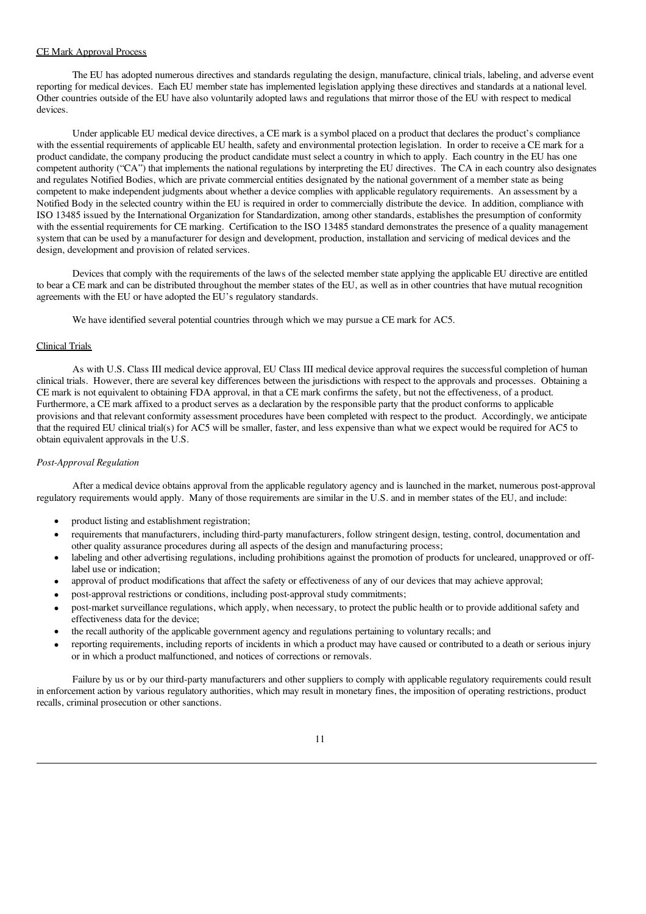#### CE Mark Approval Process

The EU has adopted numerous directives and standards regulating the design, manufacture, clinical trials, labeling, and adverse event reporting for medical devices. Each EU member state has implemented legislation applying these directives and standards at a national level. Other countries outside of the EU have also voluntarily adopted laws and regulations that mirror those of the EU with respect to medical devices.

Under applicable EU medical device directives, a CE mark is a symbol placed on a product that declares the product's compliance with the essential requirements of applicable EU health, safety and environmental protection legislation. In order to receive a CE mark for a product candidate, the company producing the product candidate must select a country in which to apply. Each country in the EU has one competent authority ("CA") that implements the national regulations by interpreting the EU directives. The CA in each country also designates and regulates Notified Bodies, which are private commercial entities designated by the national government of a member state as being competent to make independent judgments about whether a device complies with applicable regulatory requirements. An assessment by a Notified Body in the selected country within the EU is required in order to commercially distribute the device. In addition, compliance with ISO 13485 issued by the International Organization for Standardization, among other standards, establishes the presumption of conformity with the essential requirements for CE marking. Certification to the ISO 13485 standard demonstrates the presence of a quality management system that can be used by a manufacturer for design and development, production, installation and servicing of medical devices and the design, development and provision of related services.

Devices that comply with the requirements of the laws of the selected member state applying the applicable EU directive are entitled to bear a CE mark and can be distributed throughout the member states of the EU, as well as in other countries that have mutual recognition agreements with the EU or have adopted the EU's regulatory standards.

We have identified several potential countries through which we may pursue a CE mark for AC5.

### Clinical Trials

As with U.S. Class III medical device approval, EU Class III medical device approval requires the successful completion of human clinical trials. However, there are several key differences between the jurisdictions with respect to the approvals and processes. Obtaining a CE mark is not equivalent to obtaining FDA approval, in that a CE mark confirms the safety, but not the effectiveness, of a product. Furthermore, a CE mark affixed to a product serves as a declaration by the responsible party that the product conforms to applicable provisions and that relevant conformity assessment procedures have been completed with respect to the product. Accordingly, we anticipate that the required EU clinical trial(s) for AC5 will be smaller, faster, and less expensive than what we expect would be required for AC5 to obtain equivalent approvals in the U.S.

#### *Post-Approval Regulation*

After a medical device obtains approval from the applicable regulatory agency and is launched in the market, numerous post-approval regulatory requirements would apply. Many of those requirements are similar in the U.S. and in member states of the EU, and include:

- product listing and establishment registration;
- requirements that manufacturers, including third-party manufacturers, follow stringent design, testing, control, documentation and other quality assurance procedures during all aspects of the design and manufacturing process;
- labeling and other advertising regulations, including prohibitions against the promotion of products for uncleared, unapproved or offlabel use or indication;
- approval of product modifications that affect the safety or effectiveness of any of our devices that may achieve approval;
- · post-approval restrictions or conditions, including post-approval study commitments;
- · post-market surveillance regulations, which apply, when necessary, to protect the public health or to provide additional safety and effectiveness data for the device;
- the recall authority of the applicable government agency and regulations pertaining to voluntary recalls; and
- reporting requirements, including reports of incidents in which a product may have caused or contributed to a death or serious injury or in which a product malfunctioned, and notices of corrections or removals.

Failure by us or by our third-party manufacturers and other suppliers to comply with applicable regulatory requirements could result in enforcement action by various regulatory authorities, which may result in monetary fines, the imposition of operating restrictions, product recalls, criminal prosecution or other sanctions.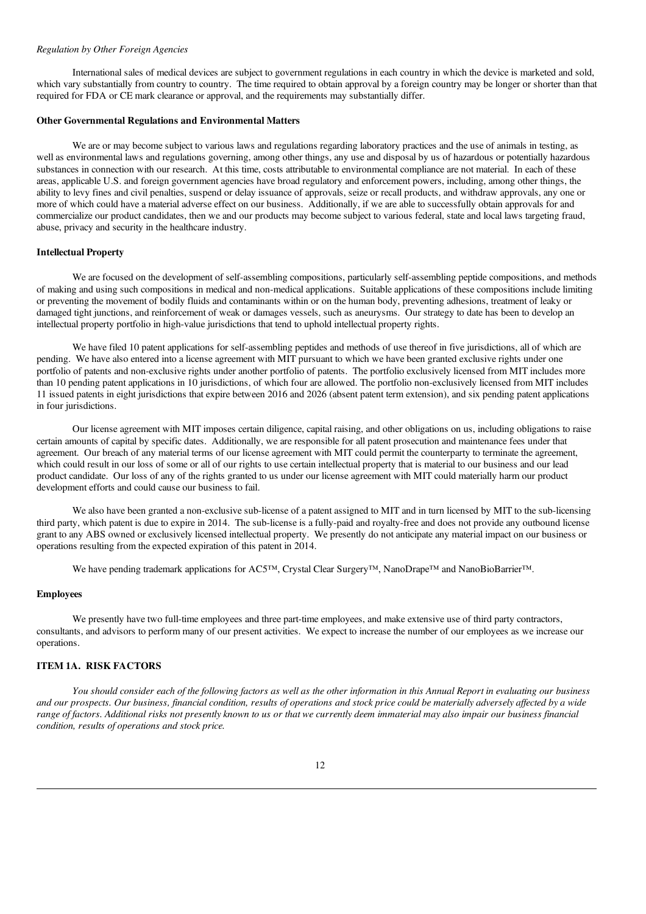#### *Regulation by Other Foreign Agencies*

International sales of medical devices are subject to government regulations in each country in which the device is marketed and sold, which vary substantially from country to country. The time required to obtain approval by a foreign country may be longer or shorter than that required for FDA or CE mark clearance or approval, and the requirements may substantially differ.

#### Other Governmental Regulations and Environmental Matters

We are or may become subject to various laws and regulations regarding laboratory practices and the use of animals in testing, as well as environmental laws and regulations governing, among other things, any use and disposal by us of hazardous or potentially hazardous substances in connection with our research. At this time, costs attributable to environmental compliance are not material. In each of these areas, applicable U.S. and foreign government agencies have broad regulatory and enforcement powers, including, among other things, the ability to levy fines and civil penalties, suspend or delay issuance of approvals, seize or recall products, and withdraw approvals, any one or more of which could have a material adverse effect on our business. Additionally, if we are able to successfully obtain approvals for and commercialize our product candidates, then we and our products may become subject to various federal, state and local laws targeting fraud, abuse, privacy and security in the healthcare industry.

#### Intellectual Property

We are focused on the development of self-assembling compositions, particularly self-assembling peptide compositions, and methods of making and using such compositions in medical and non-medical applications. Suitable applications of these compositions include limiting or preventing the movement of bodily fluids and contaminants within or on the human body, preventing adhesions, treatment of leaky or damaged tight junctions, and reinforcement of weak or damages vessels, such as aneurysms. Our strategy to date has been to develop an intellectual property portfolio in high-value jurisdictions that tend to uphold intellectual property rights.

We have filed 10 patent applications for self-assembling peptides and methods of use thereof in five jurisdictions, all of which are pending. We have also entered into a license agreement with MIT pursuant to which we have been granted exclusive rights under one portfolio of patents and non-exclusive rights under another portfolio of patents. The portfolio exclusively licensed from MIT includes more than 10 pending patent applications in 10 jurisdictions, of which four are allowed. The portfolio non-exclusively licensed from MIT includes 11 issued patents in eight jurisdictions that expire between 2016 and 2026 (absent patent term extension), and six pending patent applications in four jurisdictions.

Our license agreement with MIT imposes certain diligence, capital raising, and other obligations on us, including obligations to raise certain amounts of capital by specific dates. Additionally, we are responsible for all patent prosecution and maintenance fees under that agreement. Our breach of any material terms of our license agreement with MIT could permit the counterparty to terminate the agreement, which could result in our loss of some or all of our rights to use certain intellectual property that is material to our business and our lead product candidate. Our loss of any of the rights granted to us under our license agreement with MIT could materially harm our product development efforts and could cause our business to fail.

We also have been granted a non-exclusive sub-license of a patent assigned to MIT and in turn licensed by MIT to the sub-licensing third party, which patent is due to expire in 2014. The sub-license is a fully-paid and royalty-free and does not provide any outbound license grant to any ABS owned or exclusively licensed intellectual property. We presently do not anticipate any material impact on our business or operations resulting from the expected expiration of this patent in 2014.

We have pending trademark applications for AC5™, Crystal Clear Surgery™, NanoDrape™ and NanoBioBarrier™.

### Employees

We presently have two full-time employees and three part-time employees, and make extensive use of third party contractors, consultants, and advisors to perform many of our present activities. We expect to increase the number of our employees as we increase our operations.

# ITEM 1A. RISK FACTORS

You should consider each of the following factors as well as the other information in this Annual Report in evaluating our business and our prospects. Our business, financial condition, results of operations and stock price could be materially adversely affected by a wide range of factors. Additional risks not presently known to us or that we currently deem immaterial may also impair our business financial *condition, results of operations and stock price.*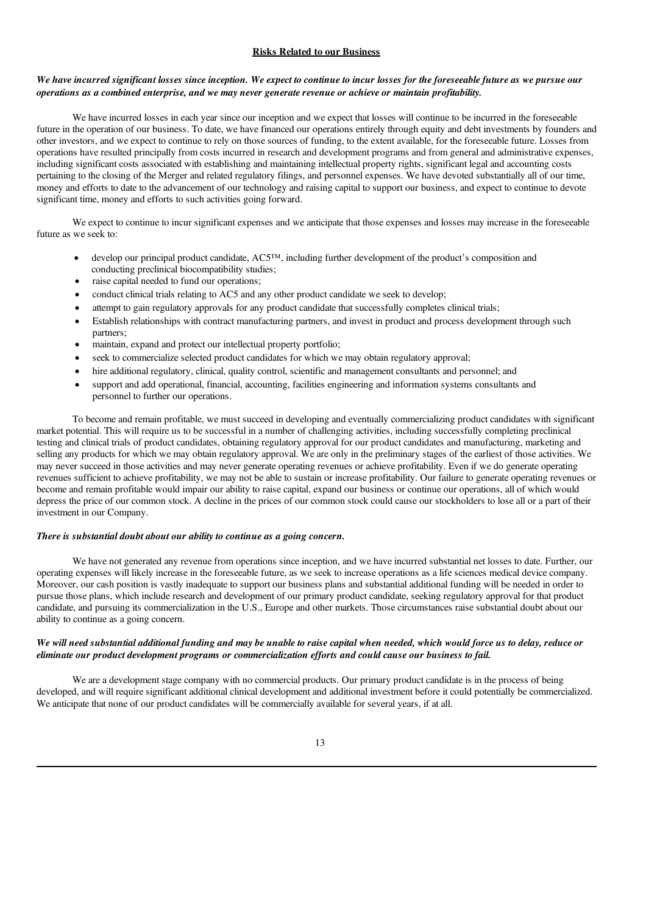## Risks Related to our Business

# We have incurred significant losses since inception. We expect to continue to incur losses for the foreseeable future as we pursue our *operations as a combined enterprise, and we may never generate revenue or achieve or maintain profitability.*

We have incurred losses in each year since our inception and we expect that losses will continue to be incurred in the foreseeable future in the operation of our business. To date, we have financed our operations entirely through equity and debt investments by founders and other investors, and we expect to continue to rely on those sources of funding, to the extent available, for the foreseeable future. Losses from operations have resulted principally from costs incurred in research and development programs and from general and administrative expenses, including significant costs associated with establishing and maintaining intellectual property rights, significant legal and accounting costs pertaining to the closing of the Merger and related regulatory filings, and personnel expenses. We have devoted substantially all of our time, money and efforts to date to the advancement of our technology and raising capital to support our business, and expect to continue to devote significant time, money and efforts to such activities going forward.

We expect to continue to incur significant expenses and we anticipate that those expenses and losses may increase in the foreseeable future as we seek to:

- develop our principal product candidate, AC5™, including further development of the product's composition and conducting preclinical biocompatibility studies;
- raise capital needed to fund our operations;
- conduct clinical trials relating to AC5 and any other product candidate we seek to develop;
- · attempt to gain regulatory approvals for any product candidate that successfully completes clinical trials;
- Establish relationships with contract manufacturing partners, and invest in product and process development through such partners;
- maintain, expand and protect our intellectual property portfolio;
- seek to commercialize selected product candidates for which we may obtain regulatory approval;
- hire additional regulatory, clinical, quality control, scientific and management consultants and personnel; and
- support and add operational, financial, accounting, facilities engineering and information systems consultants and personnel to further our operations.

To become and remain profitable, we must succeed in developing and eventually commercializing product candidates with significant market potential. This will require us to be successful in a number of challenging activities, including successfully completing preclinical testing and clinical trials of product candidates, obtaining regulatory approval for our product candidates and manufacturing, marketing and selling any products for which we may obtain regulatory approval. We are only in the preliminary stages of the earliest of those activities. We may never succeed in those activities and may never generate operating revenues or achieve profitability. Even if we do generate operating revenues sufficient to achieve profitability, we may not be able to sustain or increase profitability. Our failure to generate operating revenues or become and remain profitable would impair our ability to raise capital, expand our business or continue our operations, all of which would depress the price of our common stock. A decline in the prices of our common stock could cause our stockholders to lose all or a part of their investment in our Company.

### *There is substantial doubt about our ability to continue as a going concern.*

We have not generated any revenue from operations since inception, and we have incurred substantial net losses to date. Further, our operating expenses will likely increase in the foreseeable future, as we seek to increase operations as a life sciences medical device company. Moreover, our cash position is vastly inadequate to support our business plans and substantial additional funding will be needed in order to pursue those plans, which include research and development of our primary product candidate, seeking regulatory approval for that product candidate, and pursuing its commercialization in the U.S., Europe and other markets. Those circumstances raise substantial doubt about our ability to continue as a going concern.

## We will need substantial additional funding and may be unable to raise capital when needed, which would force us to delay, reduce or *eliminate our product development programs or commercialization efforts and could cause our business to fail.*

We are a development stage company with no commercial products. Our primary product candidate is in the process of being developed, and will require significant additional clinical development and additional investment before it could potentially be commercialized. We anticipate that none of our product candidates will be commercially available for several years, if at all.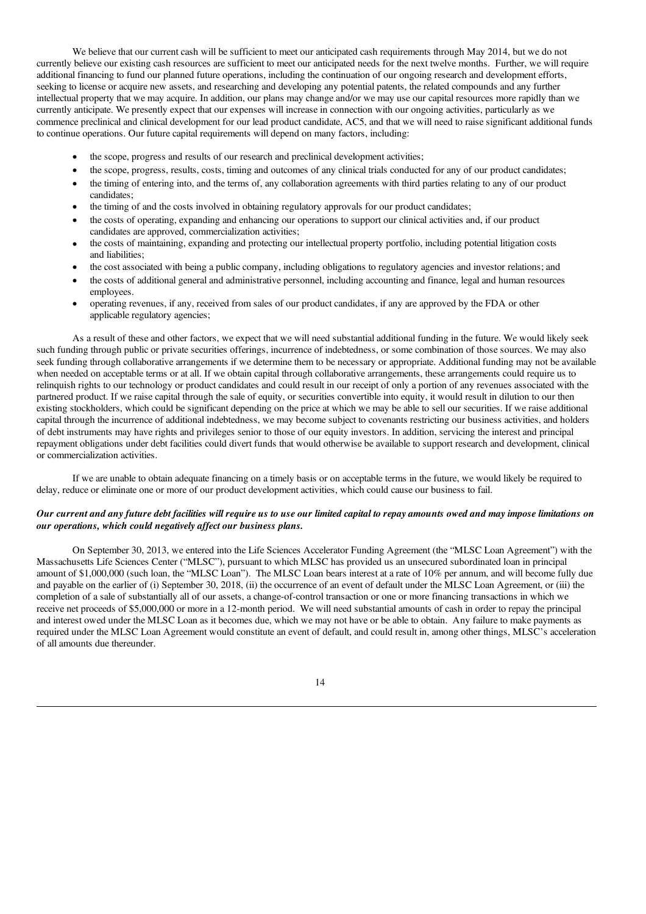We believe that our current cash will be sufficient to meet our anticipated cash requirements through May 2014, but we do not currently believe our existing cash resources are sufficient to meet our anticipated needs for the next twelve months. Further, we will require additional financing to fund our planned future operations, including the continuation of our ongoing research and development efforts, seeking to license or acquire new assets, and researching and developing any potential patents, the related compounds and any further intellectual property that we may acquire. In addition, our plans may change and/or we may use our capital resources more rapidly than we currently anticipate. We presently expect that our expenses will increase in connection with our ongoing activities, particularly as we commence preclinical and clinical development for our lead product candidate, AC5, and that we will need to raise significant additional funds to continue operations. Our future capital requirements will depend on many factors, including:

- the scope, progress and results of our research and preclinical development activities;
- the scope, progress, results, costs, timing and outcomes of any clinical trials conducted for any of our product candidates;
- the timing of entering into, and the terms of, any collaboration agreements with third parties relating to any of our product candidates;
- the timing of and the costs involved in obtaining regulatory approvals for our product candidates;
- · the costs of operating, expanding and enhancing our operations to support our clinical activities and, if our product candidates are approved, commercialization activities;
- the costs of maintaining, expanding and protecting our intellectual property portfolio, including potential litigation costs and liabilities;
- the cost associated with being a public company, including obligations to regulatory agencies and investor relations; and
- the costs of additional general and administrative personnel, including accounting and finance, legal and human resources employees.
- · operating revenues, if any, received from sales of our product candidates, if any are approved by the FDA or other applicable regulatory agencies;

As a result of these and other factors, we expect that we will need substantial additional funding in the future. We would likely seek such funding through public or private securities offerings, incurrence of indebtedness, or some combination of those sources. We may also seek funding through collaborative arrangements if we determine them to be necessary or appropriate. Additional funding may not be available when needed on acceptable terms or at all. If we obtain capital through collaborative arrangements, these arrangements could require us to relinquish rights to our technology or product candidates and could result in our receipt of only a portion of any revenues associated with the partnered product. If we raise capital through the sale of equity, or securities convertible into equity, it would result in dilution to our then existing stockholders, which could be significant depending on the price at which we may be able to sell our securities. If we raise additional capital through the incurrence of additional indebtedness, we may become subject to covenants restricting our business activities, and holders of debt instruments may have rights and privileges senior to those of our equity investors. In addition, servicing the interest and principal repayment obligations under debt facilities could divert funds that would otherwise be available to support research and development, clinical or commercialization activities.

If we are unable to obtain adequate financing on a timely basis or on acceptable terms in the future, we would likely be required to delay, reduce or eliminate one or more of our product development activities, which could cause our business to fail.

### Our current and any future debt facilities will require us to use our limited capital to repay amounts owed and may impose limitations on *our operations, which could negatively affect our business plans.*

On September 30, 2013, we entered into the Life Sciences Accelerator Funding Agreement (the "MLSC Loan Agreement") with the Massachusetts Life Sciences Center ("MLSC"), pursuant to which MLSC has provided us an unsecured subordinated loan in principal amount of \$1,000,000 (such loan, the "MLSC Loan"). The MLSC Loan bears interest at a rate of 10% per annum, and will become fully due and payable on the earlier of (i) September 30, 2018, (ii) the occurrence of an event of default under the MLSC Loan Agreement, or (iii) the completion of a sale of substantially all of our assets, a change-of-control transaction or one or more financing transactions in which we receive net proceeds of \$5,000,000 or more in a 12-month period. We will need substantial amounts of cash in order to repay the principal and interest owed under the MLSC Loan as it becomes due, which we may not have or be able to obtain. Any failure to make payments as required under the MLSC Loan Agreement would constitute an event of default, and could result in, among other things, MLSC's acceleration of all amounts due thereunder.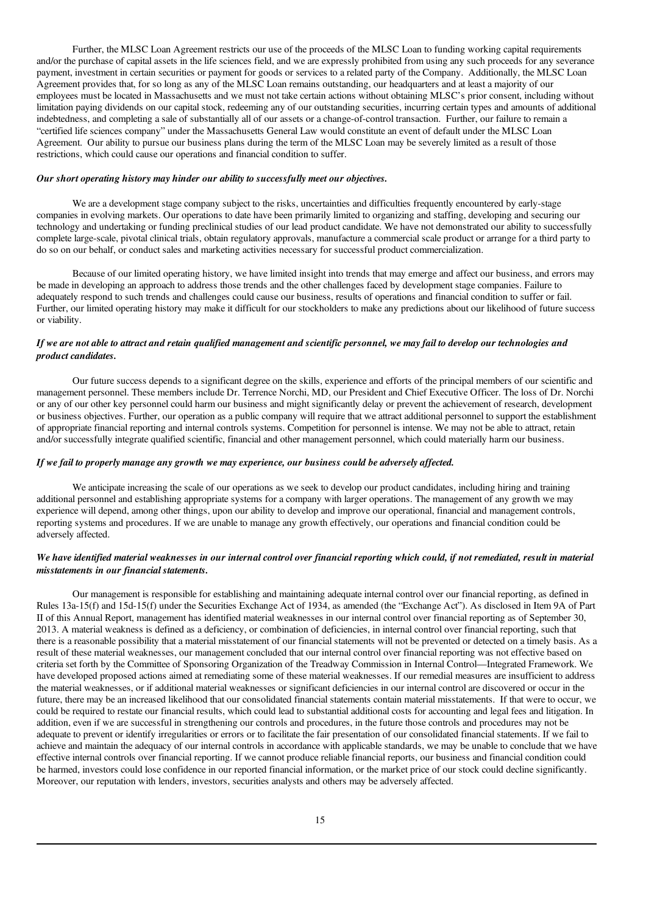Further, the MLSC Loan Agreement restricts our use of the proceeds of the MLSC Loan to funding working capital requirements and/or the purchase of capital assets in the life sciences field, and we are expressly prohibited from using any such proceeds for any severance payment, investment in certain securities or payment for goods or services to a related party of the Company. Additionally, the MLSC Loan Agreement provides that, for so long as any of the MLSC Loan remains outstanding, our headquarters and at least a majority of our employees must be located in Massachusetts and we must not take certain actions without obtaining MLSC's prior consent, including without limitation paying dividends on our capital stock, redeeming any of our outstanding securities, incurring certain types and amounts of additional indebtedness, and completing a sale of substantially all of our assets or a change-of-control transaction. Further, our failure to remain a "certified life sciences company" under the Massachusetts General Law would constitute an event of default under the MLSC Loan Agreement. Our ability to pursue our business plans during the term of the MLSC Loan may be severely limited as a result of those restrictions, which could cause our operations and financial condition to suffer.

#### *Our short operating history may hinder our ability to successfully meet our objectives.*

We are a development stage company subject to the risks, uncertainties and difficulties frequently encountered by early-stage companies in evolving markets. Our operations to date have been primarily limited to organizing and staffing, developing and securing our technology and undertaking or funding preclinical studies of our lead product candidate. We have not demonstrated our ability to successfully complete large-scale, pivotal clinical trials, obtain regulatory approvals, manufacture a commercial scale product or arrange for a third party to do so on our behalf, or conduct sales and marketing activities necessary for successful product commercialization.

Because of our limited operating history, we have limited insight into trends that may emerge and affect our business, and errors may be made in developing an approach to address those trends and the other challenges faced by development stage companies. Failure to adequately respond to such trends and challenges could cause our business, results of operations and financial condition to suffer or fail. Further, our limited operating history may make it difficult for our stockholders to make any predictions about our likelihood of future success or viability.

### If we are not able to attract and retain qualified management and scientific personnel, we may fail to develop our technologies and *product candidates.*

Our future success depends to a significant degree on the skills, experience and efforts of the principal members of our scientific and management personnel. These members include Dr. Terrence Norchi, MD, our President and Chief Executive Officer. The loss of Dr. Norchi or any of our other key personnel could harm our business and might significantly delay or prevent the achievement of research, development or business objectives. Further, our operation as a public company will require that we attract additional personnel to support the establishment of appropriate financial reporting and internal controls systems. Competition for personnel is intense. We may not be able to attract, retain and/or successfully integrate qualified scientific, financial and other management personnel, which could materially harm our business.

### *If we fail to properly manage any growth we may experience, our business could be adversely affected.*

We anticipate increasing the scale of our operations as we seek to develop our product candidates, including hiring and training additional personnel and establishing appropriate systems for a company with larger operations. The management of any growth we may experience will depend, among other things, upon our ability to develop and improve our operational, financial and management controls, reporting systems and procedures. If we are unable to manage any growth effectively, our operations and financial condition could be adversely affected.

### We have identified material weaknesses in our internal control over financial reporting which could, if not remediated, result in material *misstatements in our financial statements.*

Our management is responsible for establishing and maintaining adequate internal control over our financial reporting, as defined in Rules 13a-15(f) and 15d-15(f) under the Securities Exchange Act of 1934, as amended (the "Exchange Act"). As disclosed in Item 9A of Part II of this Annual Report, management has identified material weaknesses in our internal control over financial reporting as of September 30, 2013. A material weakness is defined as a deficiency, or combination of deficiencies, in internal control over financial reporting, such that there is a reasonable possibility that a material misstatement of our financial statements will not be prevented or detected on a timely basis. As a result of these material weaknesses, our management concluded that our internal control over financial reporting was not effective based on criteria set forth by the Committee of Sponsoring Organization of the Treadway Commission in Internal Control—Integrated Framework. We have developed proposed actions aimed at remediating some of these material weaknesses. If our remedial measures are insufficient to address the material weaknesses, or if additional material weaknesses or significant deficiencies in our internal control are discovered or occur in the future, there may be an increased likelihood that our consolidated financial statements contain material misstatements. If that were to occur, we could be required to restate our financial results, which could lead to substantial additional costs for accounting and legal fees and litigation. In addition, even if we are successful in strengthening our controls and procedures, in the future those controls and procedures may not be adequate to prevent or identify irregularities or errors or to facilitate the fair presentation of our consolidated financial statements. If we fail to achieve and maintain the adequacy of our internal controls in accordance with applicable standards, we may be unable to conclude that we have effective internal controls over financial reporting. If we cannot produce reliable financial reports, our business and financial condition could be harmed, investors could lose confidence in our reported financial information, or the market price of our stock could decline significantly. Moreover, our reputation with lenders, investors, securities analysts and others may be adversely affected.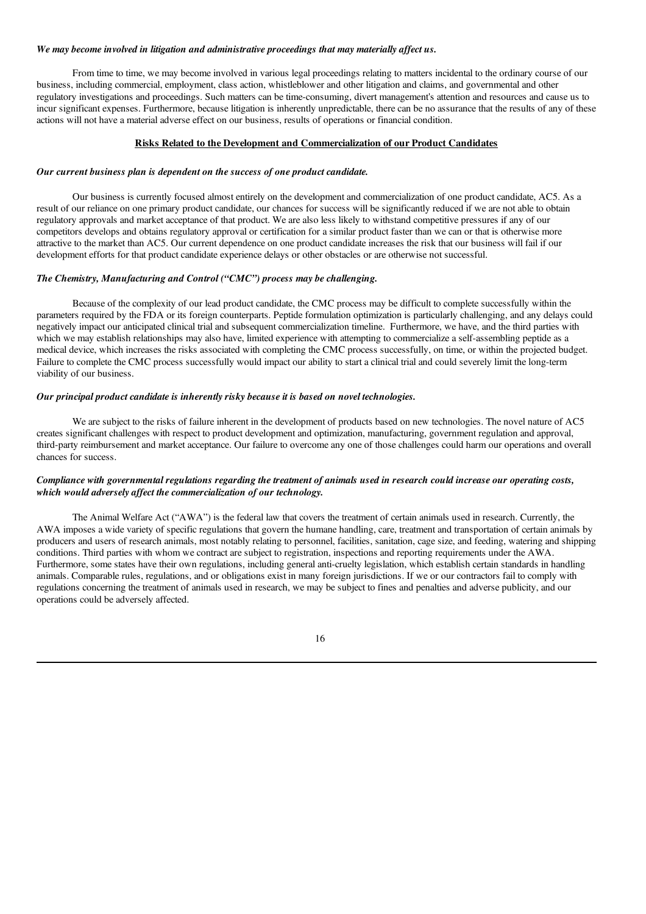### *We may become involved in litigation and administrative proceedings that may materially affect us.*

From time to time, we may become involved in various legal proceedings relating to matters incidental to the ordinary course of our business, including commercial, employment, class action, whistleblower and other litigation and claims, and governmental and other regulatory investigations and proceedings. Such matters can be time-consuming, divert management's attention and resources and cause us to incur significant expenses. Furthermore, because litigation is inherently unpredictable, there can be no assurance that the results of any of these actions will not have a material adverse effect on our business, results of operations or financial condition.

#### Risks Related to the Development and Commercialization of our Product Candidates

# *Our current business plan is dependent on the success of one product candidate.*

Our business is currently focused almost entirely on the development and commercialization of one product candidate, AC5. As a result of our reliance on one primary product candidate, our chances for success will be significantly reduced if we are not able to obtain regulatory approvals and market acceptance of that product. We are also less likely to withstand competitive pressures if any of our competitors develops and obtains regulatory approval or certification for a similar product faster than we can or that is otherwise more attractive to the market than AC5. Our current dependence on one product candidate increases the risk that our business will fail if our development efforts for that product candidate experience delays or other obstacles or are otherwise not successful.

## *The Chemistry, Manufacturing and Control ("CMC") process may be challenging.*

Because of the complexity of our lead product candidate, the CMC process may be difficult to complete successfully within the parameters required by the FDA or its foreign counterparts. Peptide formulation optimization is particularly challenging, and any delays could negatively impact our anticipated clinical trial and subsequent commercialization timeline. Furthermore, we have, and the third parties with which we may establish relationships may also have, limited experience with attempting to commercialize a self-assembling peptide as a medical device, which increases the risks associated with completing the CMC process successfully, on time, or within the projected budget. Failure to complete the CMC process successfully would impact our ability to start a clinical trial and could severely limit the long-term viability of our business.

### *Our principal product candidate is inherently risky because it is based on novel technologies.*

We are subject to the risks of failure inherent in the development of products based on new technologies. The novel nature of AC5 creates significant challenges with respect to product development and optimization, manufacturing, government regulation and approval, third-party reimbursement and market acceptance. Our failure to overcome any one of those challenges could harm our operations and overall chances for success.

## Compliance with governmental regulations regarding the treatment of animals used in research could increase our operating costs, *which would adversely affect the commercialization of our technology.*

The Animal Welfare Act ("AWA") is the federal law that covers the treatment of certain animals used in research. Currently, the AWA imposes a wide variety of specific regulations that govern the humane handling, care, treatment and transportation of certain animals by producers and users of research animals, most notably relating to personnel, facilities, sanitation, cage size, and feeding, watering and shipping conditions. Third parties with whom we contract are subject to registration, inspections and reporting requirements under the AWA. Furthermore, some states have their own regulations, including general anti-cruelty legislation, which establish certain standards in handling animals. Comparable rules, regulations, and or obligations exist in many foreign jurisdictions. If we or our contractors fail to comply with regulations concerning the treatment of animals used in research, we may be subject to fines and penalties and adverse publicity, and our operations could be adversely affected.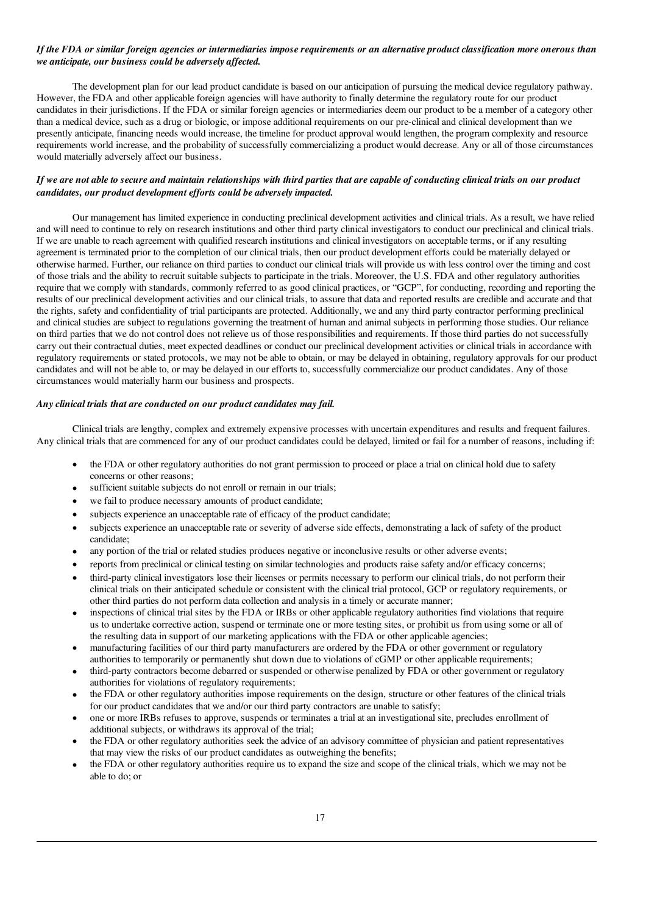# If the FDA or similar foreign agencies or intermediaries impose requirements or an alternative product classification more onerous than *we anticipate, our business could be adversely affected.*

The development plan for our lead product candidate is based on our anticipation of pursuing the medical device regulatory pathway. However, the FDA and other applicable foreign agencies will have authority to finally determine the regulatory route for our product candidates in their jurisdictions. If the FDA or similar foreign agencies or intermediaries deem our product to be a member of a category other than a medical device, such as a drug or biologic, or impose additional requirements on our pre-clinical and clinical development than we presently anticipate, financing needs would increase, the timeline for product approval would lengthen, the program complexity and resource requirements world increase, and the probability of successfully commercializing a product would decrease. Any or all of those circumstances would materially adversely affect our business.

# If we are not able to secure and maintain relationships with third parties that are capable of conducting clinical trials on our product *candidates, our product development efforts could be adversely impacted.*

Our management has limited experience in conducting preclinical development activities and clinical trials. As a result, we have relied and will need to continue to rely on research institutions and other third party clinical investigators to conduct our preclinical and clinical trials. If we are unable to reach agreement with qualified research institutions and clinical investigators on acceptable terms, or if any resulting agreement is terminated prior to the completion of our clinical trials, then our product development efforts could be materially delayed or otherwise harmed. Further, our reliance on third parties to conduct our clinical trials will provide us with less control over the timing and cost of those trials and the ability to recruit suitable subjects to participate in the trials. Moreover, the U.S. FDA and other regulatory authorities require that we comply with standards, commonly referred to as good clinical practices, or "GCP", for conducting, recording and reporting the results of our preclinical development activities and our clinical trials, to assure that data and reported results are credible and accurate and that the rights, safety and confidentiality of trial participants are protected. Additionally, we and any third party contractor performing preclinical and clinical studies are subject to regulations governing the treatment of human and animal subjects in performing those studies. Our reliance on third parties that we do not control does not relieve us of those responsibilities and requirements. If those third parties do not successfully carry out their contractual duties, meet expected deadlines or conduct our preclinical development activities or clinical trials in accordance with regulatory requirements or stated protocols, we may not be able to obtain, or may be delayed in obtaining, regulatory approvals for our product candidates and will not be able to, or may be delayed in our efforts to, successfully commercialize our product candidates. Any of those circumstances would materially harm our business and prospects.

### *Any clinical trials that are conducted on our product candidates may fail.*

Clinical trials are lengthy, complex and extremely expensive processes with uncertain expenditures and results and frequent failures. Any clinical trials that are commenced for any of our product candidates could be delayed, limited or fail for a number of reasons, including if:

- the FDA or other regulatory authorities do not grant permission to proceed or place a trial on clinical hold due to safety concerns or other reasons;
- sufficient suitable subjects do not enroll or remain in our trials;
- we fail to produce necessary amounts of product candidate;
- subjects experience an unacceptable rate of efficacy of the product candidate;
- subjects experience an unacceptable rate or severity of adverse side effects, demonstrating a lack of safety of the product candidate;
- any portion of the trial or related studies produces negative or inconclusive results or other adverse events;
- reports from preclinical or clinical testing on similar technologies and products raise safety and/or efficacy concerns;
- · third-party clinical investigators lose their licenses or permits necessary to perform our clinical trials, do not perform their clinical trials on their anticipated schedule or consistent with the clinical trial protocol, GCP or regulatory requirements, or other third parties do not perform data collection and analysis in a timely or accurate manner;
- inspections of clinical trial sites by the FDA or IRBs or other applicable regulatory authorities find violations that require us to undertake corrective action, suspend or terminate one or more testing sites, or prohibit us from using some or all of the resulting data in support of our marketing applications with the FDA or other applicable agencies;
- manufacturing facilities of our third party manufacturers are ordered by the FDA or other government or regulatory authorities to temporarily or permanently shut down due to violations of cGMP or other applicable requirements;
- third-party contractors become debarred or suspended or otherwise penalized by FDA or other government or regulatory authorities for violations of regulatory requirements;
- the FDA or other regulatory authorities impose requirements on the design, structure or other features of the clinical trials for our product candidates that we and/or our third party contractors are unable to satisfy;
- · one or more IRBs refuses to approve, suspends or terminates a trial at an investigational site, precludes enrollment of additional subjects, or withdraws its approval of the trial;
- the FDA or other regulatory authorities seek the advice of an advisory committee of physician and patient representatives that may view the risks of our product candidates as outweighing the benefits;
- the FDA or other regulatory authorities require us to expand the size and scope of the clinical trials, which we may not be able to do; or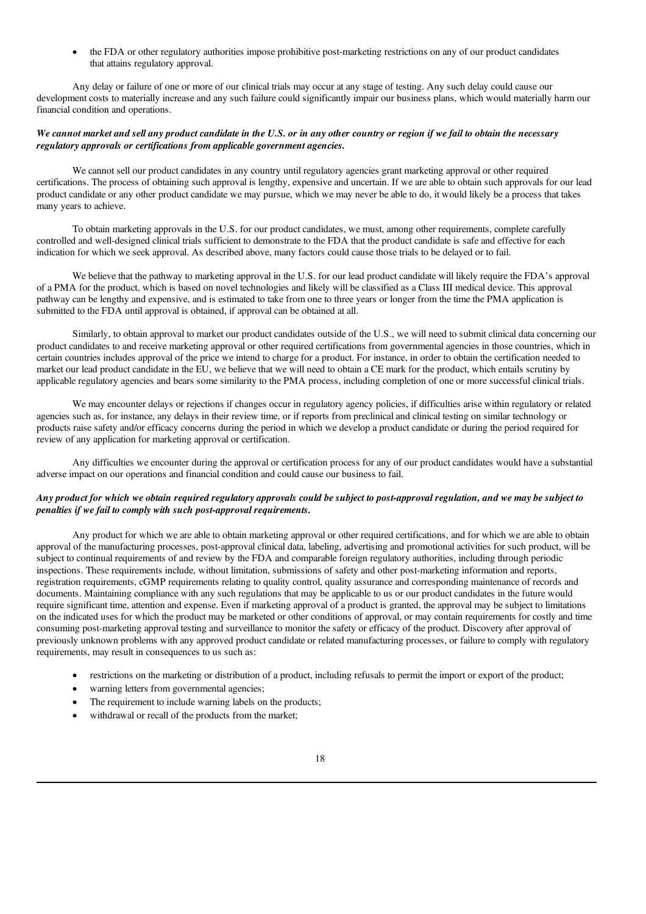· the FDA or other regulatory authorities impose prohibitive post-marketing restrictions on any of our product candidates that attains regulatory approval.

Any delay or failure of one or more of our clinical trials may occur at any stage of testing. Any such delay could cause our development costs to materially increase and any such failure could significantly impair our business plans, which would materially harm our financial condition and operations.

### We cannot market and sell any product candidate in the U.S. or in any other country or region if we fail to obtain the necessary *regulatory approvals or certifications from applicable government agencies.*

We cannot sell our product candidates in any country until regulatory agencies grant marketing approval or other required certifications. The process of obtaining such approval is lengthy, expensive and uncertain. If we are able to obtain such approvals for our lead product candidate or any other product candidate we may pursue, which we may never be able to do, it would likely be a process that takes many years to achieve.

To obtain marketing approvals in the U.S. for our product candidates, we must, among other requirements, complete carefully controlled and well-designed clinical trials sufficient to demonstrate to the FDA that the product candidate is safe and effective for each indication for which we seek approval. As described above, many factors could cause those trials to be delayed or to fail.

We believe that the pathway to marketing approval in the U.S. for our lead product candidate will likely require the FDA's approval of a PMA for the product, which is based on novel technologies and likely will be classified as a Class III medical device. This approval pathway can be lengthy and expensive, and is estimated to take from one to three years or longer from the time the PMA application is submitted to the FDA until approval is obtained, if approval can be obtained at all.

Similarly, to obtain approval to market our product candidates outside of the U.S., we will need to submit clinical data concerning our product candidates to and receive marketing approval or other required certifications from governmental agencies in those countries, which in certain countries includes approval of the price we intend to charge for a product. For instance, in order to obtain the certification needed to market our lead product candidate in the EU, we believe that we will need to obtain a CE mark for the product, which entails scrutiny by applicable regulatory agencies and bears some similarity to the PMA process, including completion of one or more successful clinical trials.

We may encounter delays or rejections if changes occur in regulatory agency policies, if difficulties arise within regulatory or related agencies such as, for instance, any delays in their review time, or if reports from preclinical and clinical testing on similar technology or products raise safety and/or efficacy concerns during the period in which we develop a product candidate or during the period required for review of any application for marketing approval or certification.

Any difficulties we encounter during the approval or certification process for any of our product candidates would have a substantial adverse impact on our operations and financial condition and could cause our business to fail.

# Any product for which we obtain required regulatory approvals could be subject to post-approval regulation, and we may be subject to *penalties if we fail to comply with such post-approval requirements.*

Any product for which we are able to obtain marketing approval or other required certifications, and for which we are able to obtain approval of the manufacturing processes, post-approval clinical data, labeling, advertising and promotional activities for such product, will be subject to continual requirements of and review by the FDA and comparable foreign regulatory authorities, including through periodic inspections. These requirements include, without limitation, submissions of safety and other post-marketing information and reports, registration requirements, cGMP requirements relating to quality control, quality assurance and corresponding maintenance of records and documents. Maintaining compliance with any such regulations that may be applicable to us or our product candidates in the future would require significant time, attention and expense. Even if marketing approval of a product is granted, the approval may be subject to limitations on the indicated uses for which the product may be marketed or other conditions of approval, or may contain requirements for costly and time consuming post-marketing approval testing and surveillance to monitor the safety or efficacy of the product. Discovery after approval of previously unknown problems with any approved product candidate or related manufacturing processes, or failure to comply with regulatory requirements, may result in consequences to us such as:

- restrictions on the marketing or distribution of a product, including refusals to permit the import or export of the product;
- warning letters from governmental agencies;
- The requirement to include warning labels on the products;
- withdrawal or recall of the products from the market;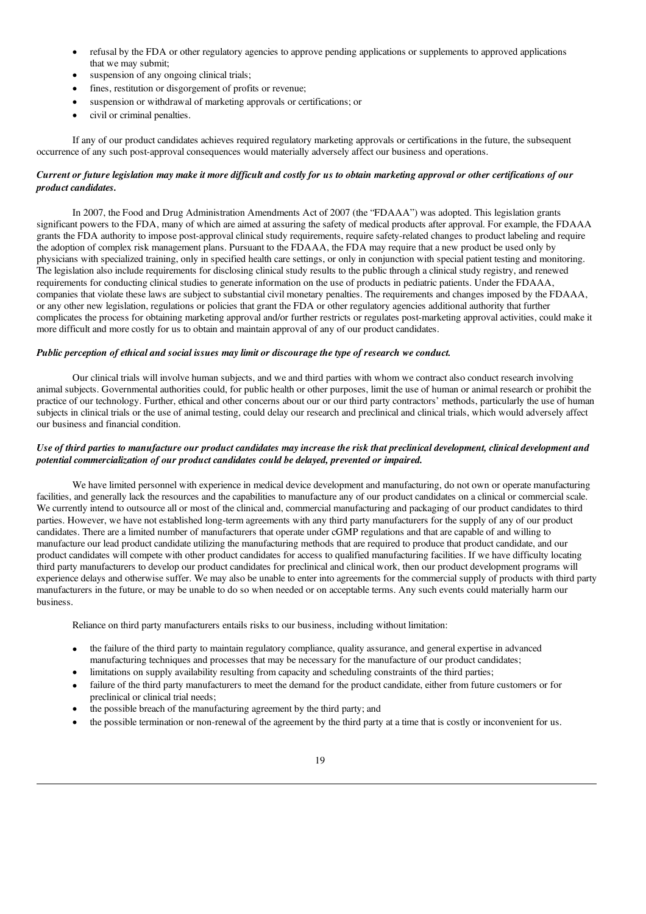- · refusal by the FDA or other regulatory agencies to approve pending applications or supplements to approved applications that we may submit;
- suspension of any ongoing clinical trials;
- fines, restitution or disgorgement of profits or revenue;
- suspension or withdrawal of marketing approvals or certifications; or
- civil or criminal penalties.

If any of our product candidates achieves required regulatory marketing approvals or certifications in the future, the subsequent occurrence of any such post-approval consequences would materially adversely affect our business and operations.

# Current or future legislation may make it more difficult and costly for us to obtain marketing approval or other certifications of our *product candidates.*

In 2007, the Food and Drug Administration Amendments Act of 2007 (the "FDAAA") was adopted. This legislation grants significant powers to the FDA, many of which are aimed at assuring the safety of medical products after approval. For example, the FDAAA grants the FDA authority to impose post-approval clinical study requirements, require safety-related changes to product labeling and require the adoption of complex risk management plans. Pursuant to the FDAAA, the FDA may require that a new product be used only by physicians with specialized training, only in specified health care settings, or only in conjunction with special patient testing and monitoring. The legislation also include requirements for disclosing clinical study results to the public through a clinical study registry, and renewed requirements for conducting clinical studies to generate information on the use of products in pediatric patients. Under the FDAAA, companies that violate these laws are subject to substantial civil monetary penalties. The requirements and changes imposed by the FDAAA, or any other new legislation, regulations or policies that grant the FDA or other regulatory agencies additional authority that further complicates the process for obtaining marketing approval and/or further restricts or regulates post-marketing approval activities, could make it more difficult and more costly for us to obtain and maintain approval of any of our product candidates.

### *Public perception of ethical and social issues may limit or discourage the type of research we conduct.*

Our clinical trials will involve human subjects, and we and third parties with whom we contract also conduct research involving animal subjects. Governmental authorities could, for public health or other purposes, limit the use of human or animal research or prohibit the practice of our technology. Further, ethical and other concerns about our or our third party contractors' methods, particularly the use of human subjects in clinical trials or the use of animal testing, could delay our research and preclinical and clinical trials, which would adversely affect our business and financial condition.

### Use of third parties to manufacture our product candidates may increase the risk that preclinical development, clinical development and *potential commercialization of our product candidates could be delayed, prevented or impaired.*

We have limited personnel with experience in medical device development and manufacturing, do not own or operate manufacturing facilities, and generally lack the resources and the capabilities to manufacture any of our product candidates on a clinical or commercial scale. We currently intend to outsource all or most of the clinical and, commercial manufacturing and packaging of our product candidates to third parties. However, we have not established long-term agreements with any third party manufacturers for the supply of any of our product candidates. There are a limited number of manufacturers that operate under cGMP regulations and that are capable of and willing to manufacture our lead product candidate utilizing the manufacturing methods that are required to produce that product candidate, and our product candidates will compete with other product candidates for access to qualified manufacturing facilities. If we have difficulty locating third party manufacturers to develop our product candidates for preclinical and clinical work, then our product development programs will experience delays and otherwise suffer. We may also be unable to enter into agreements for the commercial supply of products with third party manufacturers in the future, or may be unable to do so when needed or on acceptable terms. Any such events could materially harm our business.

Reliance on third party manufacturers entails risks to our business, including without limitation:

- the failure of the third party to maintain regulatory compliance, quality assurance, and general expertise in advanced manufacturing techniques and processes that may be necessary for the manufacture of our product candidates;
- limitations on supply availability resulting from capacity and scheduling constraints of the third parties;
- failure of the third party manufacturers to meet the demand for the product candidate, either from future customers or for preclinical or clinical trial needs;
- the possible breach of the manufacturing agreement by the third party; and
- · the possible termination or non-renewal of the agreement by the third party at a time that is costly or inconvenient for us.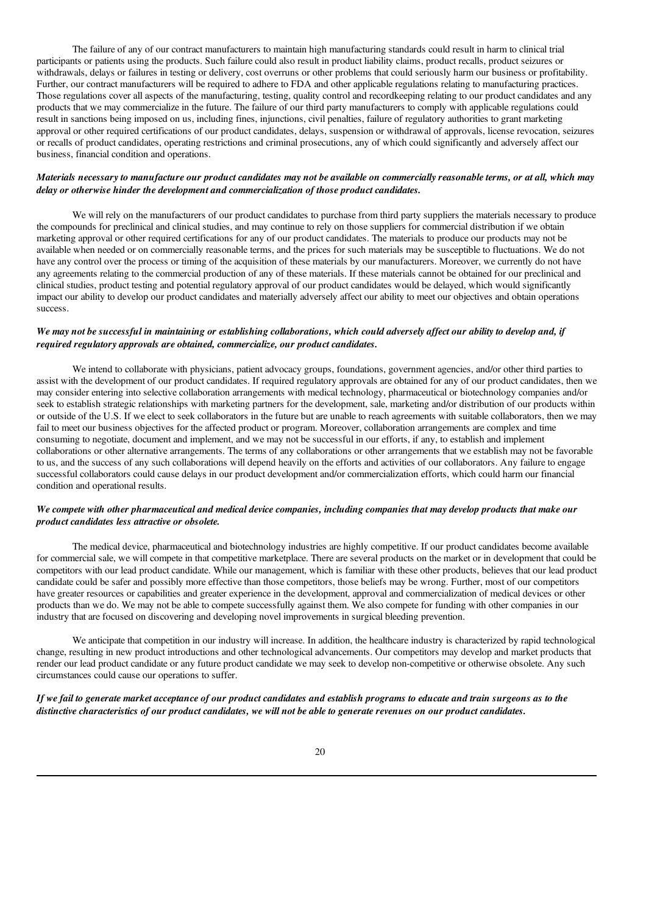The failure of any of our contract manufacturers to maintain high manufacturing standards could result in harm to clinical trial participants or patients using the products. Such failure could also result in product liability claims, product recalls, product seizures or withdrawals, delays or failures in testing or delivery, cost overruns or other problems that could seriously harm our business or profitability. Further, our contract manufacturers will be required to adhere to FDA and other applicable regulations relating to manufacturing practices. Those regulations cover all aspects of the manufacturing, testing, quality control and recordkeeping relating to our product candidates and any products that we may commercialize in the future. The failure of our third party manufacturers to comply with applicable regulations could result in sanctions being imposed on us, including fines, injunctions, civil penalties, failure of regulatory authorities to grant marketing approval or other required certifications of our product candidates, delays, suspension or withdrawal of approvals, license revocation, seizures or recalls of product candidates, operating restrictions and criminal prosecutions, any of which could significantly and adversely affect our business, financial condition and operations.

## Materials necessary to manufacture our product candidates may not be available on commercially reasonable terms, or at all, which may *delay or otherwise hinder the development and commercialization of those product candidates.*

We will rely on the manufacturers of our product candidates to purchase from third party suppliers the materials necessary to produce the compounds for preclinical and clinical studies, and may continue to rely on those suppliers for commercial distribution if we obtain marketing approval or other required certifications for any of our product candidates. The materials to produce our products may not be available when needed or on commercially reasonable terms, and the prices for such materials may be susceptible to fluctuations. We do not have any control over the process or timing of the acquisition of these materials by our manufacturers. Moreover, we currently do not have any agreements relating to the commercial production of any of these materials. If these materials cannot be obtained for our preclinical and clinical studies, product testing and potential regulatory approval of our product candidates would be delayed, which would significantly impact our ability to develop our product candidates and materially adversely affect our ability to meet our objectives and obtain operations success.

## We may not be successful in maintaining or establishing collaborations, which could adversely affect our ability to develop and, if *required regulatory approvals are obtained, commercialize, our product candidates.*

We intend to collaborate with physicians, patient advocacy groups, foundations, government agencies, and/or other third parties to assist with the development of our product candidates. If required regulatory approvals are obtained for any of our product candidates, then we may consider entering into selective collaboration arrangements with medical technology, pharmaceutical or biotechnology companies and/or seek to establish strategic relationships with marketing partners for the development, sale, marketing and/or distribution of our products within or outside of the U.S. If we elect to seek collaborators in the future but are unable to reach agreements with suitable collaborators, then we may fail to meet our business objectives for the affected product or program. Moreover, collaboration arrangements are complex and time consuming to negotiate, document and implement, and we may not be successful in our efforts, if any, to establish and implement collaborations or other alternative arrangements. The terms of any collaborations or other arrangements that we establish may not be favorable to us, and the success of any such collaborations will depend heavily on the efforts and activities of our collaborators. Any failure to engage successful collaborators could cause delays in our product development and/or commercialization efforts, which could harm our financial condition and operational results.

## We compete with other pharmaceutical and medical device companies, including companies that may develop products that make our *product candidates less attractive or obsolete.*

The medical device, pharmaceutical and biotechnology industries are highly competitive. If our product candidates become available for commercial sale, we will compete in that competitive marketplace. There are several products on the market or in development that could be competitors with our lead product candidate. While our management, which is familiar with these other products, believes that our lead product candidate could be safer and possibly more effective than those competitors, those beliefs may be wrong. Further, most of our competitors have greater resources or capabilities and greater experience in the development, approval and commercialization of medical devices or other products than we do. We may not be able to compete successfully against them. We also compete for funding with other companies in our industry that are focused on discovering and developing novel improvements in surgical bleeding prevention.

We anticipate that competition in our industry will increase. In addition, the healthcare industry is characterized by rapid technological change, resulting in new product introductions and other technological advancements. Our competitors may develop and market products that render our lead product candidate or any future product candidate we may seek to develop non-competitive or otherwise obsolete. Any such circumstances could cause our operations to suffer.

If we fail to generate market acceptance of our product candidates and establish programs to educate and train surgeons as to the distinctive characteristics of our product candidates, we will not be able to generate revenues on our product candidates.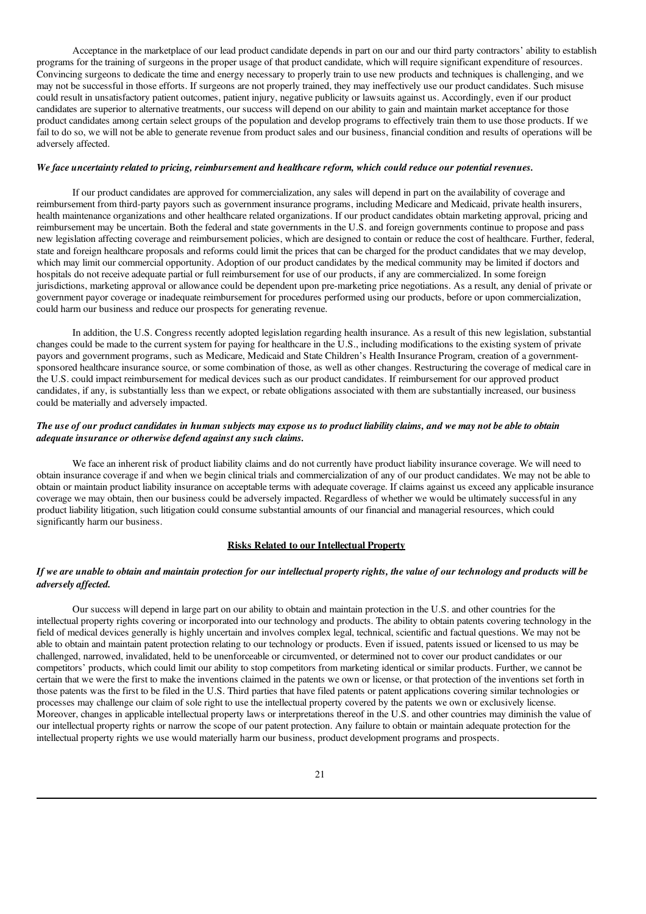Acceptance in the marketplace of our lead product candidate depends in part on our and our third party contractors' ability to establish programs for the training of surgeons in the proper usage of that product candidate, which will require significant expenditure of resources. Convincing surgeons to dedicate the time and energy necessary to properly train to use new products and techniques is challenging, and we may not be successful in those efforts. If surgeons are not properly trained, they may ineffectively use our product candidates. Such misuse could result in unsatisfactory patient outcomes, patient injury, negative publicity or lawsuits against us. Accordingly, even if our product candidates are superior to alternative treatments, our success will depend on our ability to gain and maintain market acceptance for those product candidates among certain select groups of the population and develop programs to effectively train them to use those products. If we fail to do so, we will not be able to generate revenue from product sales and our business, financial condition and results of operations will be adversely affected.

### We face uncertainty related to pricing, reimbursement and healthcare reform, which could reduce our potential revenues.

If our product candidates are approved for commercialization, any sales will depend in part on the availability of coverage and reimbursement from third-party payors such as government insurance programs, including Medicare and Medicaid, private health insurers, health maintenance organizations and other healthcare related organizations. If our product candidates obtain marketing approval, pricing and reimbursement may be uncertain. Both the federal and state governments in the U.S. and foreign governments continue to propose and pass new legislation affecting coverage and reimbursement policies, which are designed to contain or reduce the cost of healthcare. Further, federal, state and foreign healthcare proposals and reforms could limit the prices that can be charged for the product candidates that we may develop, which may limit our commercial opportunity. Adoption of our product candidates by the medical community may be limited if doctors and hospitals do not receive adequate partial or full reimbursement for use of our products, if any are commercialized. In some foreign jurisdictions, marketing approval or allowance could be dependent upon pre-marketing price negotiations. As a result, any denial of private or government payor coverage or inadequate reimbursement for procedures performed using our products, before or upon commercialization, could harm our business and reduce our prospects for generating revenue.

In addition, the U.S. Congress recently adopted legislation regarding health insurance. As a result of this new legislation, substantial changes could be made to the current system for paying for healthcare in the U.S., including modifications to the existing system of private payors and government programs, such as Medicare, Medicaid and State Children's Health Insurance Program, creation of a governmentsponsored healthcare insurance source, or some combination of those, as well as other changes. Restructuring the coverage of medical care in the U.S. could impact reimbursement for medical devices such as our product candidates. If reimbursement for our approved product candidates, if any, is substantially less than we expect, or rebate obligations associated with them are substantially increased, our business could be materially and adversely impacted.

### The use of our product candidates in human subjects may expose us to product liability claims, and we may not be able to obtain *adequate insurance or otherwise defend against any such claims.*

We face an inherent risk of product liability claims and do not currently have product liability insurance coverage. We will need to obtain insurance coverage if and when we begin clinical trials and commercialization of any of our product candidates. We may not be able to obtain or maintain product liability insurance on acceptable terms with adequate coverage. If claims against us exceed any applicable insurance coverage we may obtain, then our business could be adversely impacted. Regardless of whether we would be ultimately successful in any product liability litigation, such litigation could consume substantial amounts of our financial and managerial resources, which could significantly harm our business.

### Risks Related to our Intellectual Property

### If we are unable to obtain and maintain protection for our intellectual property rights, the value of our technology and products will be *adversely affected.*

Our success will depend in large part on our ability to obtain and maintain protection in the U.S. and other countries for the intellectual property rights covering or incorporated into our technology and products. The ability to obtain patents covering technology in the field of medical devices generally is highly uncertain and involves complex legal, technical, scientific and factual questions. We may not be able to obtain and maintain patent protection relating to our technology or products. Even if issued, patents issued or licensed to us may be challenged, narrowed, invalidated, held to be unenforceable or circumvented, or determined not to cover our product candidates or our competitors' products, which could limit our ability to stop competitors from marketing identical or similar products. Further, we cannot be certain that we were the first to make the inventions claimed in the patents we own or license, or that protection of the inventions set forth in those patents was the first to be filed in the U.S. Third parties that have filed patents or patent applications covering similar technologies or processes may challenge our claim of sole right to use the intellectual property covered by the patents we own or exclusively license. Moreover, changes in applicable intellectual property laws or interpretations thereof in the U.S. and other countries may diminish the value of our intellectual property rights or narrow the scope of our patent protection. Any failure to obtain or maintain adequate protection for the intellectual property rights we use would materially harm our business, product development programs and prospects.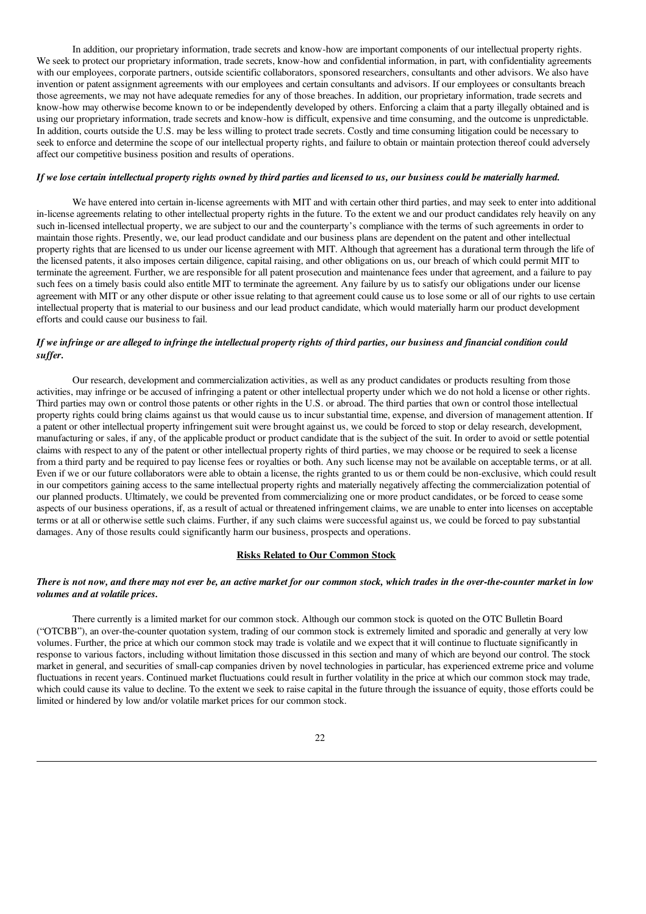In addition, our proprietary information, trade secrets and know-how are important components of our intellectual property rights. We seek to protect our proprietary information, trade secrets, know-how and confidential information, in part, with confidentiality agreements with our employees, corporate partners, outside scientific collaborators, sponsored researchers, consultants and other advisors. We also have invention or patent assignment agreements with our employees and certain consultants and advisors. If our employees or consultants breach those agreements, we may not have adequate remedies for any of those breaches. In addition, our proprietary information, trade secrets and know-how may otherwise become known to or be independently developed by others. Enforcing a claim that a party illegally obtained and is using our proprietary information, trade secrets and know-how is difficult, expensive and time consuming, and the outcome is unpredictable. In addition, courts outside the U.S. may be less willing to protect trade secrets. Costly and time consuming litigation could be necessary to seek to enforce and determine the scope of our intellectual property rights, and failure to obtain or maintain protection thereof could adversely affect our competitive business position and results of operations.

### If we lose certain intellectual property rights owned by third parties and licensed to us, our business could be materially harmed.

We have entered into certain in-license agreements with MIT and with certain other third parties, and may seek to enter into additional in-license agreements relating to other intellectual property rights in the future. To the extent we and our product candidates rely heavily on any such in-licensed intellectual property, we are subject to our and the counterparty's compliance with the terms of such agreements in order to maintain those rights. Presently, we, our lead product candidate and our business plans are dependent on the patent and other intellectual property rights that are licensed to us under our license agreement with MIT. Although that agreement has a durational term through the life of the licensed patents, it also imposes certain diligence, capital raising, and other obligations on us, our breach of which could permit MIT to terminate the agreement. Further, we are responsible for all patent prosecution and maintenance fees under that agreement, and a failure to pay such fees on a timely basis could also entitle MIT to terminate the agreement. Any failure by us to satisfy our obligations under our license agreement with MIT or any other dispute or other issue relating to that agreement could cause us to lose some or all of our rights to use certain intellectual property that is material to our business and our lead product candidate, which would materially harm our product development efforts and could cause our business to fail.

# If we infringe or are alleged to infringe the intellectual property rights of third parties, our business and financial condition could *suffer.*

Our research, development and commercialization activities, as well as any product candidates or products resulting from those activities, may infringe or be accused of infringing a patent or other intellectual property under which we do not hold a license or other rights. Third parties may own or control those patents or other rights in the U.S. or abroad. The third parties that own or control those intellectual property rights could bring claims against us that would cause us to incur substantial time, expense, and diversion of management attention. If a patent or other intellectual property infringement suit were brought against us, we could be forced to stop or delay research, development, manufacturing or sales, if any, of the applicable product or product candidate that is the subject of the suit. In order to avoid or settle potential claims with respect to any of the patent or other intellectual property rights of third parties, we may choose or be required to seek a license from a third party and be required to pay license fees or royalties or both. Any such license may not be available on acceptable terms, or at all. Even if we or our future collaborators were able to obtain a license, the rights granted to us or them could be non-exclusive, which could result in our competitors gaining access to the same intellectual property rights and materially negatively affecting the commercialization potential of our planned products. Ultimately, we could be prevented from commercializing one or more product candidates, or be forced to cease some aspects of our business operations, if, as a result of actual or threatened infringement claims, we are unable to enter into licenses on acceptable terms or at all or otherwise settle such claims. Further, if any such claims were successful against us, we could be forced to pay substantial damages. Any of those results could significantly harm our business, prospects and operations.

### Risks Related to Our Common Stock

### There is not now, and there may not ever be, an active market for our common stock, which trades in the over-the-counter market in low *volumes and at volatile prices.*

There currently is a limited market for our common stock. Although our common stock is quoted on the OTC Bulletin Board ("OTCBB"), an over-the-counter quotation system, trading of our common stock is extremely limited and sporadic and generally at very low volumes. Further, the price at which our common stock may trade is volatile and we expect that it will continue to fluctuate significantly in response to various factors, including without limitation those discussed in this section and many of which are beyond our control. The stock market in general, and securities of small-cap companies driven by novel technologies in particular, has experienced extreme price and volume fluctuations in recent years. Continued market fluctuations could result in further volatility in the price at which our common stock may trade, which could cause its value to decline. To the extent we seek to raise capital in the future through the issuance of equity, those efforts could be limited or hindered by low and/or volatile market prices for our common stock.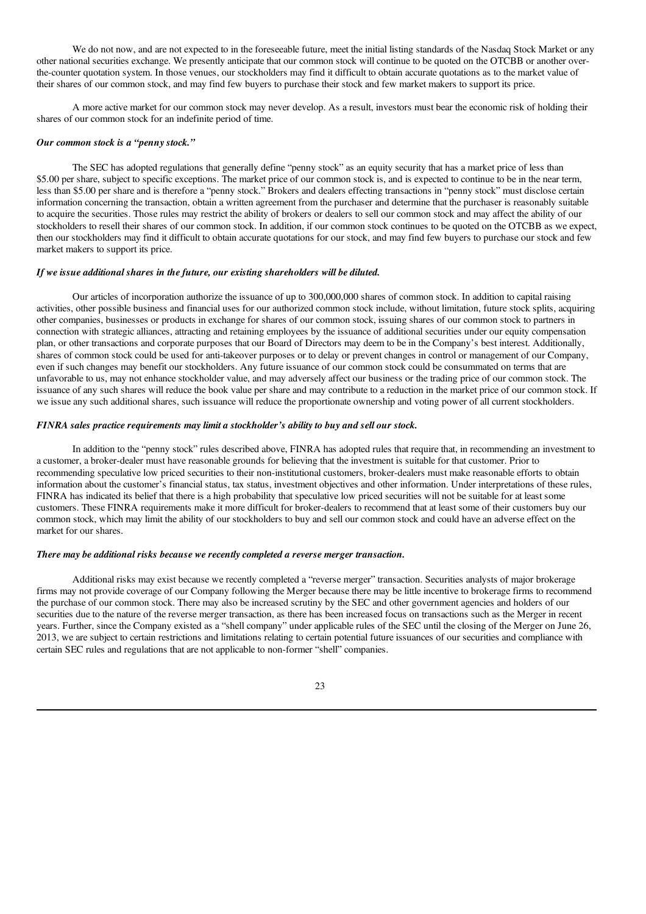We do not now, and are not expected to in the foreseeable future, meet the initial listing standards of the Nasdaq Stock Market or any other national securities exchange. We presently anticipate that our common stock will continue to be quoted on the OTCBB or another overthe-counter quotation system. In those venues, our stockholders may find it difficult to obtain accurate quotations as to the market value of their shares of our common stock, and may find few buyers to purchase their stock and few market makers to support its price.

A more active market for our common stock may never develop. As a result, investors must bear the economic risk of holding their shares of our common stock for an indefinite period of time.

### *Our common stock is a "penny stock."*

The SEC has adopted regulations that generally define "penny stock" as an equity security that has a market price of less than \$5.00 per share, subject to specific exceptions. The market price of our common stock is, and is expected to continue to be in the near term, less than \$5.00 per share and is therefore a "penny stock." Brokers and dealers effecting transactions in "penny stock" must disclose certain information concerning the transaction, obtain a written agreement from the purchaser and determine that the purchaser is reasonably suitable to acquire the securities. Those rules may restrict the ability of brokers or dealers to sell our common stock and may affect the ability of our stockholders to resell their shares of our common stock. In addition, if our common stock continues to be quoted on the OTCBB as we expect, then our stockholders may find it difficult to obtain accurate quotations for our stock, and may find few buyers to purchase our stock and few market makers to support its price.

#### *If we issue additional shares in the future, our existing shareholders will be diluted.*

Our articles of incorporation authorize the issuance of up to 300,000,000 shares of common stock. In addition to capital raising activities, other possible business and financial uses for our authorized common stock include, without limitation, future stock splits, acquiring other companies, businesses or products in exchange for shares of our common stock, issuing shares of our common stock to partners in connection with strategic alliances, attracting and retaining employees by the issuance of additional securities under our equity compensation plan, or other transactions and corporate purposes that our Board of Directors may deem to be in the Company's best interest. Additionally, shares of common stock could be used for anti-takeover purposes or to delay or prevent changes in control or management of our Company, even if such changes may benefit our stockholders. Any future issuance of our common stock could be consummated on terms that are unfavorable to us, may not enhance stockholder value, and may adversely affect our business or the trading price of our common stock. The issuance of any such shares will reduce the book value per share and may contribute to a reduction in the market price of our common stock. If we issue any such additional shares, such issuance will reduce the proportionate ownership and voting power of all current stockholders.

## *FINRA sales practice requirements may limit a stockholder's ability to buy and sell our stock.*

In addition to the "penny stock" rules described above, FINRA has adopted rules that require that, in recommending an investment to a customer, a broker-dealer must have reasonable grounds for believing that the investment is suitable for that customer. Prior to recommending speculative low priced securities to their non-institutional customers, broker-dealers must make reasonable efforts to obtain information about the customer's financial status, tax status, investment objectives and other information. Under interpretations of these rules, FINRA has indicated its belief that there is a high probability that speculative low priced securities will not be suitable for at least some customers. These FINRA requirements make it more difficult for broker-dealers to recommend that at least some of their customers buy our common stock, which may limit the ability of our stockholders to buy and sell our common stock and could have an adverse effect on the market for our shares.

### *There may be additional risks because we recently completed a reverse merger transaction.*

Additional risks may exist because we recently completed a "reverse merger" transaction. Securities analysts of major brokerage firms may not provide coverage of our Company following the Merger because there may be little incentive to brokerage firms to recommend the purchase of our common stock. There may also be increased scrutiny by the SEC and other government agencies and holders of our securities due to the nature of the reverse merger transaction, as there has been increased focus on transactions such as the Merger in recent years. Further, since the Company existed as a "shell company" under applicable rules of the SEC until the closing of the Merger on June 26, 2013, we are subject to certain restrictions and limitations relating to certain potential future issuances of our securities and compliance with certain SEC rules and regulations that are not applicable to non-former "shell" companies.

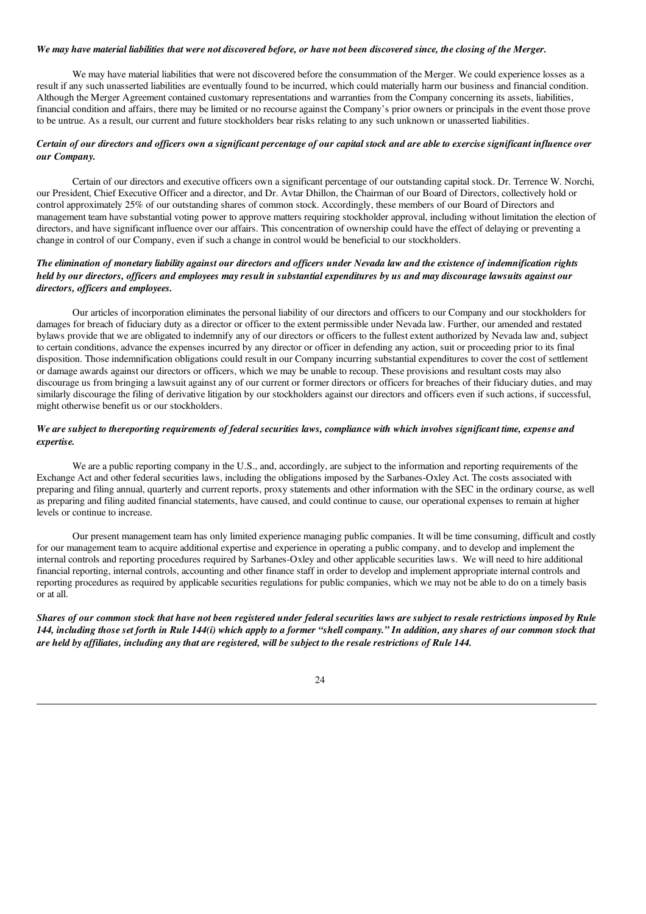### We may have material liabilities that were not discovered before, or have not been discovered since, the closing of the Merger.

We may have material liabilities that were not discovered before the consummation of the Merger. We could experience losses as a result if any such unasserted liabilities are eventually found to be incurred, which could materially harm our business and financial condition. Although the Merger Agreement contained customary representations and warranties from the Company concerning its assets, liabilities, financial condition and affairs, there may be limited or no recourse against the Company's prior owners or principals in the event those prove to be untrue. As a result, our current and future stockholders bear risks relating to any such unknown or unasserted liabilities.

# Certain of our directors and officers own a significant percentage of our capital stock and are able to exercise significant influence over *our Company.*

Certain of our directors and executive officers own a significant percentage of our outstanding capital stock. Dr. Terrence W. Norchi, our President, Chief Executive Officer and a director, and Dr. Avtar Dhillon, the Chairman of our Board of Directors, collectively hold or control approximately 25% of our outstanding shares of common stock. Accordingly, these members of our Board of Directors and management team have substantial voting power to approve matters requiring stockholder approval, including without limitation the election of directors, and have significant influence over our affairs. This concentration of ownership could have the effect of delaying or preventing a change in control of our Company, even if such a change in control would be beneficial to our stockholders.

### The elimination of monetary liability against our directors and officers under Nevada law and the existence of indemnification rights held by our directors, officers and employees may result in substantial expenditures by us and may discourage lawsuits against our *directors, officers and employees.*

Our articles of incorporation eliminates the personal liability of our directors and officers to our Company and our stockholders for damages for breach of fiduciary duty as a director or officer to the extent permissible under Nevada law. Further, our amended and restated bylaws provide that we are obligated to indemnify any of our directors or officers to the fullest extent authorized by Nevada law and, subject to certain conditions, advance the expenses incurred by any director or officer in defending any action, suit or proceeding prior to its final disposition. Those indemnification obligations could result in our Company incurring substantial expenditures to cover the cost of settlement or damage awards against our directors or officers, which we may be unable to recoup. These provisions and resultant costs may also discourage us from bringing a lawsuit against any of our current or former directors or officers for breaches of their fiduciary duties, and may similarly discourage the filing of derivative litigation by our stockholders against our directors and officers even if such actions, if successful, might otherwise benefit us or our stockholders.

### We are subject to thereporting requirements of federal securities laws, compliance with which involves significant time, expense and *expertise.*

We are a public reporting company in the U.S., and, accordingly, are subject to the information and reporting requirements of the Exchange Act and other federal securities laws, including the obligations imposed by the Sarbanes-Oxley Act. The costs associated with preparing and filing annual, quarterly and current reports, proxy statements and other information with the SEC in the ordinary course, as well as preparing and filing audited financial statements, have caused, and could continue to cause, our operational expenses to remain at higher levels or continue to increase.

Our present management team has only limited experience managing public companies. It will be time consuming, difficult and costly for our management team to acquire additional expertise and experience in operating a public company, and to develop and implement the internal controls and reporting procedures required by Sarbanes-Oxley and other applicable securities laws. We will need to hire additional financial reporting, internal controls, accounting and other finance staff in order to develop and implement appropriate internal controls and reporting procedures as required by applicable securities regulations for public companies, which we may not be able to do on a timely basis or at all.

Shares of our common stock that have not been registered under federal securities laws are subject to resale restrictions imposed by Rule 144, including those set forth in Rule 144(i) which apply to a former "shell company." In addition, any shares of our common stock that are held by affiliates, including any that are registered, will be subject to the resale restrictions of Rule 144.

### 24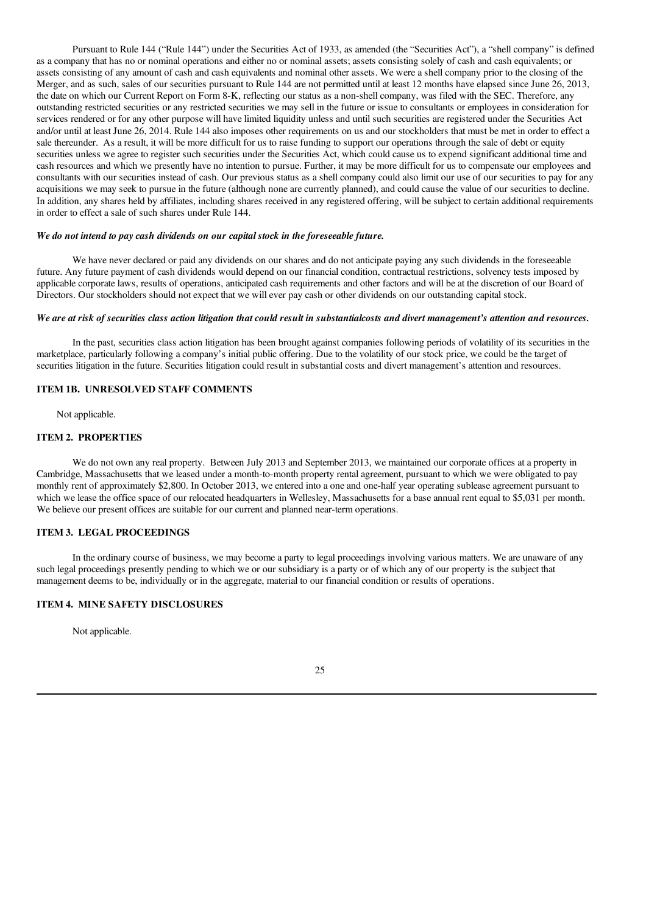Pursuant to Rule 144 ("Rule 144") under the Securities Act of 1933, as amended (the "Securities Act"), a "shell company" is defined as a company that has no or nominal operations and either no or nominal assets; assets consisting solely of cash and cash equivalents; or assets consisting of any amount of cash and cash equivalents and nominal other assets. We were a shell company prior to the closing of the Merger, and as such, sales of our securities pursuant to Rule 144 are not permitted until at least 12 months have elapsed since June 26, 2013, the date on which our Current Report on Form 8-K, reflecting our status as a non-shell company, was filed with the SEC. Therefore, any outstanding restricted securities or any restricted securities we may sell in the future or issue to consultants or employees in consideration for services rendered or for any other purpose will have limited liquidity unless and until such securities are registered under the Securities Act and/or until at least June 26, 2014. Rule 144 also imposes other requirements on us and our stockholders that must be met in order to effect a sale thereunder. As a result, it will be more difficult for us to raise funding to support our operations through the sale of debt or equity securities unless we agree to register such securities under the Securities Act, which could cause us to expend significant additional time and cash resources and which we presently have no intention to pursue. Further, it may be more difficult for us to compensate our employees and consultants with our securities instead of cash. Our previous status as a shell company could also limit our use of our securities to pay for any acquisitions we may seek to pursue in the future (although none are currently planned), and could cause the value of our securities to decline. In addition, any shares held by affiliates, including shares received in any registered offering, will be subject to certain additional requirements in order to effect a sale of such shares under Rule 144.

### *We do not intend to pay cash dividends on our capital stock in the foreseeable future.*

We have never declared or paid any dividends on our shares and do not anticipate paying any such dividends in the foreseeable future. Any future payment of cash dividends would depend on our financial condition, contractual restrictions, solvency tests imposed by applicable corporate laws, results of operations, anticipated cash requirements and other factors and will be at the discretion of our Board of Directors. Our stockholders should not expect that we will ever pay cash or other dividends on our outstanding capital stock.

# We are at risk of securities class action litigation that could result in substantialcosts and divert management's attention and resources.

In the past, securities class action litigation has been brought against companies following periods of volatility of its securities in the marketplace, particularly following a company's initial public offering. Due to the volatility of our stock price, we could be the target of securities litigation in the future. Securities litigation could result in substantial costs and divert management's attention and resources.

# ITEM 1B. UNRESOLVED STAFF COMMENTS

Not applicable.

# ITEM 2. PROPERTIES

We do not own any real property. Between July 2013 and September 2013, we maintained our corporate offices at a property in Cambridge, Massachusetts that we leased under a month-to-month property rental agreement, pursuant to which we were obligated to pay monthly rent of approximately \$2,800. In October 2013, we entered into a one and one-half year operating sublease agreement pursuant to which we lease the office space of our relocated headquarters in Wellesley, Massachusetts for a base annual rent equal to \$5,031 per month. We believe our present offices are suitable for our current and planned near-term operations.

### ITEM 3. LEGAL PROCEEDINGS

In the ordinary course of business, we may become a party to legal proceedings involving various matters. We are unaware of any such legal proceedings presently pending to which we or our subsidiary is a party or of which any of our property is the subject that management deems to be, individually or in the aggregate, material to our financial condition or results of operations.

# ITEM 4. MINE SAFETY DISCLOSURES

Not applicable.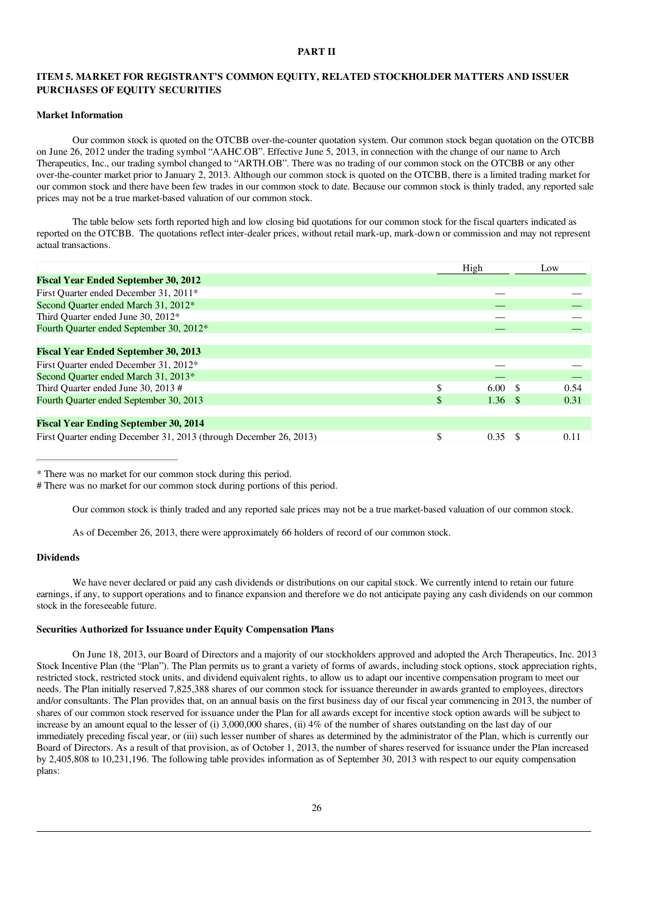#### PART II

# ITEM 5. MARKET FOR REGISTRANT'S COMMON EQUITY, RELATED STOCKHOLDER MATTERS AND ISSUER PURCHASES OF EQUITY SECURITIES

#### Market Information

Our common stock is quoted on the OTCBB over-the-counter quotation system. Our common stock began quotation on the OTCBB on June 26, 2012 under the trading symbol "AAHC.OB". Effective June 5, 2013, in connection with the change of our name to Arch Therapeutics, Inc., our trading symbol changed to "ARTH.OB". There was no trading of our common stock on the OTCBB or any other over-the-counter market prior to January 2, 2013. Although our common stock is quoted on the OTCBB, there is a limited trading market for our common stock and there have been few trades in our common stock to date. Because our common stock is thinly traded, any reported sale prices may not be a true market-based valuation of our common stock.

The table below sets forth reported high and low closing bid quotations for our common stock for the fiscal quarters indicated as reported on the OTCBB. The quotations reflect inter-dealer prices, without retail mark-up, mark-down or commission and may not represent actual transactions.

| High | Low                                                      |
|------|----------------------------------------------------------|
|      |                                                          |
|      |                                                          |
|      |                                                          |
|      |                                                          |
|      |                                                          |
|      |                                                          |
|      |                                                          |
|      |                                                          |
|      |                                                          |
|      | 0.54                                                     |
|      | 0.31                                                     |
|      |                                                          |
|      |                                                          |
| 0.35 | 0.11                                                     |
|      | \$<br>6.00 <sup>8</sup><br>\$<br>1.36 <sup>5</sup><br>\$ |

<sup>\*</sup> There was no market for our common stock during this period.

Our common stock is thinly traded and any reported sale prices may not be a true market-based valuation of our common stock.

As of December 26, 2013, there were approximately 66 holders of record of our common stock.

## Dividends

We have never declared or paid any cash dividends or distributions on our capital stock. We currently intend to retain our future earnings, if any, to support operations and to finance expansion and therefore we do not anticipate paying any cash dividends on our common stock in the foreseeable future.

#### Securities Authorized for Issuance under Equity Compensation Plans

On June 18, 2013, our Board of Directors and a majority of our stockholders approved and adopted the Arch Therapeutics, Inc. 2013 Stock Incentive Plan (the "Plan"). The Plan permits us to grant a variety of forms of awards, including stock options, stock appreciation rights, restricted stock, restricted stock units, and dividend equivalent rights, to allow us to adapt our incentive compensation program to meet our needs. The Plan initially reserved 7,825,388 shares of our common stock for issuance thereunder in awards granted to employees, directors and/or consultants. The Plan provides that, on an annual basis on the first business day of our fiscal year commencing in 2013, the number of shares of our common stock reserved for issuance under the Plan for all awards except for incentive stock option awards will be subject to increase by an amount equal to the lesser of (i) 3,000,000 shares, (ii) 4% of the number of shares outstanding on the last day of our immediately preceding fiscal year, or (iii) such lesser number of shares as determined by the administrator of the Plan, which is currently our Board of Directors. As a result of that provision, as of October 1, 2013, the number of shares reserved for issuance under the Plan increased by 2,405,808 to 10,231,196. The following table provides information as of September 30, 2013 with respect to our equity compensation plans:

<sup>#</sup> There was no market for our common stock during portions of this period.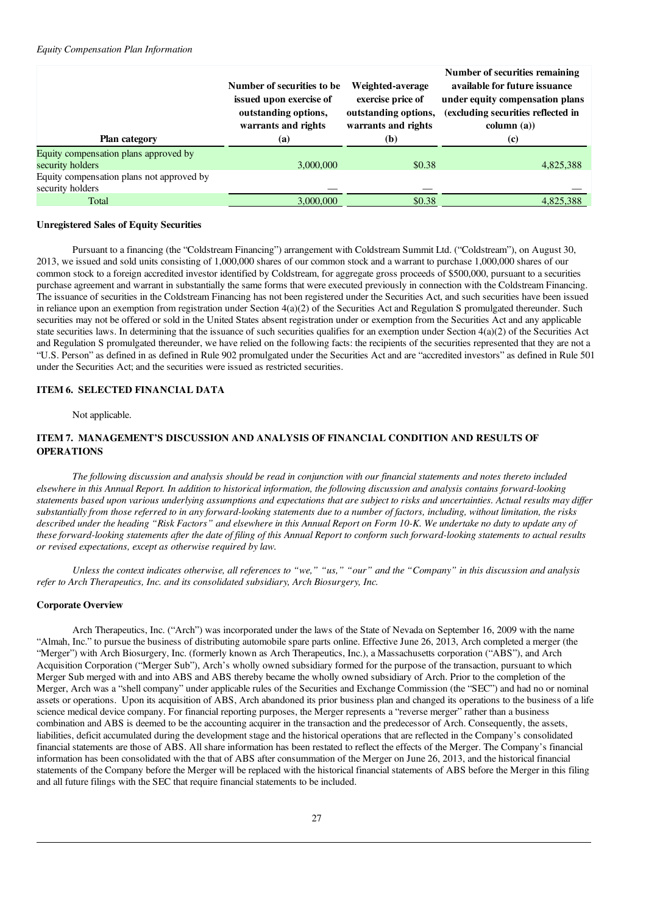|                                           | Number of securities to be<br>issued upon exercise of<br>outstanding options,<br>warrants and rights | Weighted-average<br>exercise price of<br>outstanding options,<br>warrants and rights | Number of securities remaining<br>available for future issuance<br>under equity compensation plans<br>(excluding securities reflected in<br>column (a)) |
|-------------------------------------------|------------------------------------------------------------------------------------------------------|--------------------------------------------------------------------------------------|---------------------------------------------------------------------------------------------------------------------------------------------------------|
| <b>Plan category</b>                      | (a)                                                                                                  | (b)                                                                                  | (c)                                                                                                                                                     |
| Equity compensation plans approved by     |                                                                                                      |                                                                                      |                                                                                                                                                         |
| security holders                          | 3,000,000                                                                                            | \$0.38                                                                               | 4,825,388                                                                                                                                               |
| Equity compensation plans not approved by |                                                                                                      |                                                                                      |                                                                                                                                                         |
| security holders                          |                                                                                                      |                                                                                      |                                                                                                                                                         |
| Total                                     | 3,000,000                                                                                            | \$0.38                                                                               | 4,825,388                                                                                                                                               |

### Unregistered Sales of Equity Securities

Pursuant to a financing (the "Coldstream Financing") arrangement with Coldstream Summit Ltd. ("Coldstream"), on August 30, 2013, we issued and sold units consisting of 1,000,000 shares of our common stock and a warrant to purchase 1,000,000 shares of our common stock to a foreign accredited investor identified by Coldstream, for aggregate gross proceeds of \$500,000, pursuant to a securities purchase agreement and warrant in substantially the same forms that were executed previously in connection with the Coldstream Financing. The issuance of securities in the Coldstream Financing has not been registered under the Securities Act, and such securities have been issued in reliance upon an exemption from registration under Section  $4(a)(2)$  of the Securities Act and Regulation S promulgated thereunder. Such securities may not be offered or sold in the United States absent registration under or exemption from the Securities Act and any applicable state securities laws. In determining that the issuance of such securities qualifies for an exemption under Section  $4(a)(2)$  of the Securities Act and Regulation S promulgated thereunder, we have relied on the following facts: the recipients of the securities represented that they are not a "U.S. Person" as defined in as defined in Rule 902 promulgated under the Securities Act and are "accredited investors" as defined in Rule 501 under the Securities Act; and the securities were issued as restricted securities.

### ITEM 6. SELECTED FINANCIAL DATA

#### Not applicable.

# ITEM 7. MANAGEMENT'S DISCUSSION AND ANALYSIS OF FINANCIAL CONDITION AND RESULTS OF **OPERATIONS**

The following discussion and analysis should be read in conjunction with our financial statements and notes thereto included elsewhere in this Annual Report. In addition to historical information, the following discussion and analysis contains forward-looking statements based upon various underlying assumptions and expectations that are subject to risks and uncertainties. Actual results may differ substantially from those referred to in any forward-looking statements due to a number of factors, including, without limitation, the risks described under the heading "Risk Factors" and elsewhere in this Annual Report on Form 10-K. We undertake no duty to update any of these forward-looking statements after the date of filing of this Annual Report to conform such forward-looking statements to actual results *or revised expectations, except as otherwise required by law.*

Unless the context indicates otherwise, all references to "we," "us," "our" and the "Company" in this discussion and analysis *refer to Arch Therapeutics, Inc. and its consolidated subsidiary, Arch Biosurgery, Inc.*

### Corporate Overview

Arch Therapeutics, Inc. ("Arch") was incorporated under the laws of the State of Nevada on September 16, 2009 with the name "Almah, Inc." to pursue the business of distributing automobile spare parts online. Effective June 26, 2013, Arch completed a merger (the "Merger") with Arch Biosurgery, Inc. (formerly known as Arch Therapeutics, Inc.), a Massachusetts corporation ("ABS"), and Arch Acquisition Corporation ("Merger Sub"), Arch's wholly owned subsidiary formed for the purpose of the transaction, pursuant to which Merger Sub merged with and into ABS and ABS thereby became the wholly owned subsidiary of Arch. Prior to the completion of the Merger, Arch was a "shell company" under applicable rules of the Securities and Exchange Commission (the "SEC") and had no or nominal assets or operations. Upon its acquisition of ABS, Arch abandoned its prior business plan and changed its operations to the business of a life science medical device company. For financial reporting purposes, the Merger represents a "reverse merger" rather than a business combination and ABS is deemed to be the accounting acquirer in the transaction and the predecessor of Arch. Consequently, the assets, liabilities, deficit accumulated during the development stage and the historical operations that are reflected in the Company's consolidated financial statements are those of ABS. All share information has been restated to reflect the effects of the Merger. The Company's financial information has been consolidated with the that of ABS after consummation of the Merger on June 26, 2013, and the historical financial statements of the Company before the Merger will be replaced with the historical financial statements of ABS before the Merger in this filing and all future filings with the SEC that require financial statements to be included.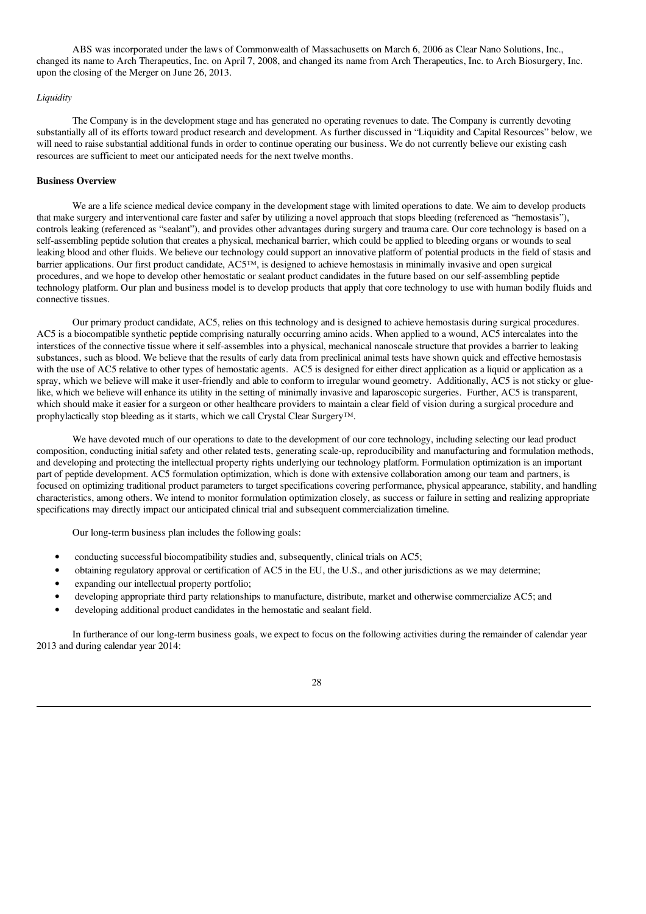ABS was incorporated under the laws of Commonwealth of Massachusetts on March 6, 2006 as Clear Nano Solutions, Inc., changed its name to Arch Therapeutics, Inc. on April 7, 2008, and changed its name from Arch Therapeutics, Inc. to Arch Biosurgery, Inc. upon the closing of the Merger on June 26, 2013.

#### *Liquidity*

The Company is in the development stage and has generated no operating revenues to date. The Company is currently devoting substantially all of its efforts toward product research and development. As further discussed in "Liquidity and Capital Resources" below, we will need to raise substantial additional funds in order to continue operating our business. We do not currently believe our existing cash resources are sufficient to meet our anticipated needs for the next twelve months.

### Business Overview

We are a life science medical device company in the development stage with limited operations to date. We aim to develop products that make surgery and interventional care faster and safer by utilizing a novel approach that stops bleeding (referenced as "hemostasis"), controls leaking (referenced as "sealant"), and provides other advantages during surgery and trauma care. Our core technology is based on a self-assembling peptide solution that creates a physical, mechanical barrier, which could be applied to bleeding organs or wounds to seal leaking blood and other fluids. We believe our technology could support an innovative platform of potential products in the field of stasis and barrier applications. Our first product candidate, AC5™, is designed to achieve hemostasis in minimally invasive and open surgical procedures, and we hope to develop other hemostatic or sealant product candidates in the future based on our self-assembling peptide technology platform. Our plan and business model is to develop products that apply that core technology to use with human bodily fluids and connective tissues.

Our primary product candidate, AC5, relies on this technology and is designed to achieve hemostasis during surgical procedures. AC5 is a biocompatible synthetic peptide comprising naturally occurring amino acids. When applied to a wound, AC5 intercalates into the interstices of the connective tissue where it self-assembles into a physical, mechanical nanoscale structure that provides a barrier to leaking substances, such as blood. We believe that the results of early data from preclinical animal tests have shown quick and effective hemostasis with the use of AC5 relative to other types of hemostatic agents. AC5 is designed for either direct application as a liquid or application as a spray, which we believe will make it user-friendly and able to conform to irregular wound geometry. Additionally, AC5 is not sticky or gluelike, which we believe will enhance its utility in the setting of minimally invasive and laparoscopic surgeries. Further, AC5 is transparent, which should make it easier for a surgeon or other healthcare providers to maintain a clear field of vision during a surgical procedure and prophylactically stop bleeding as it starts, which we call Crystal Clear Surgery™.

We have devoted much of our operations to date to the development of our core technology, including selecting our lead product composition, conducting initial safety and other related tests, generating scale-up, reproducibility and manufacturing and formulation methods, and developing and protecting the intellectual property rights underlying our technology platform. Formulation optimization is an important part of peptide development. AC5 formulation optimization, which is done with extensive collaboration among our team and partners, is focused on optimizing traditional product parameters to target specifications covering performance, physical appearance, stability, and handling characteristics, among others. We intend to monitor formulation optimization closely, as success or failure in setting and realizing appropriate specifications may directly impact our anticipated clinical trial and subsequent commercialization timeline.

Our long-term business plan includes the following goals:

- conducting successful biocompatibility studies and, subsequently, clinical trials on AC5;
- · obtaining regulatory approval or certification of AC5 in the EU, the U.S., and other jurisdictions as we may determine;
- expanding our intellectual property portfolio;
- developing appropriate third party relationships to manufacture, distribute, market and otherwise commercialize AC5; and
- developing additional product candidates in the hemostatic and sealant field.

In furtherance of our long-term business goals, we expect to focus on the following activities during the remainder of calendar year 2013 and during calendar year 2014:

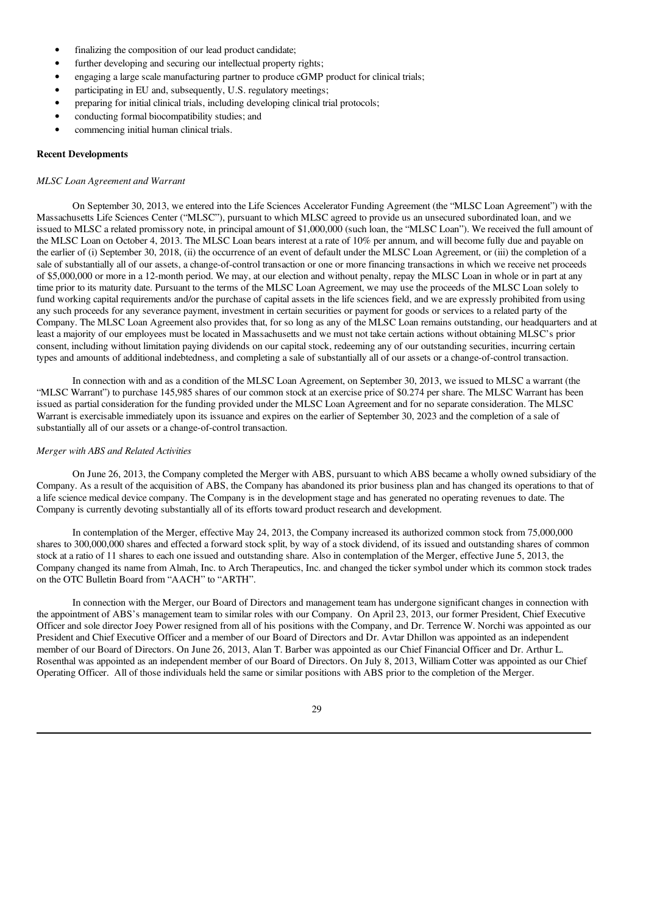- finalizing the composition of our lead product candidate;
- further developing and securing our intellectual property rights;
- engaging a large scale manufacturing partner to produce cGMP product for clinical trials;
- participating in EU and, subsequently, U.S. regulatory meetings;
- preparing for initial clinical trials, including developing clinical trial protocols;
- · conducting formal biocompatibility studies; and
- commencing initial human clinical trials.

### Recent Developments

#### *MLSC Loan Agreement and Warrant*

On September 30, 2013, we entered into the Life Sciences Accelerator Funding Agreement (the "MLSC Loan Agreement") with the Massachusetts Life Sciences Center ("MLSC"), pursuant to which MLSC agreed to provide us an unsecured subordinated loan, and we issued to MLSC a related promissory note, in principal amount of \$1,000,000 (such loan, the "MLSC Loan"). We received the full amount of the MLSC Loan on October 4, 2013. The MLSC Loan bears interest at a rate of 10% per annum, and will become fully due and payable on the earlier of (i) September 30, 2018, (ii) the occurrence of an event of default under the MLSC Loan Agreement, or (iii) the completion of a sale of substantially all of our assets, a change-of-control transaction or one or more financing transactions in which we receive net proceeds of \$5,000,000 or more in a 12-month period. We may, at our election and without penalty, repay the MLSC Loan in whole or in part at any time prior to its maturity date. Pursuant to the terms of the MLSC Loan Agreement, we may use the proceeds of the MLSC Loan solely to fund working capital requirements and/or the purchase of capital assets in the life sciences field, and we are expressly prohibited from using any such proceeds for any severance payment, investment in certain securities or payment for goods or services to a related party of the Company. The MLSC Loan Agreement also provides that, for so long as any of the MLSC Loan remains outstanding, our headquarters and at least a majority of our employees must be located in Massachusetts and we must not take certain actions without obtaining MLSC's prior consent, including without limitation paying dividends on our capital stock, redeeming any of our outstanding securities, incurring certain types and amounts of additional indebtedness, and completing a sale of substantially all of our assets or a change-of-control transaction.

In connection with and as a condition of the MLSC Loan Agreement, on September 30, 2013, we issued to MLSC a warrant (the "MLSC Warrant") to purchase 145,985 shares of our common stock at an exercise price of \$0.274 per share. The MLSC Warrant has been issued as partial consideration for the funding provided under the MLSC Loan Agreement and for no separate consideration. The MLSC Warrant is exercisable immediately upon its issuance and expires on the earlier of September 30, 2023 and the completion of a sale of substantially all of our assets or a change-of-control transaction.

#### *Merger with ABS and Related Activities*

On June 26, 2013, the Company completed the Merger with ABS, pursuant to which ABS became a wholly owned subsidiary of the Company. As a result of the acquisition of ABS, the Company has abandoned its prior business plan and has changed its operations to that of a life science medical device company. The Company is in the development stage and has generated no operating revenues to date. The Company is currently devoting substantially all of its efforts toward product research and development.

In contemplation of the Merger, effective May 24, 2013, the Company increased its authorized common stock from 75,000,000 shares to 300,000,000 shares and effected a forward stock split, by way of a stock dividend, of its issued and outstanding shares of common stock at a ratio of 11 shares to each one issued and outstanding share. Also in contemplation of the Merger, effective June 5, 2013, the Company changed its name from Almah, Inc. to Arch Therapeutics, Inc. and changed the ticker symbol under which its common stock trades on the OTC Bulletin Board from "AACH" to "ARTH".

In connection with the Merger, our Board of Directors and management team has undergone significant changes in connection with the appointment of ABS's management team to similar roles with our Company. On April 23, 2013, our former President, Chief Executive Officer and sole director Joey Power resigned from all of his positions with the Company, and Dr. Terrence W. Norchi was appointed as our President and Chief Executive Officer and a member of our Board of Directors and Dr. Avtar Dhillon was appointed as an independent member of our Board of Directors. On June 26, 2013, Alan T. Barber was appointed as our Chief Financial Officer and Dr. Arthur L. Rosenthal was appointed as an independent member of our Board of Directors. On July 8, 2013, William Cotter was appointed as our Chief Operating Officer. All of those individuals held the same or similar positions with ABS prior to the completion of the Merger.

#### 29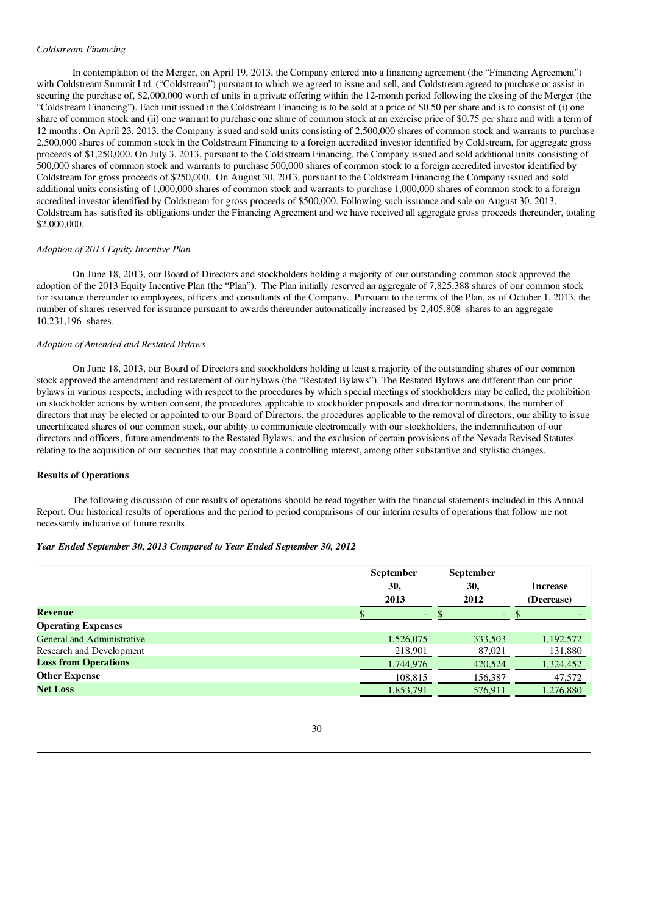#### *Coldstream Financing*

In contemplation of the Merger, on April 19, 2013, the Company entered into a financing agreement (the "Financing Agreement") with Coldstream Summit Ltd. ("Coldstream") pursuant to which we agreed to issue and sell, and Coldstream agreed to purchase or assist in securing the purchase of, \$2,000,000 worth of units in a private offering within the 12-month period following the closing of the Merger (the "Coldstream Financing"). Each unit issued in the Coldstream Financing is to be sold at a price of \$0.50 per share and is to consist of (i) one share of common stock and (ii) one warrant to purchase one share of common stock at an exercise price of \$0.75 per share and with a term of 12 months. On April 23, 2013, the Company issued and sold units consisting of 2,500,000 shares of common stock and warrants to purchase 2,500,000 shares of common stock in the Coldstream Financing to a foreign accredited investor identified by Coldstream, for aggregate gross proceeds of \$1,250,000. On July 3, 2013, pursuant to the Coldstream Financing, the Company issued and sold additional units consisting of 500,000 shares of common stock and warrants to purchase 500,000 shares of common stock to a foreign accredited investor identified by Coldstream for gross proceeds of \$250,000. On August 30, 2013, pursuant to the Coldstream Financing the Company issued and sold additional units consisting of 1,000,000 shares of common stock and warrants to purchase 1,000,000 shares of common stock to a foreign accredited investor identified by Coldstream for gross proceeds of \$500,000. Following such issuance and sale on August 30, 2013, Coldstream has satisfied its obligations under the Financing Agreement and we have received all aggregate gross proceeds thereunder, totaling \$2,000,000.

### *Adoption of 2013 Equity Incentive Plan*

On June 18, 2013, our Board of Directors and stockholders holding a majority of our outstanding common stock approved the adoption of the 2013 Equity Incentive Plan (the "Plan"). The Plan initially reserved an aggregate of 7,825,388 shares of our common stock for issuance thereunder to employees, officers and consultants of the Company. Pursuant to the terms of the Plan, as of October 1, 2013, the number of shares reserved for issuance pursuant to awards thereunder automatically increased by 2,405,808 shares to an aggregate 10,231,196 shares.

### *Adoption of Amended and Restated Bylaws*

On June 18, 2013, our Board of Directors and stockholders holding at least a majority of the outstanding shares of our common stock approved the amendment and restatement of our bylaws (the "Restated Bylaws"). The Restated Bylaws are different than our prior bylaws in various respects, including with respect to the procedures by which special meetings of stockholders may be called, the prohibition on stockholder actions by written consent, the procedures applicable to stockholder proposals and director nominations, the number of directors that may be elected or appointed to our Board of Directors, the procedures applicable to the removal of directors, our ability to issue uncertificated shares of our common stock, our ability to communicate electronically with our stockholders, the indemnification of our directors and officers, future amendments to the Restated Bylaws, and the exclusion of certain provisions of the Nevada Revised Statutes relating to the acquisition of our securities that may constitute a controlling interest, among other substantive and stylistic changes.

### Results of Operations

The following discussion of our results of operations should be read together with the financial statements included in this Annual Report. Our historical results of operations and the period to period comparisons of our interim results of operations that follow are not necessarily indicative of future results.

#### *Year Ended September 30, 2013 Compared to Year Ended September 30, 2012*

|                             | <b>September</b><br>30,<br>2013 | <b>September</b><br>30,<br>2012 | <b>Increase</b><br>(Decrease) |
|-----------------------------|---------------------------------|---------------------------------|-------------------------------|
| <b>Revenue</b>              |                                 |                                 |                               |
| <b>Operating Expenses</b>   |                                 |                                 |                               |
| General and Administrative  | 1,526,075                       | 333,503                         | 1,192,572                     |
| Research and Development    | 218,901                         | 87,021                          | 131,880                       |
| <b>Loss from Operations</b> | 1,744,976                       | 420,524                         | 1,324,452                     |
| <b>Other Expense</b>        | 108,815                         | 156,387                         | 47,572                        |
| <b>Net Loss</b>             | 1,853,791                       | 576,911                         | 1,276,880                     |

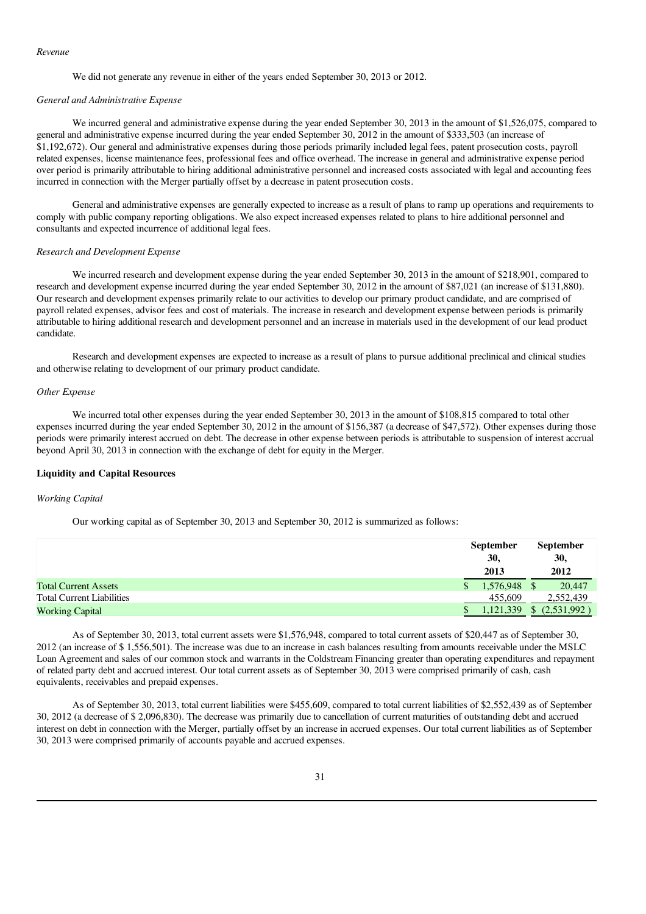#### *Revenue*

We did not generate any revenue in either of the years ended September 30, 2013 or 2012.

### *General and Administrative Expense*

We incurred general and administrative expense during the year ended September 30, 2013 in the amount of \$1,526,075, compared to general and administrative expense incurred during the year ended September 30, 2012 in the amount of \$333,503 (an increase of \$1,192,672). Our general and administrative expenses during those periods primarily included legal fees, patent prosecution costs, payroll related expenses, license maintenance fees, professional fees and office overhead. The increase in general and administrative expense period over period is primarily attributable to hiring additional administrative personnel and increased costs associated with legal and accounting fees incurred in connection with the Merger partially offset by a decrease in patent prosecution costs.

General and administrative expenses are generally expected to increase as a result of plans to ramp up operations and requirements to comply with public company reporting obligations. We also expect increased expenses related to plans to hire additional personnel and consultants and expected incurrence of additional legal fees.

#### *Research and Development Expense*

We incurred research and development expense during the year ended September 30, 2013 in the amount of \$218,901, compared to research and development expense incurred during the year ended September 30, 2012 in the amount of \$87,021 (an increase of \$131,880). Our research and development expenses primarily relate to our activities to develop our primary product candidate, and are comprised of payroll related expenses, advisor fees and cost of materials. The increase in research and development expense between periods is primarily attributable to hiring additional research and development personnel and an increase in materials used in the development of our lead product candidate.

Research and development expenses are expected to increase as a result of plans to pursue additional preclinical and clinical studies and otherwise relating to development of our primary product candidate.

#### *Other Expense*

We incurred total other expenses during the year ended September 30, 2013 in the amount of \$108,815 compared to total other expenses incurred during the year ended September 30, 2012 in the amount of \$156,387 (a decrease of \$47,572). Other expenses during those periods were primarily interest accrued on debt. The decrease in other expense between periods is attributable to suspension of interest accrual beyond April 30, 2013 in connection with the exchange of debt for equity in the Merger.

### Liquidity and Capital Resources

#### *Working Capital*

Our working capital as of September 30, 2013 and September 30, 2012 is summarized as follows:

|                                  | <b>September</b><br>30, |           | <b>September</b> |                |
|----------------------------------|-------------------------|-----------|------------------|----------------|
|                                  |                         |           |                  | 30,            |
|                                  |                         | 2013      |                  | 2012           |
| <b>Total Current Assets</b>      |                         | 1,576,948 |                  | 20,447         |
| <b>Total Current Liabilities</b> |                         | 455,609   |                  | 2,552,439      |
| <b>Working Capital</b>           |                         | 1,121,339 |                  | \$ (2,531,992) |

As of September 30, 2013, total current assets were \$1,576,948, compared to total current assets of \$20,447 as of September 30, 2012 (an increase of \$ 1,556,501). The increase was due to an increase in cash balances resulting from amounts receivable under the MSLC Loan Agreement and sales of our common stock and warrants in the Coldstream Financing greater than operating expenditures and repayment of related party debt and accrued interest. Our total current assets as of September 30, 2013 were comprised primarily of cash, cash equivalents, receivables and prepaid expenses.

As of September 30, 2013, total current liabilities were \$455,609, compared to total current liabilities of \$2,552,439 as of September 30, 2012 (a decrease of \$ 2,096,830). The decrease was primarily due to cancellation of current maturities of outstanding debt and accrued interest on debt in connection with the Merger, partially offset by an increase in accrued expenses. Our total current liabilities as of September 30, 2013 were comprised primarily of accounts payable and accrued expenses.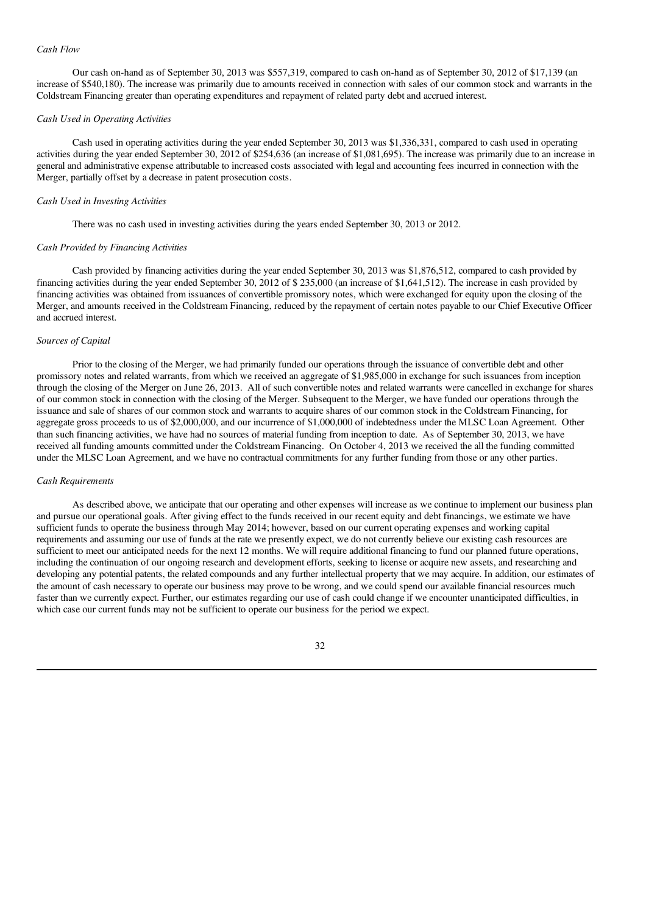#### *Cash Flow*

Our cash on-hand as of September 30, 2013 was \$557,319, compared to cash on-hand as of September 30, 2012 of \$17,139 (an increase of \$540,180). The increase was primarily due to amounts received in connection with sales of our common stock and warrants in the Coldstream Financing greater than operating expenditures and repayment of related party debt and accrued interest.

#### *Cash Used in Operating Activities*

Cash used in operating activities during the year ended September 30, 2013 was \$1,336,331, compared to cash used in operating activities during the year ended September 30, 2012 of \$254,636 (an increase of \$1,081,695). The increase was primarily due to an increase in general and administrative expense attributable to increased costs associated with legal and accounting fees incurred in connection with the Merger, partially offset by a decrease in patent prosecution costs.

#### *Cash Used in Investing Activities*

There was no cash used in investing activities during the years ended September 30, 2013 or 2012.

### *Cash Provided by Financing Activities*

Cash provided by financing activities during the year ended September 30, 2013 was \$1,876,512, compared to cash provided by financing activities during the year ended September 30, 2012 of \$ 235,000 (an increase of \$1,641,512). The increase in cash provided by financing activities was obtained from issuances of convertible promissory notes, which were exchanged for equity upon the closing of the Merger, and amounts received in the Coldstream Financing, reduced by the repayment of certain notes payable to our Chief Executive Officer and accrued interest.

### *Sources of Capital*

Prior to the closing of the Merger, we had primarily funded our operations through the issuance of convertible debt and other promissory notes and related warrants, from which we received an aggregate of \$1,985,000 in exchange for such issuances from inception through the closing of the Merger on June 26, 2013. All of such convertible notes and related warrants were cancelled in exchange for shares of our common stock in connection with the closing of the Merger. Subsequent to the Merger, we have funded our operations through the issuance and sale of shares of our common stock and warrants to acquire shares of our common stock in the Coldstream Financing, for aggregate gross proceeds to us of \$2,000,000, and our incurrence of \$1,000,000 of indebtedness under the MLSC Loan Agreement. Other than such financing activities, we have had no sources of material funding from inception to date. As of September 30, 2013, we have received all funding amounts committed under the Coldstream Financing. On October 4, 2013 we received the all the funding committed under the MLSC Loan Agreement, and we have no contractual commitments for any further funding from those or any other parties.

### *Cash Requirements*

As described above, we anticipate that our operating and other expenses will increase as we continue to implement our business plan and pursue our operational goals. After giving effect to the funds received in our recent equity and debt financings, we estimate we have sufficient funds to operate the business through May 2014; however, based on our current operating expenses and working capital requirements and assuming our use of funds at the rate we presently expect, we do not currently believe our existing cash resources are sufficient to meet our anticipated needs for the next 12 months. We will require additional financing to fund our planned future operations, including the continuation of our ongoing research and development efforts, seeking to license or acquire new assets, and researching and developing any potential patents, the related compounds and any further intellectual property that we may acquire. In addition, our estimates of the amount of cash necessary to operate our business may prove to be wrong, and we could spend our available financial resources much faster than we currently expect. Further, our estimates regarding our use of cash could change if we encounter unanticipated difficulties, in which case our current funds may not be sufficient to operate our business for the period we expect.

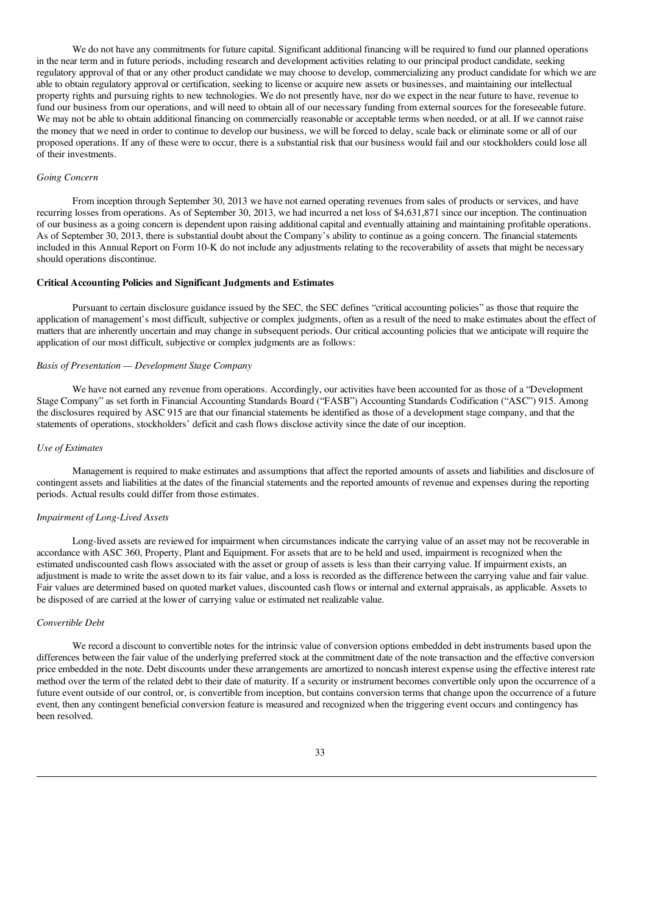We do not have any commitments for future capital. Significant additional financing will be required to fund our planned operations in the near term and in future periods, including research and development activities relating to our principal product candidate, seeking regulatory approval of that or any other product candidate we may choose to develop, commercializing any product candidate for which we are able to obtain regulatory approval or certification, seeking to license or acquire new assets or businesses, and maintaining our intellectual property rights and pursuing rights to new technologies. We do not presently have, nor do we expect in the near future to have, revenue to fund our business from our operations, and will need to obtain all of our necessary funding from external sources for the foreseeable future. We may not be able to obtain additional financing on commercially reasonable or acceptable terms when needed, or at all. If we cannot raise the money that we need in order to continue to develop our business, we will be forced to delay, scale back or eliminate some or all of our proposed operations. If any of these were to occur, there is a substantial risk that our business would fail and our stockholders could lose all of their investments.

### *Going Concern*

From inception through September 30, 2013 we have not earned operating revenues from sales of products or services, and have recurring losses from operations. As of September 30, 2013, we had incurred a net loss of \$4,631,871 since our inception. The continuation of our business as a going concern is dependent upon raising additional capital and eventually attaining and maintaining profitable operations. As of September 30, 2013, there is substantial doubt about the Company's ability to continue as a going concern. The financial statements included in this Annual Report on Form 10-K do not include any adjustments relating to the recoverability of assets that might be necessary should operations discontinue.

#### Critical Accounting Policies and Significant Judgments and Estimates

Pursuant to certain disclosure guidance issued by the SEC, the SEC defines "critical accounting policies" as those that require the application of management's most difficult, subjective or complex judgments, often as a result of the need to make estimates about the effect of matters that are inherently uncertain and may change in subsequent periods. Our critical accounting policies that we anticipate will require the application of our most difficult, subjective or complex judgments are as follows:

### *Basis of Presentation — Development Stage Company*

We have not earned any revenue from operations. Accordingly, our activities have been accounted for as those of a "Development" Stage Company" as set forth in Financial Accounting Standards Board ("FASB") Accounting Standards Codification ("ASC") 915. Among the disclosures required by ASC 915 are that our financial statements be identified as those of a development stage company, and that the statements of operations, stockholders' deficit and cash flows disclose activity since the date of our inception.

### *Use of Estimates*

Management is required to make estimates and assumptions that affect the reported amounts of assets and liabilities and disclosure of contingent assets and liabilities at the dates of the financial statements and the reported amounts of revenue and expenses during the reporting periods. Actual results could differ from those estimates.

#### *Impairment of Long-Lived Assets*

Long-lived assets are reviewed for impairment when circumstances indicate the carrying value of an asset may not be recoverable in accordance with ASC 360, Property, Plant and Equipment. For assets that are to be held and used, impairment is recognized when the estimated undiscounted cash flows associated with the asset or group of assets is less than their carrying value. If impairment exists, an adjustment is made to write the asset down to its fair value, and a loss is recorded as the difference between the carrying value and fair value. Fair values are determined based on quoted market values, discounted cash flows or internal and external appraisals, as applicable. Assets to be disposed of are carried at the lower of carrying value or estimated net realizable value.

### *Convertible Debt*

We record a discount to convertible notes for the intrinsic value of conversion options embedded in debt instruments based upon the differences between the fair value of the underlying preferred stock at the commitment date of the note transaction and the effective conversion price embedded in the note. Debt discounts under these arrangements are amortized to noncash interest expense using the effective interest rate method over the term of the related debt to their date of maturity. If a security or instrument becomes convertible only upon the occurrence of a future event outside of our control, or, is convertible from inception, but contains conversion terms that change upon the occurrence of a future event, then any contingent beneficial conversion feature is measured and recognized when the triggering event occurs and contingency has been resolved.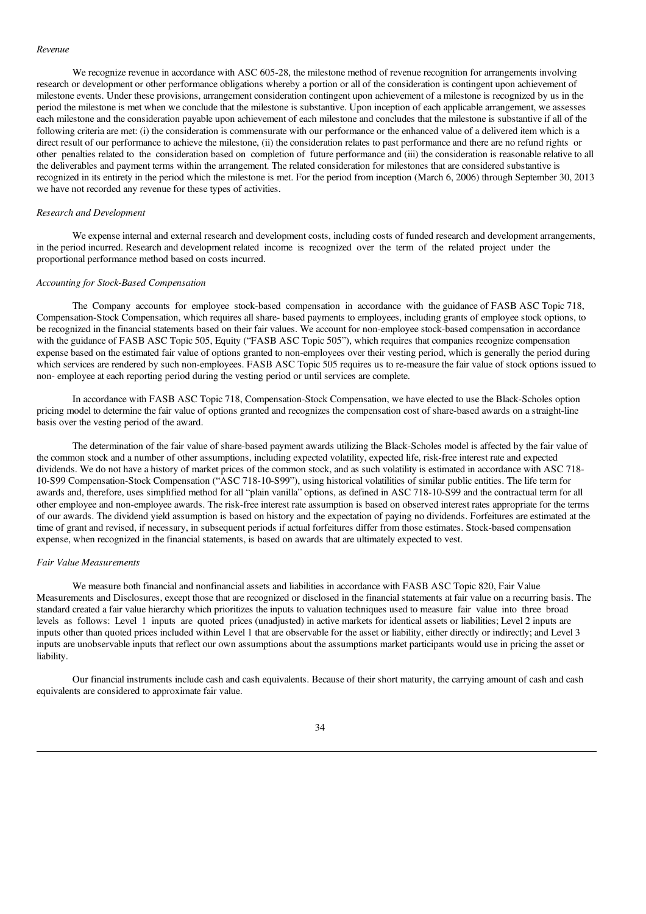We recognize revenue in accordance with ASC 605-28, the milestone method of revenue recognition for arrangements involving research or development or other performance obligations whereby a portion or all of the consideration is contingent upon achievement of milestone events. Under these provisions, arrangement consideration contingent upon achievement of a milestone is recognized by us in the period the milestone is met when we conclude that the milestone is substantive. Upon inception of each applicable arrangement, we assesses each milestone and the consideration payable upon achievement of each milestone and concludes that the milestone is substantive if all of the following criteria are met: (i) the consideration is commensurate with our performance or the enhanced value of a delivered item which is a direct result of our performance to achieve the milestone, (ii) the consideration relates to past performance and there are no refund rights or other penalties related to the consideration based on completion of future performance and (iii) the consideration is reasonable relative to all the deliverables and payment terms within the arrangement. The related consideration for milestones that are considered substantive is recognized in its entirety in the period which the milestone is met. For the period from inception (March 6, 2006) through September 30, 2013 we have not recorded any revenue for these types of activities.

#### *Research and Development*

We expense internal and external research and development costs, including costs of funded research and development arrangements, in the period incurred. Research and development related income is recognized over the term of the related project under the proportional performance method based on costs incurred.

#### *Accounting for Stock-Based Compensation*

The Company accounts for employee stock-based compensation in accordance with the guidance of FASB ASC Topic 718, Compensation-Stock Compensation, which requires all share- based payments to employees, including grants of employee stock options, to be recognized in the financial statements based on their fair values. We account for non-employee stock-based compensation in accordance with the guidance of FASB ASC Topic 505, Equity ("FASB ASC Topic 505"), which requires that companies recognize compensation expense based on the estimated fair value of options granted to non-employees over their vesting period, which is generally the period during which services are rendered by such non-employees. FASB ASC Topic 505 requires us to re-measure the fair value of stock options issued to non- employee at each reporting period during the vesting period or until services are complete.

In accordance with FASB ASC Topic 718, Compensation-Stock Compensation, we have elected to use the Black-Scholes option pricing model to determine the fair value of options granted and recognizes the compensation cost of share-based awards on a straight-line basis over the vesting period of the award.

The determination of the fair value of share-based payment awards utilizing the Black-Scholes model is affected by the fair value of the common stock and a number of other assumptions, including expected volatility, expected life, risk-free interest rate and expected dividends. We do not have a history of market prices of the common stock, and as such volatility is estimated in accordance with ASC 718- 10-S99 Compensation-Stock Compensation ("ASC 718-10-S99"), using historical volatilities of similar public entities. The life term for awards and, therefore, uses simplified method for all "plain vanilla" options, as defined in ASC 718-10-S99 and the contractual term for all other employee and non-employee awards. The risk-free interest rate assumption is based on observed interest rates appropriate for the terms of our awards. The dividend yield assumption is based on history and the expectation of paying no dividends. Forfeitures are estimated at the time of grant and revised, if necessary, in subsequent periods if actual forfeitures differ from those estimates. Stock-based compensation expense, when recognized in the financial statements, is based on awards that are ultimately expected to vest.

#### *Fair Value Measurements*

We measure both financial and nonfinancial assets and liabilities in accordance with FASB ASC Topic 820, Fair Value Measurements and Disclosures, except those that are recognized or disclosed in the financial statements at fair value on a recurring basis. The standard created a fair value hierarchy which prioritizes the inputs to valuation techniques used to measure fair value into three broad levels as follows: Level 1 inputs are quoted prices (unadjusted) in active markets for identical assets or liabilities; Level 2 inputs are inputs other than quoted prices included within Level 1 that are observable for the asset or liability, either directly or indirectly; and Level 3 inputs are unobservable inputs that reflect our own assumptions about the assumptions market participants would use in pricing the asset or liability.

Our financial instruments include cash and cash equivalents. Because of their short maturity, the carrying amount of cash and cash equivalents are considered to approximate fair value.

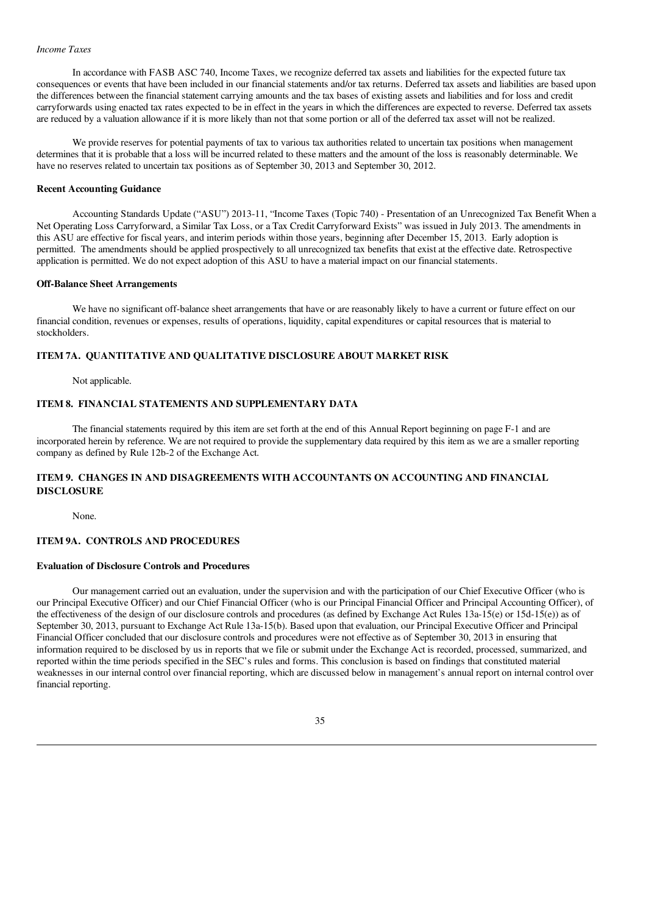In accordance with FASB ASC 740, Income Taxes, we recognize deferred tax assets and liabilities for the expected future tax consequences or events that have been included in our financial statements and/or tax returns. Deferred tax assets and liabilities are based upon the differences between the financial statement carrying amounts and the tax bases of existing assets and liabilities and for loss and credit carryforwards using enacted tax rates expected to be in effect in the years in which the differences are expected to reverse. Deferred tax assets are reduced by a valuation allowance if it is more likely than not that some portion or all of the deferred tax asset will not be realized.

We provide reserves for potential payments of tax to various tax authorities related to uncertain tax positions when management determines that it is probable that a loss will be incurred related to these matters and the amount of the loss is reasonably determinable. We have no reserves related to uncertain tax positions as of September 30, 2013 and September 30, 2012.

#### Recent Accounting Guidance

Accounting Standards Update ("ASU") 2013-11, "Income Taxes (Topic 740) - Presentation of an Unrecognized Tax Benefit When a Net Operating Loss Carryforward, a Similar Tax Loss, or a Tax Credit Carryforward Exists" was issued in July 2013. The amendments in this ASU are effective for fiscal years, and interim periods within those years, beginning after December 15, 2013. Early adoption is permitted. The amendments should be applied prospectively to all unrecognized tax benefits that exist at the effective date. Retrospective application is permitted. We do not expect adoption of this ASU to have a material impact on our financial statements.

#### Off-Balance Sheet Arrangements

We have no significant off-balance sheet arrangements that have or are reasonably likely to have a current or future effect on our financial condition, revenues or expenses, results of operations, liquidity, capital expenditures or capital resources that is material to stockholders.

# ITEM 7A. QUANTITATIVE AND QUALITATIVE DISCLOSURE ABOUT MARKET RISK

Not applicable.

### ITEM 8. FINANCIAL STATEMENTS AND SUPPLEMENTARY DATA

The financial statements required by this item are set forth at the end of this Annual Report beginning on page F-1 and are incorporated herein by reference. We are not required to provide the supplementary data required by this item as we are a smaller reporting company as defined by Rule 12b-2 of the Exchange Act.

# ITEM 9. CHANGES IN AND DISAGREEMENTS WITH ACCOUNTANTS ON ACCOUNTING AND FINANCIAL DISCLOSURE

None.

# ITEM 9A. CONTROLS AND PROCEDURES

### Evaluation of Disclosure Controls and Procedures

Our management carried out an evaluation, under the supervision and with the participation of our Chief Executive Officer (who is our Principal Executive Officer) and our Chief Financial Officer (who is our Principal Financial Officer and Principal Accounting Officer), of the effectiveness of the design of our disclosure controls and procedures (as defined by Exchange Act Rules 13a-15(e) or 15d-15(e)) as of September 30, 2013, pursuant to Exchange Act Rule 13a-15(b). Based upon that evaluation, our Principal Executive Officer and Principal Financial Officer concluded that our disclosure controls and procedures were not effective as of September 30, 2013 in ensuring that information required to be disclosed by us in reports that we file or submit under the Exchange Act is recorded, processed, summarized, and reported within the time periods specified in the SEC's rules and forms. This conclusion is based on findings that constituted material weaknesses in our internal control over financial reporting, which are discussed below in management's annual report on internal control over financial reporting.

35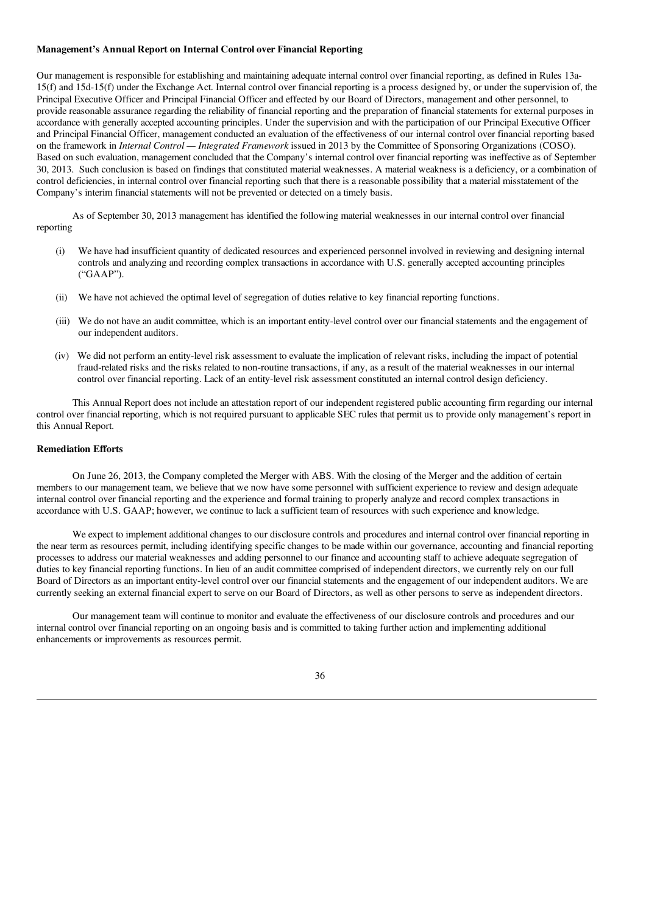## Management's Annual Report on Internal Control over Financial Reporting

Our management is responsible for establishing and maintaining adequate internal control over financial reporting, as defined in Rules 13a-15(f) and 15d-15(f) under the Exchange Act. Internal control over financial reporting is a process designed by, or under the supervision of, the Principal Executive Officer and Principal Financial Officer and effected by our Board of Directors, management and other personnel, to provide reasonable assurance regarding the reliability of financial reporting and the preparation of financial statements for external purposes in accordance with generally accepted accounting principles. Under the supervision and with the participation of our Principal Executive Officer and Principal Financial Officer, management conducted an evaluation of the effectiveness of our internal control over financial reporting based on the framework in *Internal Control — Integrated Framework* issued in 2013 by the Committee of Sponsoring Organizations (COSO). Based on such evaluation, management concluded that the Company's internal control over financial reporting was ineffective as of September 30, 2013. Such conclusion is based on findings that constituted material weaknesses. A material weakness is a deficiency, or a combination of control deficiencies, in internal control over financial reporting such that there is a reasonable possibility that a material misstatement of the Company's interim financial statements will not be prevented or detected on a timely basis.

As of September 30, 2013 management has identified the following material weaknesses in our internal control over financial reporting

- (i) We have had insufficient quantity of dedicated resources and experienced personnel involved in reviewing and designing internal controls and analyzing and recording complex transactions in accordance with U.S. generally accepted accounting principles ("GAAP").
- (ii) We have not achieved the optimal level of segregation of duties relative to key financial reporting functions.
- (iii) We do not have an audit committee, which is an important entity-level control over our financial statements and the engagement of our independent auditors.
- (iv) We did not perform an entity-level risk assessment to evaluate the implication of relevant risks, including the impact of potential fraud-related risks and the risks related to non-routine transactions, if any, as a result of the material weaknesses in our internal control over financial reporting. Lack of an entity-level risk assessment constituted an internal control design deficiency.

This Annual Report does not include an attestation report of our independent registered public accounting firm regarding our internal control over financial reporting, which is not required pursuant to applicable SEC rules that permit us to provide only management's report in this Annual Report.

## Remediation Efforts

On June 26, 2013, the Company completed the Merger with ABS. With the closing of the Merger and the addition of certain members to our management team, we believe that we now have some personnel with sufficient experience to review and design adequate internal control over financial reporting and the experience and formal training to properly analyze and record complex transactions in accordance with U.S. GAAP; however, we continue to lack a sufficient team of resources with such experience and knowledge.

We expect to implement additional changes to our disclosure controls and procedures and internal control over financial reporting in the near term as resources permit, including identifying specific changes to be made within our governance, accounting and financial reporting processes to address our material weaknesses and adding personnel to our finance and accounting staff to achieve adequate segregation of duties to key financial reporting functions. In lieu of an audit committee comprised of independent directors, we currently rely on our full Board of Directors as an important entity-level control over our financial statements and the engagement of our independent auditors. We are currently seeking an external financial expert to serve on our Board of Directors, as well as other persons to serve as independent directors.

Our management team will continue to monitor and evaluate the effectiveness of our disclosure controls and procedures and our internal control over financial reporting on an ongoing basis and is committed to taking further action and implementing additional enhancements or improvements as resources permit.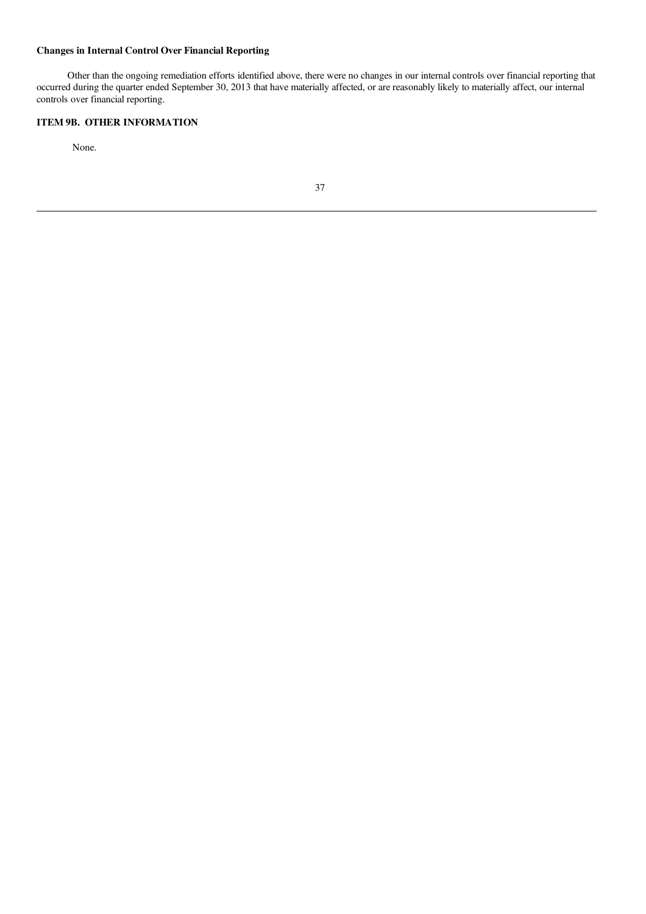# Changes in Internal Control Over Financial Reporting

Other than the ongoing remediation efforts identified above, there were no changes in our internal controls over financial reporting that occurred during the quarter ended September 30, 2013 that have materially affected, or are reasonably likely to materially affect, our internal controls over financial reporting.

# ITEM 9B. OTHER INFORMATION

None.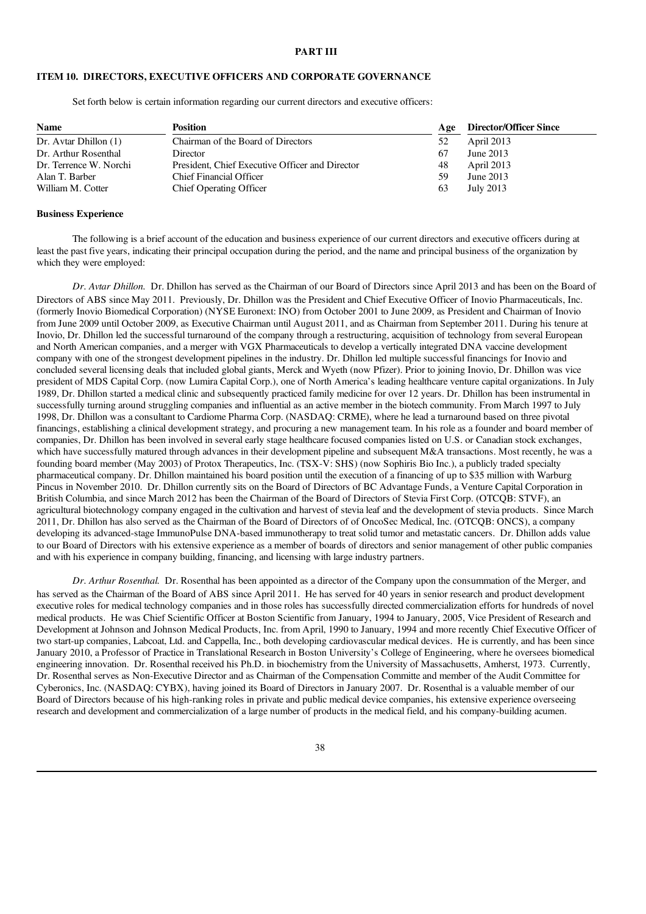#### PART III

## ITEM 10. DIRECTORS, EXECUTIVE OFFICERS AND CORPORATE GOVERNANCE

Set forth below is certain information regarding our current directors and executive officers:

| <b>Name</b>            | Position                                        | Age | <b>Director/Officer Since</b> |
|------------------------|-------------------------------------------------|-----|-------------------------------|
| Dr. Avtar Dhillon (1)  | Chairman of the Board of Directors              | 52  | April 2013                    |
| Dr. Arthur Rosenthal   | Director                                        | 67  | June $2013$                   |
| Dr. Terrence W. Norchi | President, Chief Executive Officer and Director | 48  | April 2013                    |
| Alan T. Barber         | <b>Chief Financial Officer</b>                  | 59  | June $2013$                   |
| William M. Cotter      | <b>Chief Operating Officer</b>                  | 63  | July 2013                     |

#### Business Experience

The following is a brief account of the education and business experience of our current directors and executive officers during at least the past five years, indicating their principal occupation during the period, and the name and principal business of the organization by which they were employed:

*Dr. Avtar Dhillon.* Dr. Dhillon has served as the Chairman of our Board of Directors since April 2013 and has been on the Board of Directors of ABS since May 2011. Previously, Dr. Dhillon was the President and Chief Executive Officer of Inovio Pharmaceuticals, Inc. (formerly Inovio Biomedical Corporation) (NYSE Euronext: INO) from October 2001 to June 2009, as President and Chairman of Inovio from June 2009 until October 2009, as Executive Chairman until August 2011, and as Chairman from September 2011. During his tenure at Inovio, Dr. Dhillon led the successful turnaround of the company through a restructuring, acquisition of technology from several European and North American companies, and a merger with VGX Pharmaceuticals to develop a vertically integrated DNA vaccine development company with one of the strongest development pipelines in the industry. Dr. Dhillon led multiple successful financings for Inovio and concluded several licensing deals that included global giants, Merck and Wyeth (now Pfizer). Prior to joining Inovio, Dr. Dhillon was vice president of MDS Capital Corp. (now Lumira Capital Corp.), one of North America's leading healthcare venture capital organizations. In July 1989, Dr. Dhillon started a medical clinic and subsequently practiced family medicine for over 12 years. Dr. Dhillon has been instrumental in successfully turning around struggling companies and influential as an active member in the biotech community. From March 1997 to July 1998, Dr. Dhillon was a consultant to Cardiome Pharma Corp. (NASDAQ: CRME), where he lead a turnaround based on three pivotal financings, establishing a clinical development strategy, and procuring a new management team. In his role as a founder and board member of companies, Dr. Dhillon has been involved in several early stage healthcare focused companies listed on U.S. or Canadian stock exchanges, which have successfully matured through advances in their development pipeline and subsequent M&A transactions. Most recently, he was a founding board member (May 2003) of Protox Therapeutics, Inc. (TSX-V: SHS) (now Sophiris Bio Inc.), a publicly traded specialty pharmaceutical company. Dr. Dhillon maintained his board position until the execution of a financing of up to \$35 million with Warburg Pincus in November 2010. Dr. Dhillon currently sits on the Board of Directors of BC Advantage Funds, a Venture Capital Corporation in British Columbia, and since March 2012 has been the Chairman of the Board of Directors of Stevia First Corp. (OTCQB: STVF), an agricultural biotechnology company engaged in the cultivation and harvest of stevia leaf and the development of stevia products. Since March 2011, Dr. Dhillon has also served as the Chairman of the Board of Directors of of OncoSec Medical, Inc. (OTCQB: ONCS), a company developing its advanced-stage ImmunoPulse DNA-based immunotherapy to treat solid tumor and metastatic cancers. Dr. Dhillon adds value to our Board of Directors with his extensive experience as a member of boards of directors and senior management of other public companies and with his experience in company building, financing, and licensing with large industry partners.

*Dr. Arthur Rosenthal.* Dr. Rosenthal has been appointed as a director of the Company upon the consummation of the Merger, and has served as the Chairman of the Board of ABS since April 2011. He has served for 40 years in senior research and product development executive roles for medical technology companies and in those roles has successfully directed commercialization efforts for hundreds of novel medical products. He was Chief Scientific Officer at Boston Scientific from January, 1994 to January, 2005, Vice President of Research and Development at Johnson and Johnson Medical Products, Inc. from April, 1990 to January, 1994 and more recently Chief Executive Officer of two start-up companies, Labcoat, Ltd. and Cappella, Inc., both developing cardiovascular medical devices. He is currently, and has been since January 2010, a Professor of Practice in Translational Research in Boston University's College of Engineering, where he oversees biomedical engineering innovation. Dr. Rosenthal received his Ph.D. in biochemistry from the University of Massachusetts, Amherst, 1973. Currently, Dr. Rosenthal serves as Non-Executive Director and as Chairman of the Compensation Committe and member of the Audit Committee for Cyberonics, Inc. (NASDAQ: CYBX), having joined its Board of Directors in January 2007. Dr. Rosenthal is a valuable member of our Board of Directors because of his high-ranking roles in private and public medical device companies, his extensive experience overseeing research and development and commercialization of a large number of products in the medical field, and his company-building acumen.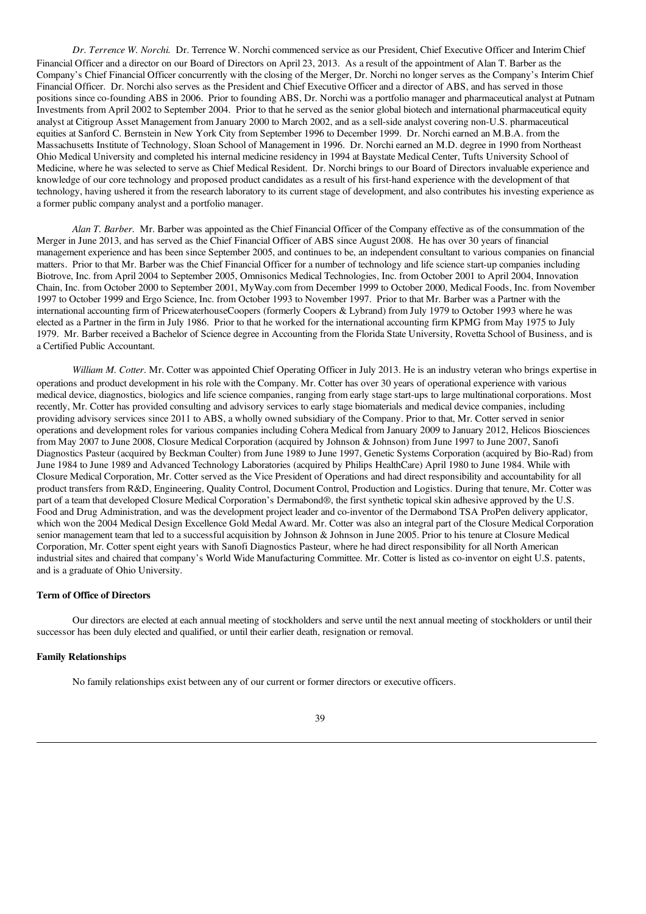*Dr. Terrence W. Norchi.* Dr. Terrence W. Norchi commenced service as our President, Chief Executive Officer and Interim Chief Financial Officer and a director on our Board of Directors on April 23, 2013. As a result of the appointment of Alan T. Barber as the Company's Chief Financial Officer concurrently with the closing of the Merger, Dr. Norchi no longer serves as the Company's Interim Chief Financial Officer. Dr. Norchi also serves as the President and Chief Executive Officer and a director of ABS, and has served in those positions since co-founding ABS in 2006. Prior to founding ABS, Dr. Norchi was a portfolio manager and pharmaceutical analyst at Putnam Investments from April 2002 to September 2004. Prior to that he served as the senior global biotech and international pharmaceutical equity analyst at Citigroup Asset Management from January 2000 to March 2002, and as a sell-side analyst covering non-U.S. pharmaceutical equities at Sanford C. Bernstein in New York City from September 1996 to December 1999. Dr. Norchi earned an M.B.A. from the Massachusetts Institute of Technology, Sloan School of Management in 1996. Dr. Norchi earned an M.D. degree in 1990 from Northeast Ohio Medical University and completed his internal medicine residency in 1994 at Baystate Medical Center, Tufts University School of Medicine, where he was selected to serve as Chief Medical Resident. Dr. Norchi brings to our Board of Directors invaluable experience and knowledge of our core technology and proposed product candidates as a result of his first-hand experience with the development of that technology, having ushered it from the research laboratory to its current stage of development, and also contributes his investing experience as a former public company analyst and a portfolio manager.

*Alan T. Barber.* Mr. Barber was appointed as the Chief Financial Officer of the Company effective as of the consummation of the Merger in June 2013, and has served as the Chief Financial Officer of ABS since August 2008. He has over 30 years of financial management experience and has been since September 2005, and continues to be, an independent consultant to various companies on financial matters. Prior to that Mr. Barber was the Chief Financial Officer for a number of technology and life science start-up companies including Biotrove, Inc. from April 2004 to September 2005, Omnisonics Medical Technologies, Inc. from October 2001 to April 2004, Innovation Chain, Inc. from October 2000 to September 2001, MyWay.com from December 1999 to October 2000, Medical Foods, Inc. from November 1997 to October 1999 and Ergo Science, Inc. from October 1993 to November 1997. Prior to that Mr. Barber was a Partner with the international accounting firm of PricewaterhouseCoopers (formerly Coopers & Lybrand) from July 1979 to October 1993 where he was elected as a Partner in the firm in July 1986. Prior to that he worked for the international accounting firm KPMG from May 1975 to July 1979. Mr. Barber received a Bachelor of Science degree in Accounting from the Florida State University, Rovetta School of Business, and is a Certified Public Accountant.

*William M. Cotter.* Mr. Cotter was appointed Chief Operating Officer in July 2013. He is an industry veteran who brings expertise in operations and product development in his role with the Company. Mr. Cotter has over 30 years of operational experience with various medical device, diagnostics, biologics and life science companies, ranging from early stage start-ups to large multinational corporations. Most recently, Mr. Cotter has provided consulting and advisory services to early stage biomaterials and medical device companies, including providing advisory services since 2011 to ABS, a wholly owned subsidiary of the Company. Prior to that, Mr. Cotter served in senior operations and development roles for various companies including Cohera Medical from January 2009 to January 2012, Helicos Biosciences from May 2007 to June 2008, Closure Medical Corporation (acquired by Johnson & Johnson) from June 1997 to June 2007, Sanofi Diagnostics Pasteur (acquired by Beckman Coulter) from June 1989 to June 1997, Genetic Systems Corporation (acquired by Bio-Rad) from June 1984 to June 1989 and Advanced Technology Laboratories (acquired by Philips HealthCare) April 1980 to June 1984. While with Closure Medical Corporation, Mr. Cotter served as the Vice President of Operations and had direct responsibility and accountability for all product transfers from R&D, Engineering, Quality Control, Document Control, Production and Logistics. During that tenure, Mr. Cotter was part of a team that developed Closure Medical Corporation's Dermabond®, the first synthetic topical skin adhesive approved by the U.S. Food and Drug Administration, and was the development project leader and co-inventor of the Dermabond TSA ProPen delivery applicator, which won the 2004 Medical Design Excellence Gold Medal Award. Mr. Cotter was also an integral part of the Closure Medical Corporation senior management team that led to a successful acquisition by Johnson & Johnson in June 2005. Prior to his tenure at Closure Medical Corporation, Mr. Cotter spent eight years with Sanofi Diagnostics Pasteur, where he had direct responsibility for all North American industrial sites and chaired that company's World Wide Manufacturing Committee. Mr. Cotter is listed as co-inventor on eight U.S. patents, and is a graduate of Ohio University.

## Term of Office of Directors

Our directors are elected at each annual meeting of stockholders and serve until the next annual meeting of stockholders or until their successor has been duly elected and qualified, or until their earlier death, resignation or removal.

#### Family Relationships

No family relationships exist between any of our current or former directors or executive officers.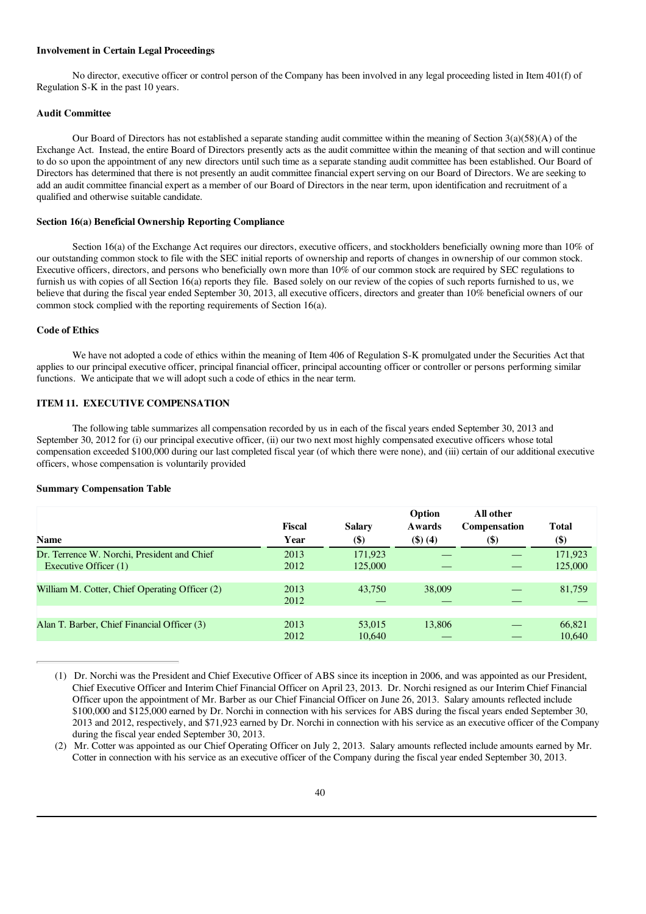#### Involvement in Certain Legal Proceedings

No director, executive officer or control person of the Company has been involved in any legal proceeding listed in Item 401(f) of Regulation S-K in the past 10 years.

## Audit Committee

Our Board of Directors has not established a separate standing audit committee within the meaning of Section 3(a)(58)(A) of the Exchange Act. Instead, the entire Board of Directors presently acts as the audit committee within the meaning of that section and will continue to do so upon the appointment of any new directors until such time as a separate standing audit committee has been established. Our Board of Directors has determined that there is not presently an audit committee financial expert serving on our Board of Directors. We are seeking to add an audit committee financial expert as a member of our Board of Directors in the near term, upon identification and recruitment of a qualified and otherwise suitable candidate.

#### Section 16(a) Beneficial Ownership Reporting Compliance

Section 16(a) of the Exchange Act requires our directors, executive officers, and stockholders beneficially owning more than 10% of our outstanding common stock to file with the SEC initial reports of ownership and reports of changes in ownership of our common stock. Executive officers, directors, and persons who beneficially own more than 10% of our common stock are required by SEC regulations to furnish us with copies of all Section 16(a) reports they file. Based solely on our review of the copies of such reports furnished to us, we believe that during the fiscal year ended September 30, 2013, all executive officers, directors and greater than 10% beneficial owners of our common stock complied with the reporting requirements of Section 16(a).

## Code of Ethics

We have not adopted a code of ethics within the meaning of Item 406 of Regulation S-K promulgated under the Securities Act that applies to our principal executive officer, principal financial officer, principal accounting officer or controller or persons performing similar functions. We anticipate that we will adopt such a code of ethics in the near term.

# ITEM 11. EXECUTIVE COMPENSATION

The following table summarizes all compensation recorded by us in each of the fiscal years ended September 30, 2013 and September 30, 2012 for (i) our principal executive officer, (ii) our two next most highly compensated executive officers whose total compensation exceeded \$100,000 during our last completed fiscal year (of which there were none), and (iii) certain of our additional executive officers, whose compensation is voluntarily provided

## Summary Compensation Table

| <b>Name</b>                                                          | Fiscal<br>Year | <b>Salary</b><br>$\left( \text{\$}\right)$ | Option<br>Awards<br>(3)(4) | All other<br>Compensation<br>$($ \$) | <b>Total</b><br>$($)$ |
|----------------------------------------------------------------------|----------------|--------------------------------------------|----------------------------|--------------------------------------|-----------------------|
| Dr. Terrence W. Norchi, President and Chief<br>Executive Officer (1) | 2013<br>2012   | 171.923<br>125,000                         |                            |                                      | 171,923<br>125,000    |
| William M. Cotter, Chief Operating Officer (2)                       | 2013<br>2012   | 43,750                                     | 38,009                     |                                      | 81,759                |
| Alan T. Barber, Chief Financial Officer (3)                          | 2013<br>2012   | 53,015<br>10.640                           | 13,806                     |                                      | 66,821<br>10.640      |

<sup>(1)</sup> Dr. Norchi was the President and Chief Executive Officer of ABS since its inception in 2006, and was appointed as our President, Chief Executive Officer and Interim Chief Financial Officer on April 23, 2013. Dr. Norchi resigned as our Interim Chief Financial Officer upon the appointment of Mr. Barber as our Chief Financial Officer on June 26, 2013. Salary amounts reflected include \$100,000 and \$125,000 earned by Dr. Norchi in connection with his services for ABS during the fiscal years ended September 30, 2013 and 2012, respectively, and \$71,923 earned by Dr. Norchi in connection with his service as an executive officer of the Company during the fiscal year ended September 30, 2013.

<sup>(2)</sup> Mr. Cotter was appointed as our Chief Operating Officer on July 2, 2013. Salary amounts reflected include amounts earned by Mr. Cotter in connection with his service as an executive officer of the Company during the fiscal year ended September 30, 2013.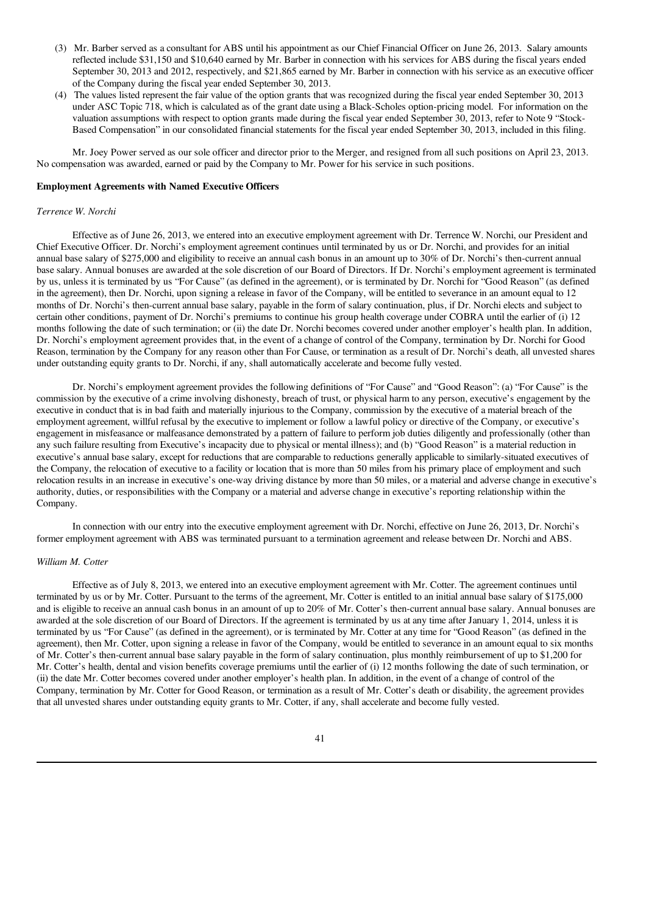- (3) Mr. Barber served as a consultant for ABS until his appointment as our Chief Financial Officer on June 26, 2013. Salary amounts reflected include \$31,150 and \$10,640 earned by Mr. Barber in connection with his services for ABS during the fiscal years ended September 30, 2013 and 2012, respectively, and \$21,865 earned by Mr. Barber in connection with his service as an executive officer of the Company during the fiscal year ended September 30, 2013.
- (4) The values listed represent the fair value of the option grants that was recognized during the fiscal year ended September 30, 2013 under ASC Topic 718, which is calculated as of the grant date using a Black-Scholes option-pricing model. For information on the valuation assumptions with respect to option grants made during the fiscal year ended September 30, 2013, refer to Note 9 "Stock-Based Compensation" in our consolidated financial statements for the fiscal year ended September 30, 2013, included in this filing.

Mr. Joey Power served as our sole officer and director prior to the Merger, and resigned from all such positions on April 23, 2013. No compensation was awarded, earned or paid by the Company to Mr. Power for his service in such positions.

## Employment Agreements with Named Executive Officers

#### *Terrence W. Norchi*

Effective as of June 26, 2013, we entered into an executive employment agreement with Dr. Terrence W. Norchi, our President and Chief Executive Officer. Dr. Norchi's employment agreement continues until terminated by us or Dr. Norchi, and provides for an initial annual base salary of \$275,000 and eligibility to receive an annual cash bonus in an amount up to 30% of Dr. Norchi's then-current annual base salary. Annual bonuses are awarded at the sole discretion of our Board of Directors. If Dr. Norchi's employment agreement is terminated by us, unless it is terminated by us "For Cause" (as defined in the agreement), or is terminated by Dr. Norchi for "Good Reason" (as defined in the agreement), then Dr. Norchi, upon signing a release in favor of the Company, will be entitled to severance in an amount equal to 12 months of Dr. Norchi's then-current annual base salary, payable in the form of salary continuation, plus, if Dr. Norchi elects and subject to certain other conditions, payment of Dr. Norchi's premiums to continue his group health coverage under COBRA until the earlier of (i) 12 months following the date of such termination; or (ii) the date Dr. Norchi becomes covered under another employer's health plan. In addition, Dr. Norchi's employment agreement provides that, in the event of a change of control of the Company, termination by Dr. Norchi for Good Reason, termination by the Company for any reason other than For Cause, or termination as a result of Dr. Norchi's death, all unvested shares under outstanding equity grants to Dr. Norchi, if any, shall automatically accelerate and become fully vested.

Dr. Norchi's employment agreement provides the following definitions of "For Cause" and "Good Reason": (a) "For Cause" is the commission by the executive of a crime involving dishonesty, breach of trust, or physical harm to any person, executive's engagement by the executive in conduct that is in bad faith and materially injurious to the Company, commission by the executive of a material breach of the employment agreement, willful refusal by the executive to implement or follow a lawful policy or directive of the Company, or executive's engagement in misfeasance or malfeasance demonstrated by a pattern of failure to perform job duties diligently and professionally (other than any such failure resulting from Executive's incapacity due to physical or mental illness); and (b) "Good Reason" is a material reduction in executive's annual base salary, except for reductions that are comparable to reductions generally applicable to similarly-situated executives of the Company, the relocation of executive to a facility or location that is more than 50 miles from his primary place of employment and such relocation results in an increase in executive's one-way driving distance by more than 50 miles, or a material and adverse change in executive's authority, duties, or responsibilities with the Company or a material and adverse change in executive's reporting relationship within the Company.

In connection with our entry into the executive employment agreement with Dr. Norchi, effective on June 26, 2013, Dr. Norchi's former employment agreement with ABS was terminated pursuant to a termination agreement and release between Dr. Norchi and ABS.

#### *William M. Cotter*

Effective as of July 8, 2013, we entered into an executive employment agreement with Mr. Cotter. The agreement continues until terminated by us or by Mr. Cotter. Pursuant to the terms of the agreement, Mr. Cotter is entitled to an initial annual base salary of \$175,000 and is eligible to receive an annual cash bonus in an amount of up to 20% of Mr. Cotter's then-current annual base salary. Annual bonuses are awarded at the sole discretion of our Board of Directors. If the agreement is terminated by us at any time after January 1, 2014, unless it is terminated by us "For Cause" (as defined in the agreement), or is terminated by Mr. Cotter at any time for "Good Reason" (as defined in the agreement), then Mr. Cotter, upon signing a release in favor of the Company, would be entitled to severance in an amount equal to six months of Mr. Cotter's then-current annual base salary payable in the form of salary continuation, plus monthly reimbursement of up to \$1,200 for Mr. Cotter's health, dental and vision benefits coverage premiums until the earlier of (i) 12 months following the date of such termination, or (ii) the date Mr. Cotter becomes covered under another employer's health plan. In addition, in the event of a change of control of the Company, termination by Mr. Cotter for Good Reason, or termination as a result of Mr. Cotter's death or disability, the agreement provides that all unvested shares under outstanding equity grants to Mr. Cotter, if any, shall accelerate and become fully vested.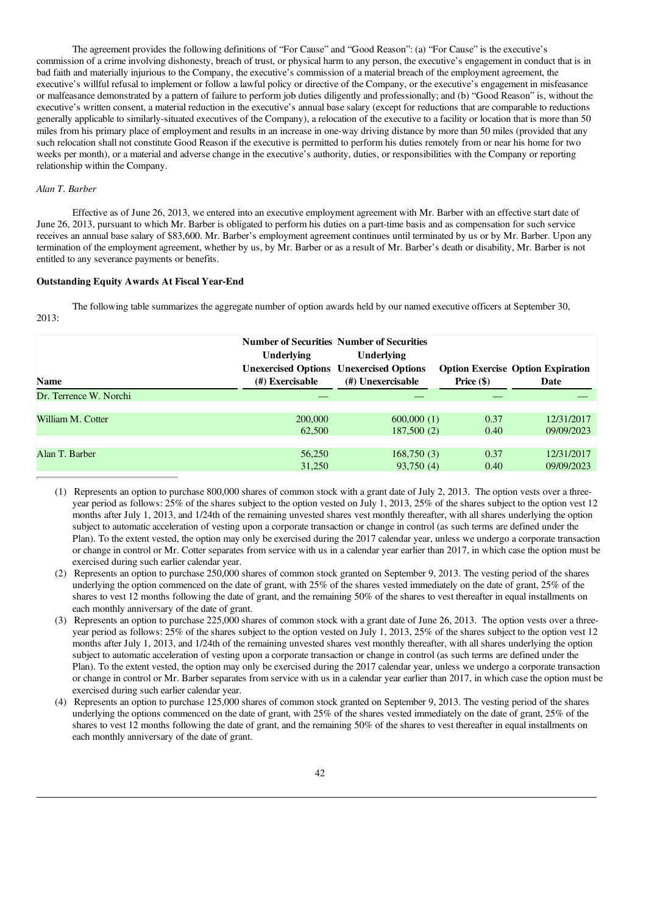The agreement provides the following definitions of "For Cause" and "Good Reason": (a) "For Cause" is the executive's commission of a crime involving dishonesty, breach of trust, or physical harm to any person, the executive's engagement in conduct that is in bad faith and materially injurious to the Company, the executive's commission of a material breach of the employment agreement, the executive's willful refusal to implement or follow a lawful policy or directive of the Company, or the executive's engagement in misfeasance or malfeasance demonstrated by a pattern of failure to perform job duties diligently and professionally; and (b) "Good Reason" is, without the executive's written consent, a material reduction in the executive's annual base salary (except for reductions that are comparable to reductions generally applicable to similarly-situated executives of the Company), a relocation of the executive to a facility or location that is more than 50 miles from his primary place of employment and results in an increase in one-way driving distance by more than 50 miles (provided that any such relocation shall not constitute Good Reason if the executive is permitted to perform his duties remotely from or near his home for two weeks per month), or a material and adverse change in the executive's authority, duties, or responsibilities with the Company or reporting relationship within the Company.

## *Alan T. Barber*

Effective as of June 26, 2013, we entered into an executive employment agreement with Mr. Barber with an effective start date of June 26, 2013, pursuant to which Mr. Barber is obligated to perform his duties on a part-time basis and as compensation for such service receives an annual base salary of \$83,600. Mr. Barber's employment agreement continues until terminated by us or by Mr. Barber. Upon any termination of the employment agreement, whether by us, by Mr. Barber or as a result of Mr. Barber's death or disability, Mr. Barber is not entitled to any severance payments or benefits.

## Outstanding Equity Awards At Fiscal Year-End

The following table summarizes the aggregate number of option awards held by our named executive officers at September 30, 2013:

| <b>Name</b>            | Underlying<br>$(\#)$ Exercisable | <b>Number of Securities Number of Securities</b><br><b>Underlying</b><br><b>Unexercised Options</b> Unexercised Options<br>(#) Unexercisable | Price $(\$)$ | <b>Option Exercise Option Expiration</b><br>Date |
|------------------------|----------------------------------|----------------------------------------------------------------------------------------------------------------------------------------------|--------------|--------------------------------------------------|
| Dr. Terrence W. Norchi |                                  |                                                                                                                                              |              |                                                  |
| William M. Cotter      | 200,000<br>62,500                | 600,000(1)<br>187,500 (2)                                                                                                                    | 0.37<br>0.40 | 12/31/2017<br>09/09/2023                         |
| Alan T. Barber         | 56,250<br>31.250                 | 168,750(3)<br>93,750 (4)                                                                                                                     | 0.37<br>0.40 | 12/31/2017<br>09/09/2023                         |

- (1) Represents an option to purchase 800,000 shares of common stock with a grant date of July 2, 2013. The option vests over a threeyear period as follows: 25% of the shares subject to the option vested on July 1, 2013, 25% of the shares subject to the option vest 12 months after July 1, 2013, and 1/24th of the remaining unvested shares vest monthly thereafter, with all shares underlying the option subject to automatic acceleration of vesting upon a corporate transaction or change in control (as such terms are defined under the Plan). To the extent vested, the option may only be exercised during the 2017 calendar year, unless we undergo a corporate transaction or change in control or Mr. Cotter separates from service with us in a calendar year earlier than 2017, in which case the option must be exercised during such earlier calendar year.
- (2) Represents an option to purchase 250,000 shares of common stock granted on September 9, 2013. The vesting period of the shares underlying the option commenced on the date of grant, with 25% of the shares vested immediately on the date of grant, 25% of the shares to vest 12 months following the date of grant, and the remaining 50% of the shares to vest thereafter in equal installments on each monthly anniversary of the date of grant.
- (3) Represents an option to purchase 225,000 shares of common stock with a grant date of June 26, 2013. The option vests over a threeyear period as follows: 25% of the shares subject to the option vested on July 1, 2013, 25% of the shares subject to the option vest 12 months after July 1, 2013, and 1/24th of the remaining unvested shares vest monthly thereafter, with all shares underlying the option subject to automatic acceleration of vesting upon a corporate transaction or change in control (as such terms are defined under the Plan). To the extent vested, the option may only be exercised during the 2017 calendar year, unless we undergo a corporate transaction or change in control or Mr. Barber separates from service with us in a calendar year earlier than 2017, in which case the option must be exercised during such earlier calendar year.
- (4) Represents an option to purchase 125,000 shares of common stock granted on September 9, 2013. The vesting period of the shares underlying the options commenced on the date of grant, with 25% of the shares vested immediately on the date of grant, 25% of the shares to vest 12 months following the date of grant, and the remaining 50% of the shares to vest thereafter in equal installments on each monthly anniversary of the date of grant.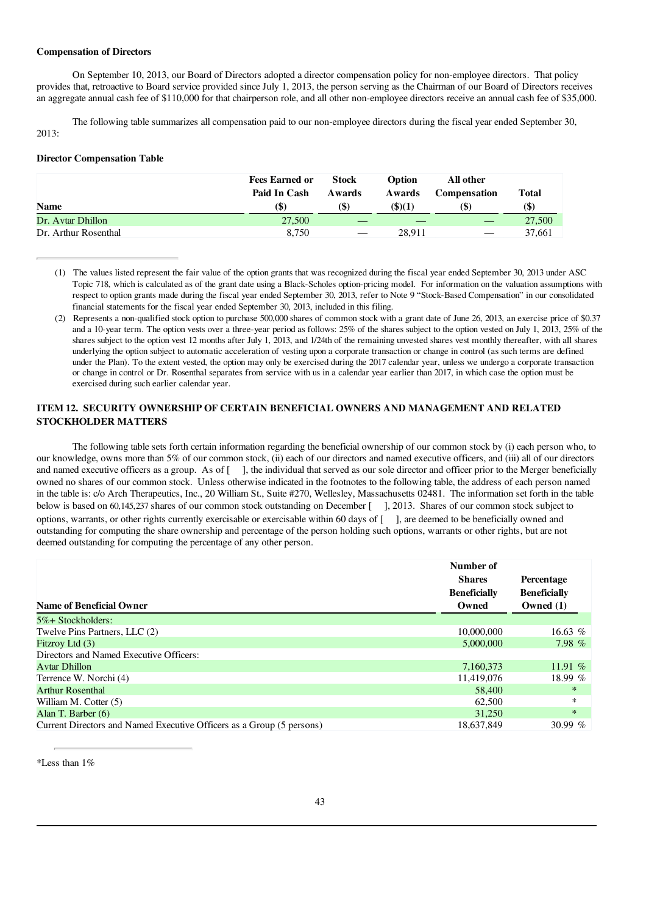## Compensation of Directors

On September 10, 2013, our Board of Directors adopted a director compensation policy for non-employee directors. That policy provides that, retroactive to Board service provided since July 1, 2013, the person serving as the Chairman of our Board of Directors receives an aggregate annual cash fee of \$110,000 for that chairperson role, and all other non-employee directors receive an annual cash fee of \$35,000.

The following table summarizes all compensation paid to our non-employee directors during the fiscal year ended September 30, 2013:

#### Director Compensation Table

|                      | <b>Fees Earned or</b><br>Paid In Cash | <b>Stock</b><br>Awards        | <b>Option</b><br>Awards | All other<br><b>Compensation</b> | <b>Total</b> |
|----------------------|---------------------------------------|-------------------------------|-------------------------|----------------------------------|--------------|
| <b>Name</b>          | (\$`                                  | (\$)                          | $($ \$ $)(1)$           | (\$)                             | $($ \$)      |
| Dr. Avtar Dhillon    | 27,500                                |                               |                         |                                  | 27,500       |
| Dr. Arthur Rosenthal | 8.750                                 | $\overbrace{\phantom{aaaaa}}$ | 28.911                  |                                  | 37,661       |

(1) The values listed represent the fair value of the option grants that was recognized during the fiscal year ended September 30, 2013 under ASC Topic 718, which is calculated as of the grant date using a Black-Scholes option-pricing model. For information on the valuation assumptions with respect to option grants made during the fiscal year ended September 30, 2013, refer to Note 9 "Stock-Based Compensation" in our consolidated financial statements for the fiscal year ended September 30, 2013, included in this filing.

(2) Represents a non-qualified stock option to purchase 500,000 shares of common stock with a grant date of June 26, 2013, an exercise price of \$0.37 and a 10-year term. The option vests over a three-year period as follows: 25% of the shares subject to the option vested on July 1, 2013, 25% of the shares subject to the option vest 12 months after July 1, 2013, and 1/24th of the remaining unvested shares vest monthly thereafter, with all shares underlying the option subject to automatic acceleration of vesting upon a corporate transaction or change in control (as such terms are defined under the Plan). To the extent vested, the option may only be exercised during the 2017 calendar year, unless we undergo a corporate transaction or change in control or Dr. Rosenthal separates from service with us in a calendar year earlier than 2017, in which case the option must be exercised during such earlier calendar year.

# ITEM 12. SECURITY OWNERSHIP OF CERTAIN BENEFICIAL OWNERS AND MANAGEMENT AND RELATED STOCKHOLDER MATTERS

The following table sets forth certain information regarding the beneficial ownership of our common stock by (i) each person who, to our knowledge, owns more than 5% of our common stock, (ii) each of our directors and named executive officers, and (iii) all of our directors and named executive officers as a group. As of [ ], the individual that served as our sole director and officer prior to the Merger beneficially owned no shares of our common stock. Unless otherwise indicated in the footnotes to the following table, the address of each person named in the table is: c/o Arch Therapeutics, Inc., 20 William St., Suite #270, Wellesley, Massachusetts 02481. The information set forth in the table below is based on 60,145,237 shares of our common stock outstanding on December [ ], 2013. Shares of our common stock subject to options, warrants, or other rights currently exercisable or exercisable within 60 days of [ ], are deemed to be beneficially owned and outstanding for computing the share ownership and percentage of the person holding such options, warrants or other rights, but are not deemed outstanding for computing the percentage of any other person.

| <b>Name of Beneficial Owner</b>                                       | Number of<br><b>Shares</b><br><b>Beneficially</b><br>Owned | Percentage<br><b>Beneficially</b><br>Owned $(1)$ |
|-----------------------------------------------------------------------|------------------------------------------------------------|--------------------------------------------------|
| 5% + Stockholders:                                                    |                                                            |                                                  |
| Twelve Pins Partners, LLC (2)                                         | 10,000,000                                                 | 16.63 $%$                                        |
| Fitzroy Ltd (3)                                                       | 5,000,000                                                  | 7.98%                                            |
| Directors and Named Executive Officers:                               |                                                            |                                                  |
| Avtar Dhillon                                                         | 7,160,373                                                  | 11.91 $%$                                        |
| Terrence W. Norchi (4)                                                | 11,419,076                                                 | 18.99 %                                          |
| <b>Arthur Rosenthal</b>                                               | 58,400                                                     | $\ast$                                           |
| William M. Cotter $(5)$                                               | 62,500                                                     | $\ast$                                           |
| Alan T. Barber (6)                                                    | 31,250                                                     | $\ast$                                           |
| Current Directors and Named Executive Officers as a Group (5 persons) | 18.637.849                                                 | 30.99 $%$                                        |

\*Less than 1%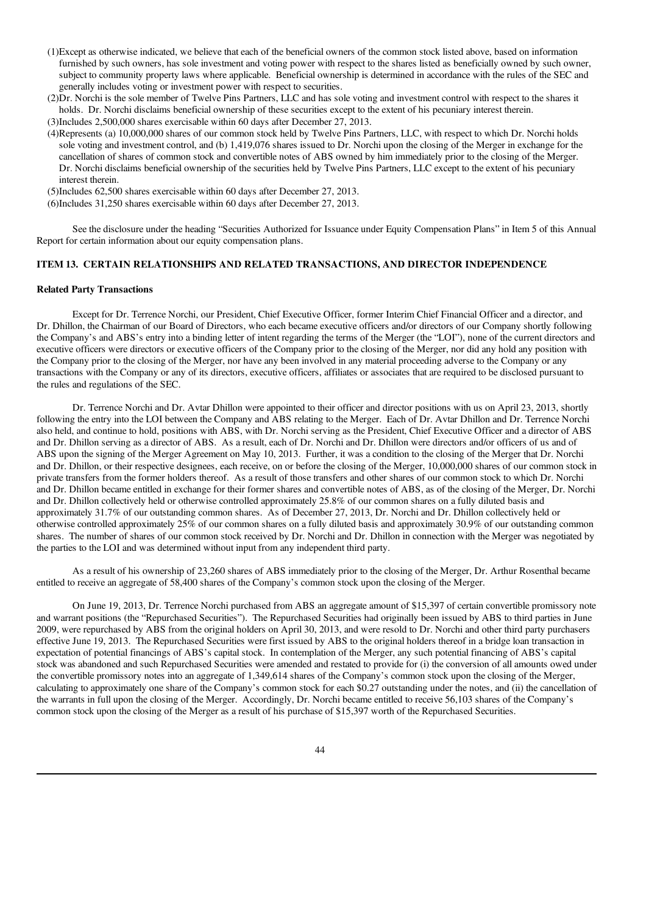- (1)Except as otherwise indicated, we believe that each of the beneficial owners of the common stock listed above, based on information furnished by such owners, has sole investment and voting power with respect to the shares listed as beneficially owned by such owner, subject to community property laws where applicable. Beneficial ownership is determined in accordance with the rules of the SEC and generally includes voting or investment power with respect to securities.
- (2)Dr. Norchi is the sole member of Twelve Pins Partners, LLC and has sole voting and investment control with respect to the shares it holds. Dr. Norchi disclaims beneficial ownership of these securities except to the extent of his pecuniary interest therein. (3)Includes 2,500,000 shares exercisable within 60 days after December 27, 2013.
- (4)Represents (a) 10,000,000 shares of our common stock held by Twelve Pins Partners, LLC, with respect to which Dr. Norchi holds sole voting and investment control, and (b) 1,419,076 shares issued to Dr. Norchi upon the closing of the Merger in exchange for the cancellation of shares of common stock and convertible notes of ABS owned by him immediately prior to the closing of the Merger. Dr. Norchi disclaims beneficial ownership of the securities held by Twelve Pins Partners, LLC except to the extent of his pecuniary interest therein.
- (5)Includes 62,500 shares exercisable within 60 days after December 27, 2013.
- (6)Includes 31,250 shares exercisable within 60 days after December 27, 2013.

See the disclosure under the heading "Securities Authorized for Issuance under Equity Compensation Plans" in Item 5 of this Annual Report for certain information about our equity compensation plans.

## ITEM 13. CERTAIN RELATIONSHIPS AND RELATED TRANSACTIONS, AND DIRECTOR INDEPENDENCE

#### Related Party Transactions

Except for Dr. Terrence Norchi, our President, Chief Executive Officer, former Interim Chief Financial Officer and a director, and Dr. Dhillon, the Chairman of our Board of Directors, who each became executive officers and/or directors of our Company shortly following the Company's and ABS's entry into a binding letter of intent regarding the terms of the Merger (the "LOI"), none of the current directors and executive officers were directors or executive officers of the Company prior to the closing of the Merger, nor did any hold any position with the Company prior to the closing of the Merger, nor have any been involved in any material proceeding adverse to the Company or any transactions with the Company or any of its directors, executive officers, affiliates or associates that are required to be disclosed pursuant to the rules and regulations of the SEC.

Dr. Terrence Norchi and Dr. Avtar Dhillon were appointed to their officer and director positions with us on April 23, 2013, shortly following the entry into the LOI between the Company and ABS relating to the Merger. Each of Dr. Avtar Dhillon and Dr. Terrence Norchi also held, and continue to hold, positions with ABS, with Dr. Norchi serving as the President, Chief Executive Officer and a director of ABS and Dr. Dhillon serving as a director of ABS. As a result, each of Dr. Norchi and Dr. Dhillon were directors and/or officers of us and of ABS upon the signing of the Merger Agreement on May 10, 2013. Further, it was a condition to the closing of the Merger that Dr. Norchi and Dr. Dhillon, or their respective designees, each receive, on or before the closing of the Merger, 10,000,000 shares of our common stock in private transfers from the former holders thereof. As a result of those transfers and other shares of our common stock to which Dr. Norchi and Dr. Dhillon became entitled in exchange for their former shares and convertible notes of ABS, as of the closing of the Merger, Dr. Norchi and Dr. Dhillon collectively held or otherwise controlled approximately 25.8% of our common shares on a fully diluted basis and approximately 31.7% of our outstanding common shares. As of December 27, 2013, Dr. Norchi and Dr. Dhillon collectively held or otherwise controlled approximately 25% of our common shares on a fully diluted basis and approximately 30.9% of our outstanding common shares. The number of shares of our common stock received by Dr. Norchi and Dr. Dhillon in connection with the Merger was negotiated by the parties to the LOI and was determined without input from any independent third party.

As a result of his ownership of 23,260 shares of ABS immediately prior to the closing of the Merger, Dr. Arthur Rosenthal became entitled to receive an aggregate of 58,400 shares of the Company's common stock upon the closing of the Merger.

On June 19, 2013, Dr. Terrence Norchi purchased from ABS an aggregate amount of \$15,397 of certain convertible promissory note and warrant positions (the "Repurchased Securities"). The Repurchased Securities had originally been issued by ABS to third parties in June 2009, were repurchased by ABS from the original holders on April 30, 2013, and were resold to Dr. Norchi and other third party purchasers effective June 19, 2013. The Repurchased Securities were first issued by ABS to the original holders thereof in a bridge loan transaction in expectation of potential financings of ABS's capital stock. In contemplation of the Merger, any such potential financing of ABS's capital stock was abandoned and such Repurchased Securities were amended and restated to provide for (i) the conversion of all amounts owed under the convertible promissory notes into an aggregate of 1,349,614 shares of the Company's common stock upon the closing of the Merger, calculating to approximately one share of the Company's common stock for each \$0.27 outstanding under the notes, and (ii) the cancellation of the warrants in full upon the closing of the Merger. Accordingly, Dr. Norchi became entitled to receive 56,103 shares of the Company's common stock upon the closing of the Merger as a result of his purchase of \$15,397 worth of the Repurchased Securities.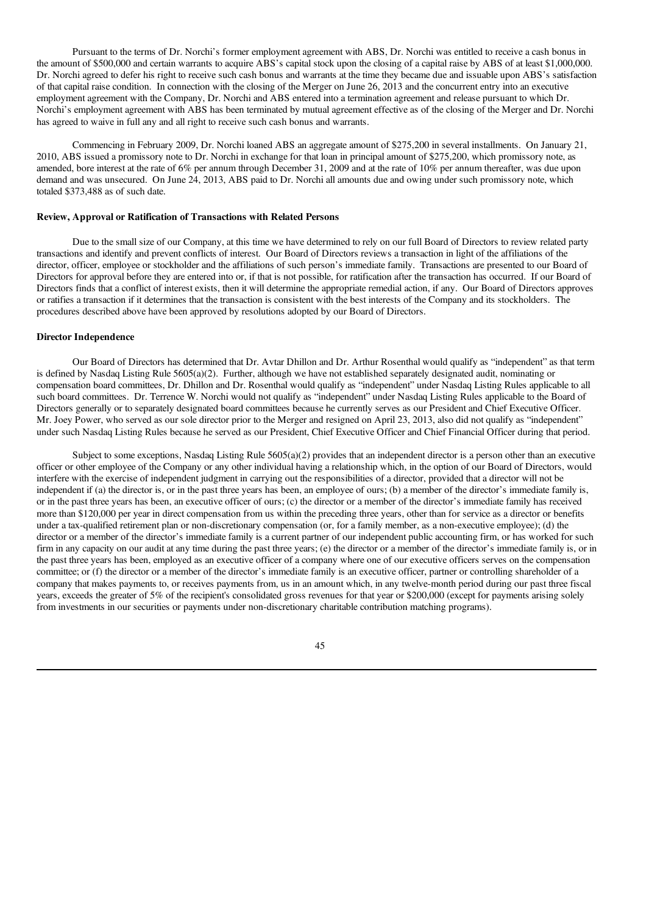Pursuant to the terms of Dr. Norchi's former employment agreement with ABS, Dr. Norchi was entitled to receive a cash bonus in the amount of \$500,000 and certain warrants to acquire ABS's capital stock upon the closing of a capital raise by ABS of at least \$1,000,000. Dr. Norchi agreed to defer his right to receive such cash bonus and warrants at the time they became due and issuable upon ABS's satisfaction of that capital raise condition. In connection with the closing of the Merger on June 26, 2013 and the concurrent entry into an executive employment agreement with the Company, Dr. Norchi and ABS entered into a termination agreement and release pursuant to which Dr. Norchi's employment agreement with ABS has been terminated by mutual agreement effective as of the closing of the Merger and Dr. Norchi has agreed to waive in full any and all right to receive such cash bonus and warrants.

Commencing in February 2009, Dr. Norchi loaned ABS an aggregate amount of \$275,200 in several installments. On January 21, 2010, ABS issued a promissory note to Dr. Norchi in exchange for that loan in principal amount of \$275,200, which promissory note, as amended, bore interest at the rate of 6% per annum through December 31, 2009 and at the rate of 10% per annum thereafter, was due upon demand and was unsecured. On June 24, 2013, ABS paid to Dr. Norchi all amounts due and owing under such promissory note, which totaled \$373,488 as of such date.

### Review, Approval or Ratification of Transactions with Related Persons

Due to the small size of our Company, at this time we have determined to rely on our full Board of Directors to review related party transactions and identify and prevent conflicts of interest. Our Board of Directors reviews a transaction in light of the affiliations of the director, officer, employee or stockholder and the affiliations of such person's immediate family. Transactions are presented to our Board of Directors for approval before they are entered into or, if that is not possible, for ratification after the transaction has occurred. If our Board of Directors finds that a conflict of interest exists, then it will determine the appropriate remedial action, if any. Our Board of Directors approves or ratifies a transaction if it determines that the transaction is consistent with the best interests of the Company and its stockholders. The procedures described above have been approved by resolutions adopted by our Board of Directors.

#### Director Independence

Our Board of Directors has determined that Dr. Avtar Dhillon and Dr. Arthur Rosenthal would qualify as "independent" as that term is defined by Nasdaq Listing Rule 5605(a)(2). Further, although we have not established separately designated audit, nominating or compensation board committees, Dr. Dhillon and Dr. Rosenthal would qualify as "independent" under Nasdaq Listing Rules applicable to all such board committees. Dr. Terrence W. Norchi would not qualify as "independent" under Nasdaq Listing Rules applicable to the Board of Directors generally or to separately designated board committees because he currently serves as our President and Chief Executive Officer. Mr. Joey Power, who served as our sole director prior to the Merger and resigned on April 23, 2013, also did not qualify as "independent" under such Nasdaq Listing Rules because he served as our President, Chief Executive Officer and Chief Financial Officer during that period.

Subject to some exceptions, Nasdaq Listing Rule 5605(a)(2) provides that an independent director is a person other than an executive officer or other employee of the Company or any other individual having a relationship which, in the option of our Board of Directors, would interfere with the exercise of independent judgment in carrying out the responsibilities of a director, provided that a director will not be independent if (a) the director is, or in the past three years has been, an employee of ours; (b) a member of the director's immediate family is, or in the past three years has been, an executive officer of ours; (c) the director or a member of the director's immediate family has received more than \$120,000 per year in direct compensation from us within the preceding three years, other than for service as a director or benefits under a tax-qualified retirement plan or non-discretionary compensation (or, for a family member, as a non-executive employee); (d) the director or a member of the director's immediate family is a current partner of our independent public accounting firm, or has worked for such firm in any capacity on our audit at any time during the past three years; (e) the director or a member of the director's immediate family is, or in the past three years has been, employed as an executive officer of a company where one of our executive officers serves on the compensation committee; or (f) the director or a member of the director's immediate family is an executive officer, partner or controlling shareholder of a company that makes payments to, or receives payments from, us in an amount which, in any twelve-month period during our past three fiscal years, exceeds the greater of 5% of the recipient's consolidated gross revenues for that year or \$200,000 (except for payments arising solely from investments in our securities or payments under non-discretionary charitable contribution matching programs).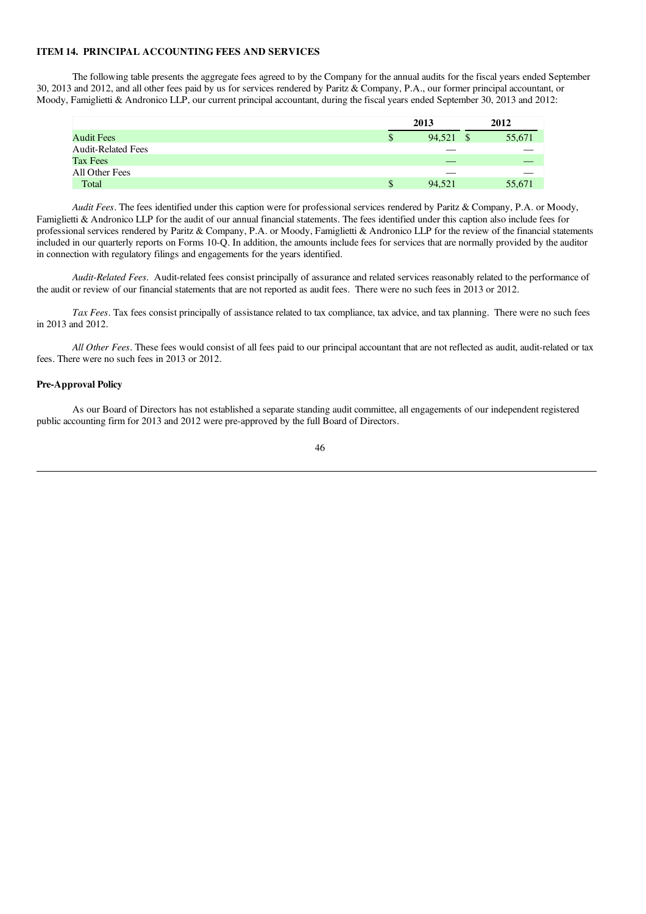## ITEM 14. PRINCIPAL ACCOUNTING FEES AND SERVICES

The following table presents the aggregate fees agreed to by the Company for the annual audits for the fiscal years ended September 30, 2013 and 2012, and all other fees paid by us for services rendered by Paritz & Company, P.A., our former principal accountant, or Moody, Famiglietti & Andronico LLP, our current principal accountant, during the fiscal years ended September 30, 2013 and 2012:

|                           |     | 2013   | 2012   |  |
|---------------------------|-----|--------|--------|--|
| <b>Audit Fees</b>         | \$  | 94.521 | 55,671 |  |
| <b>Audit-Related Fees</b> |     |        |        |  |
| Tax Fees                  |     |        |        |  |
| All Other Fees            |     |        |        |  |
| Total                     | \$. | 94.521 | 55,671 |  |

*Audit Fees*. The fees identified under this caption were for professional services rendered by Paritz & Company, P.A. or Moody, Famiglietti & Andronico LLP for the audit of our annual financial statements. The fees identified under this caption also include fees for professional services rendered by Paritz & Company, P.A. or Moody, Famiglietti & Andronico LLP for the review of the financial statements included in our quarterly reports on Forms 10-Q. In addition, the amounts include fees for services that are normally provided by the auditor in connection with regulatory filings and engagements for the years identified.

*Audit-Related Fees.* Audit-related fees consist principally of assurance and related services reasonably related to the performance of the audit or review of our financial statements that are not reported as audit fees. There were no such fees in 2013 or 2012.

*Tax Fees*. Tax fees consist principally of assistance related to tax compliance, tax advice, and tax planning. There were no such fees in 2013 and 2012.

*All Other Fees*. These fees would consist of all fees paid to our principal accountant that are not reflected as audit, audit-related or tax fees. There were no such fees in 2013 or 2012.

## Pre-Approval Policy

As our Board of Directors has not established a separate standing audit committee, all engagements of our independent registered public accounting firm for 2013 and 2012 were pre-approved by the full Board of Directors.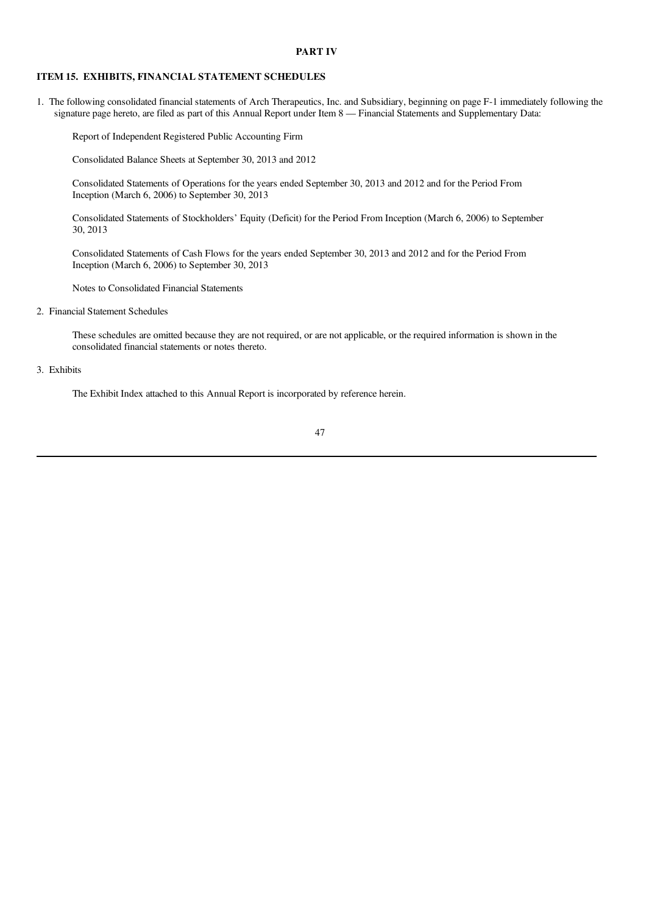#### PART IV

# ITEM 15. EXHIBITS, FINANCIAL STATEMENT SCHEDULES

1. The following consolidated financial statements of Arch Therapeutics, Inc. and Subsidiary, beginning on page F-1 immediately following the signature page hereto, are filed as part of this Annual Report under Item 8 — Financial Statements and Supplementary Data:

Report of Independent Registered Public Accounting Firm

Consolidated Balance Sheets at September 30, 2013 and 2012

Consolidated Statements of Operations for the years ended September 30, 2013 and 2012 and for the Period From Inception (March 6, 2006) to September 30, 2013

Consolidated Statements of Stockholders' Equity (Deficit) for the Period From Inception (March 6, 2006) to September 30, 2013

Consolidated Statements of Cash Flows for the years ended September 30, 2013 and 2012 and for the Period From Inception (March 6, 2006) to September 30, 2013

Notes to Consolidated Financial Statements

2. Financial Statement Schedules

These schedules are omitted because they are not required, or are not applicable, or the required information is shown in the consolidated financial statements or notes thereto.

### 3. Exhibits

The Exhibit Index attached to this Annual Report is incorporated by reference herein.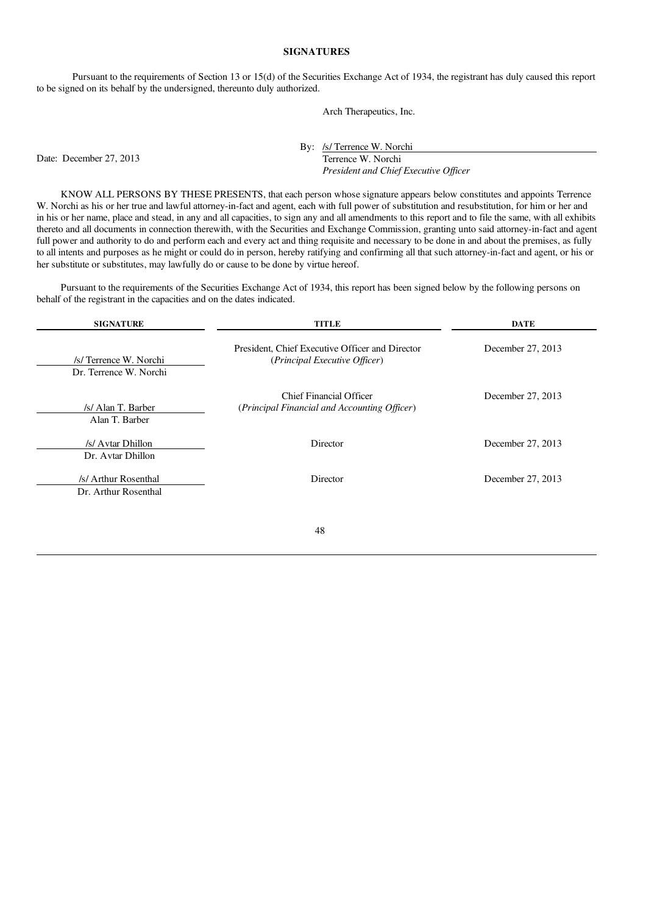### **SIGNATURES**

Pursuant to the requirements of Section 13 or 15(d) of the Securities Exchange Act of 1934, the registrant has duly caused this report to be signed on its behalf by the undersigned, thereunto duly authorized.

Arch Therapeutics, Inc.

By: /s/ Terrence W. Norchi Date: December 27, 2013 Terrence W. Norchi *President and Chief Executive Of icer*

KNOW ALL PERSONS BY THESE PRESENTS, that each person whose signature appears below constitutes and appoints Terrence W. Norchi as his or her true and lawful attorney-in-fact and agent, each with full power of substitution and resubstitution, for him or her and in his or her name, place and stead, in any and all capacities, to sign any and all amendments to this report and to file the same, with all exhibits thereto and all documents in connection therewith, with the Securities and Exchange Commission, granting unto said attorney-in-fact and agent full power and authority to do and perform each and every act and thing requisite and necessary to be done in and about the premises, as fully to all intents and purposes as he might or could do in person, hereby ratifying and confirming all that such attorney-in-fact and agent, or his or her substitute or substitutes, may lawfully do or cause to be done by virtue hereof.

Pursuant to the requirements of the Securities Exchange Act of 1934, this report has been signed below by the following persons on behalf of the registrant in the capacities and on the dates indicated.

| <b>SIGNATURE</b>                                 | <b>TITLE</b>                                                                     | <b>DATE</b>       |
|--------------------------------------------------|----------------------------------------------------------------------------------|-------------------|
| /s/ Terrence W. Norchi<br>Dr. Terrence W. Norchi | President, Chief Executive Officer and Director<br>(Principal Executive Officer) | December 27, 2013 |
| /s/ Alan T. Barber<br>Alan T. Barber             | <b>Chief Financial Officer</b><br>(Principal Financial and Accounting Officer)   | December 27, 2013 |
| /s/ Avtar Dhillon<br>Dr. Avtar Dhillon           | Director                                                                         | December 27, 2013 |
| /s/ Arthur Rosenthal<br>Dr. Arthur Rosenthal     | Director                                                                         | December 27, 2013 |
|                                                  |                                                                                  |                   |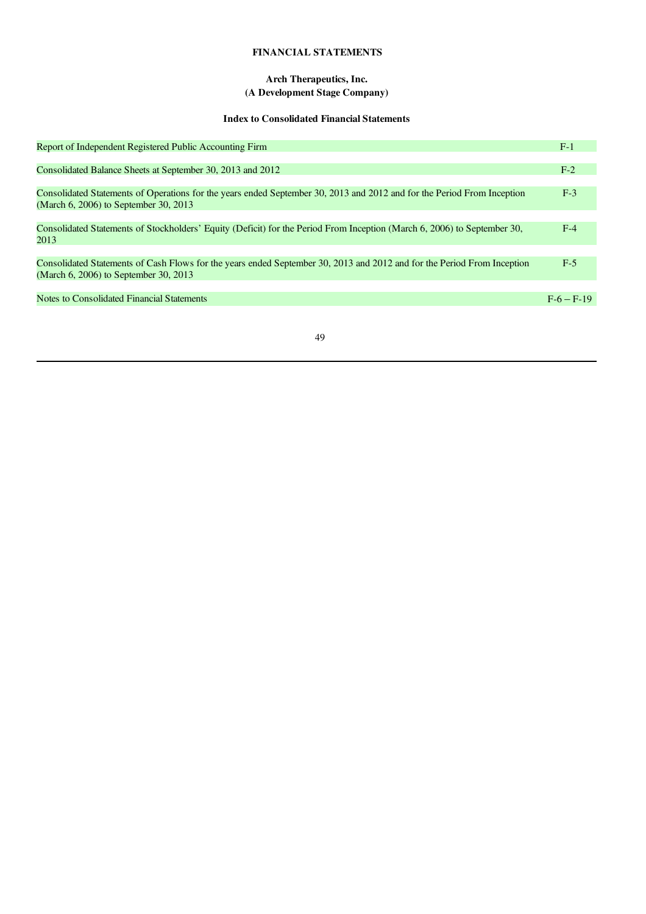# FINANCIAL STATEMENTS

# Arch Therapeutics, Inc. (A Development Stage Company)

# Index to Consolidated Financial Statements

| Report of Independent Registered Public Accounting Firm                                                                                                          | $F-1$      |
|------------------------------------------------------------------------------------------------------------------------------------------------------------------|------------|
|                                                                                                                                                                  |            |
| Consolidated Balance Sheets at September 30, 2013 and 2012                                                                                                       | $F-2$      |
|                                                                                                                                                                  |            |
| Consolidated Statements of Operations for the years ended September 30, 2013 and 2012 and for the Period From Inception<br>(March 6, 2006) to September 30, 2013 | $F-3$      |
|                                                                                                                                                                  |            |
| Consolidated Statements of Stockholders' Equity (Deficit) for the Period From Inception (March 6, 2006) to September 30,<br>2013                                 | $F-4$      |
|                                                                                                                                                                  |            |
| Consolidated Statements of Cash Flows for the years ended September 30, 2013 and 2012 and for the Period From Inception<br>(March 6, 2006) to September 30, 2013 | $F-5$      |
|                                                                                                                                                                  |            |
| Notes to Consolidated Financial Statements                                                                                                                       | $F-6-F-19$ |
|                                                                                                                                                                  |            |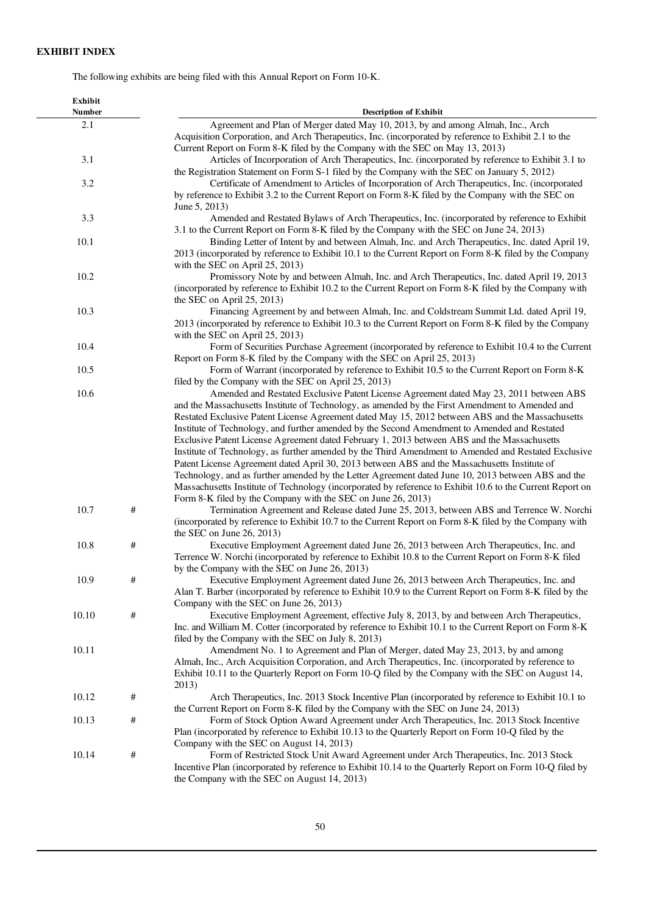# EXHIBIT INDEX

The following exhibits are being filed with this Annual Report on Form 10-K.

| Exhibit<br><b>Number</b> |      | <b>Description of Exhibit</b>                                                                             |
|--------------------------|------|-----------------------------------------------------------------------------------------------------------|
| 2.1                      |      | Agreement and Plan of Merger dated May 10, 2013, by and among Almah, Inc., Arch                           |
|                          |      | Acquisition Corporation, and Arch Therapeutics, Inc. (incorporated by reference to Exhibit 2.1 to the     |
|                          |      | Current Report on Form 8-K filed by the Company with the SEC on May 13, 2013)                             |
| 3.1                      |      | Articles of Incorporation of Arch Therapeutics, Inc. (incorporated by reference to Exhibit 3.1 to         |
|                          |      |                                                                                                           |
|                          |      | the Registration Statement on Form S-1 filed by the Company with the SEC on January 5, 2012)              |
| 3.2                      |      | Certificate of Amendment to Articles of Incorporation of Arch Therapeutics, Inc. (incorporated            |
|                          |      | by reference to Exhibit 3.2 to the Current Report on Form 8-K filed by the Company with the SEC on        |
|                          |      | June 5, 2013)                                                                                             |
| 3.3                      |      | Amended and Restated Bylaws of Arch Therapeutics, Inc. (incorporated by reference to Exhibit              |
|                          |      | 3.1 to the Current Report on Form 8-K filed by the Company with the SEC on June 24, 2013)                 |
| 10.1                     |      | Binding Letter of Intent by and between Almah, Inc. and Arch Therapeutics, Inc. dated April 19,           |
|                          |      | 2013 (incorporated by reference to Exhibit 10.1 to the Current Report on Form 8-K filed by the Company    |
|                          |      | with the SEC on April 25, 2013)                                                                           |
| 10.2                     |      | Promissory Note by and between Almah, Inc. and Arch Therapeutics, Inc. dated April 19, 2013               |
|                          |      | (incorporated by reference to Exhibit 10.2 to the Current Report on Form 8-K filed by the Company with    |
|                          |      | the SEC on April 25, 2013)                                                                                |
| 10.3                     |      | Financing Agreement by and between Almah, Inc. and Coldstream Summit Ltd. dated April 19,                 |
|                          |      |                                                                                                           |
|                          |      | 2013 (incorporated by reference to Exhibit 10.3 to the Current Report on Form 8-K filed by the Company    |
|                          |      | with the SEC on April 25, 2013)                                                                           |
| 10.4                     |      | Form of Securities Purchase Agreement (incorporated by reference to Exhibit 10.4 to the Current           |
|                          |      | Report on Form 8-K filed by the Company with the SEC on April 25, 2013)                                   |
| 10.5                     |      | Form of Warrant (incorporated by reference to Exhibit 10.5 to the Current Report on Form 8-K              |
|                          |      | filed by the Company with the SEC on April 25, 2013)                                                      |
| 10.6                     |      | Amended and Restated Exclusive Patent License Agreement dated May 23, 2011 between ABS                    |
|                          |      | and the Massachusetts Institute of Technology, as amended by the First Amendment to Amended and           |
|                          |      | Restated Exclusive Patent License Agreement dated May 15, 2012 between ABS and the Massachusetts          |
|                          |      | Institute of Technology, and further amended by the Second Amendment to Amended and Restated              |
|                          |      | Exclusive Patent License Agreement dated February 1, 2013 between ABS and the Massachusetts               |
|                          |      | Institute of Technology, as further amended by the Third Amendment to Amended and Restated Exclusive      |
|                          |      | Patent License Agreement dated April 30, 2013 between ABS and the Massachusetts Institute of              |
|                          |      | Technology, and as further amended by the Letter Agreement dated June 10, 2013 between ABS and the        |
|                          |      | Massachusetts Institute of Technology (incorporated by reference to Exhibit 10.6 to the Current Report on |
|                          |      |                                                                                                           |
|                          |      | Form 8-K filed by the Company with the SEC on June 26, 2013)                                              |
| 10.7                     | #    | Termination Agreement and Release dated June 25, 2013, between ABS and Terrence W. Norchi                 |
|                          |      | (incorporated by reference to Exhibit 10.7 to the Current Report on Form 8-K filed by the Company with    |
|                          |      | the SEC on June 26, 2013)                                                                                 |
| 10.8                     | #    | Executive Employment Agreement dated June 26, 2013 between Arch Therapeutics, Inc. and                    |
|                          |      | Terrence W. Norchi (incorporated by reference to Exhibit 10.8 to the Current Report on Form 8-K filed     |
|                          |      | by the Company with the SEC on June 26, 2013)                                                             |
| 10.9                     | #    | Executive Employment Agreement dated June 26, 2013 between Arch Therapeutics, Inc. and                    |
|                          |      | Alan T. Barber (incorporated by reference to Exhibit 10.9 to the Current Report on Form 8-K filed by the  |
|                          |      | Company with the SEC on June 26, 2013)                                                                    |
| 10.10                    | $\#$ | Executive Employment Agreement, effective July 8, 2013, by and between Arch Therapeutics,                 |
|                          |      | Inc. and William M. Cotter (incorporated by reference to Exhibit 10.1 to the Current Report on Form 8-K   |
|                          |      | filed by the Company with the SEC on July 8, 2013)                                                        |
| 10.11                    |      |                                                                                                           |
|                          |      | Amendment No. 1 to Agreement and Plan of Merger, dated May 23, 2013, by and among                         |
|                          |      | Almah, Inc., Arch Acquisition Corporation, and Arch Therapeutics, Inc. (incorporated by reference to      |
|                          |      | Exhibit 10.11 to the Quarterly Report on Form 10-Q filed by the Company with the SEC on August 14,        |
|                          |      | 2013)                                                                                                     |
| 10.12                    | #    | Arch Therapeutics, Inc. 2013 Stock Incentive Plan (incorporated by reference to Exhibit 10.1 to           |
|                          |      | the Current Report on Form 8-K filed by the Company with the SEC on June 24, 2013)                        |
| 10.13                    | #    | Form of Stock Option Award Agreement under Arch Therapeutics, Inc. 2013 Stock Incentive                   |
|                          |      | Plan (incorporated by reference to Exhibit 10.13 to the Quarterly Report on Form 10-Q filed by the        |
|                          |      | Company with the SEC on August 14, 2013)                                                                  |
| 10.14                    | #    | Form of Restricted Stock Unit Award Agreement under Arch Therapeutics, Inc. 2013 Stock                    |
|                          |      | Incentive Plan (incorporated by reference to Exhibit 10.14 to the Quarterly Report on Form 10-Q filed by  |
|                          |      | the Company with the SEC on August 14, 2013)                                                              |
|                          |      |                                                                                                           |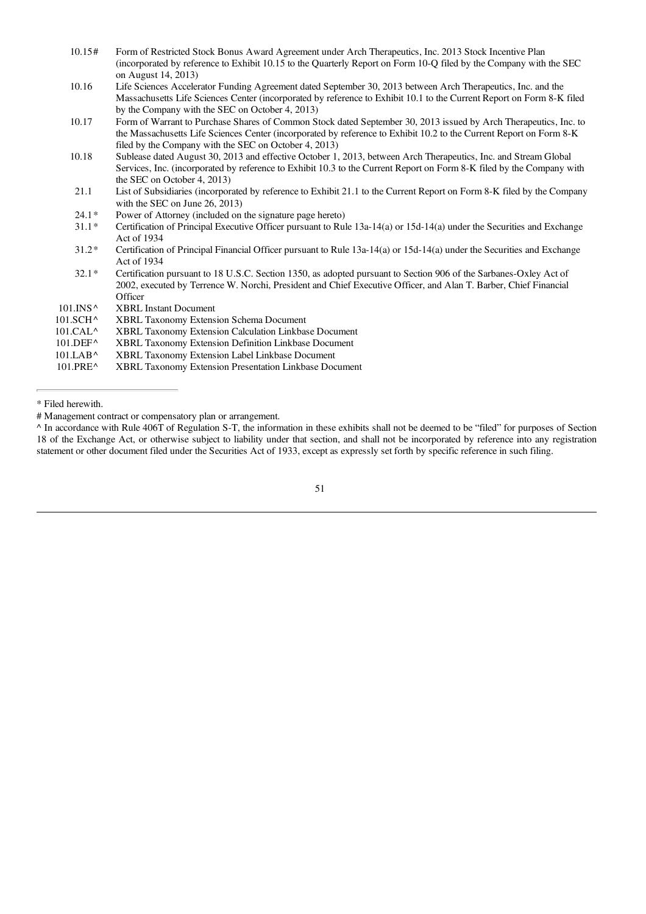- 10.15# Form of Restricted Stock Bonus Award Agreement under Arch Therapeutics, Inc. 2013 Stock Incentive Plan (incorporated by reference to Exhibit 10.15 to the Quarterly Report on Form 10-Q filed by the Company with the SEC on August 14, 2013) 10.16 Life Sciences Accelerator Funding Agreement dated September 30, 2013 between Arch Therapeutics, Inc. and the
- Massachusetts Life Sciences Center (incorporated by reference to Exhibit 10.1 to the Current Report on Form 8-K filed by the Company with the SEC on October 4, 2013)
- 10.17 Form of Warrant to Purchase Shares of Common Stock dated September 30, 2013 issued by Arch Therapeutics, Inc. to the Massachusetts Life Sciences Center (incorporated by reference to Exhibit 10.2 to the Current Report on Form 8-K filed by the Company with the SEC on October 4, 2013)
- 10.18 Sublease dated August 30, 2013 and effective October 1, 2013, between Arch Therapeutics, Inc. and Stream Global Services, Inc. (incorporated by reference to Exhibit 10.3 to the Current Report on Form 8-K filed by the Company with the SEC on October 4, 2013)
- 21.1 List of Subsidiaries (incorporated by reference to Exhibit 21.1 to the Current Report on Form 8-K filed by the Company with the SEC on June 26, 2013)
- 24.1\* Power of Attorney (included on the signature page hereto)
- 31.1\* Certification of Principal Executive Officer pursuant to Rule 13a-14(a) or 15d-14(a) under the Securities and Exchange Act of 1934
- 31.2\* Certification of Principal Financial Officer pursuant to Rule 13a-14(a) or 15d-14(a) under the Securities and Exchange Act of 1934
- 32.1\* Certification pursuant to 18 U.S.C. Section 1350, as adopted pursuant to Section 906 of the Sarbanes-Oxley Act of 2002, executed by Terrence W. Norchi, President and Chief Executive Officer, and Alan T. Barber, Chief Financial **Officer**

| 101.SCH <sup>^</sup> | <b>XBRL Taxonomy Extension Schema Document</b> |  |  |  |
|----------------------|------------------------------------------------|--|--|--|
|----------------------|------------------------------------------------|--|--|--|

- 101.CAL^ XBRL Taxonomy Extension Calculation Linkbase Document
- 101.DEF^ XBRL Taxonomy Extension Definition Linkbase Document
- 101.LAB^ XBRL Taxonomy Extension Label Linkbase Document
- 101.PRE^ XBRL Taxonomy Extension Presentation Linkbase Document

<sup>\*</sup> Filed herewith.

<sup>#</sup> Management contract or compensatory plan or arrangement.

<sup>^</sup> In accordance with Rule 406T of Regulation S-T, the information in these exhibits shall not be deemed to be "filed" for purposes of Section 18 of the Exchange Act, or otherwise subject to liability under that section, and shall not be incorporated by reference into any registration statement or other document filed under the Securities Act of 1933, except as expressly set forth by specific reference in such filing.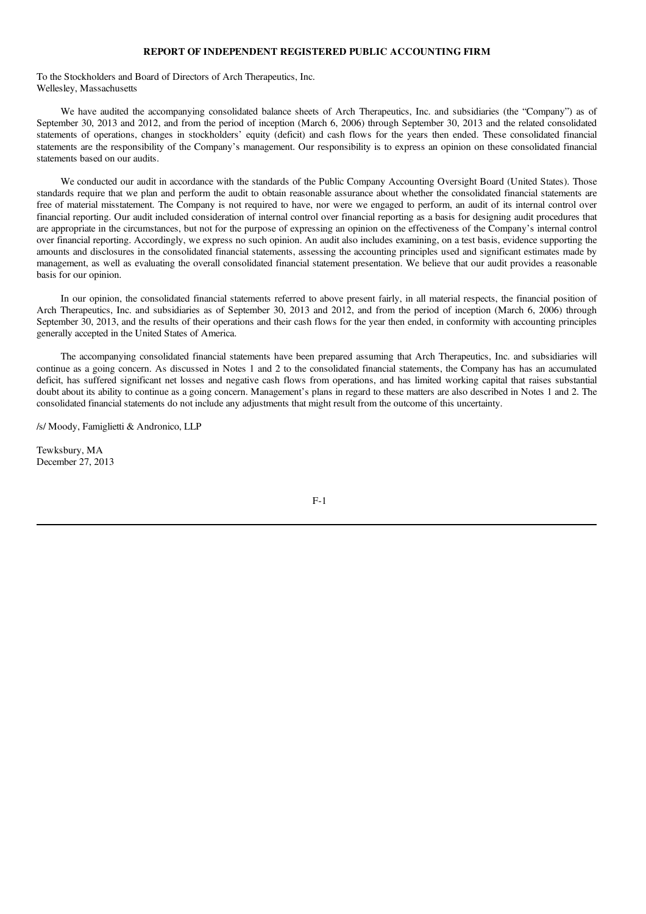## REPORT OF INDEPENDENT REGISTERED PUBLIC ACCOUNTING FIRM

To the Stockholders and Board of Directors of Arch Therapeutics, Inc. Wellesley, Massachusetts

We have audited the accompanying consolidated balance sheets of Arch Therapeutics, Inc. and subsidiaries (the "Company") as of September 30, 2013 and 2012, and from the period of inception (March 6, 2006) through September 30, 2013 and the related consolidated statements of operations, changes in stockholders' equity (deficit) and cash flows for the years then ended. These consolidated financial statements are the responsibility of the Company's management. Our responsibility is to express an opinion on these consolidated financial statements based on our audits.

We conducted our audit in accordance with the standards of the Public Company Accounting Oversight Board (United States). Those standards require that we plan and perform the audit to obtain reasonable assurance about whether the consolidated financial statements are free of material misstatement. The Company is not required to have, nor were we engaged to perform, an audit of its internal control over financial reporting. Our audit included consideration of internal control over financial reporting as a basis for designing audit procedures that are appropriate in the circumstances, but not for the purpose of expressing an opinion on the effectiveness of the Company's internal control over financial reporting. Accordingly, we express no such opinion. An audit also includes examining, on a test basis, evidence supporting the amounts and disclosures in the consolidated financial statements, assessing the accounting principles used and significant estimates made by management, as well as evaluating the overall consolidated financial statement presentation. We believe that our audit provides a reasonable basis for our opinion.

In our opinion, the consolidated financial statements referred to above present fairly, in all material respects, the financial position of Arch Therapeutics, Inc. and subsidiaries as of September 30, 2013 and 2012, and from the period of inception (March 6, 2006) through September 30, 2013, and the results of their operations and their cash flows for the year then ended, in conformity with accounting principles generally accepted in the United States of America.

The accompanying consolidated financial statements have been prepared assuming that Arch Therapeutics, Inc. and subsidiaries will continue as a going concern. As discussed in Notes 1 and 2 to the consolidated financial statements, the Company has has an accumulated deficit, has suffered significant net losses and negative cash flows from operations, and has limited working capital that raises substantial doubt about its ability to continue as a going concern. Management's plans in regard to these matters are also described in Notes 1 and 2. The consolidated financial statements do not include any adjustments that might result from the outcome of this uncertainty.

/s/ Moody, Famiglietti & Andronico, LLP

Tewksbury, MA December 27, 2013

F-1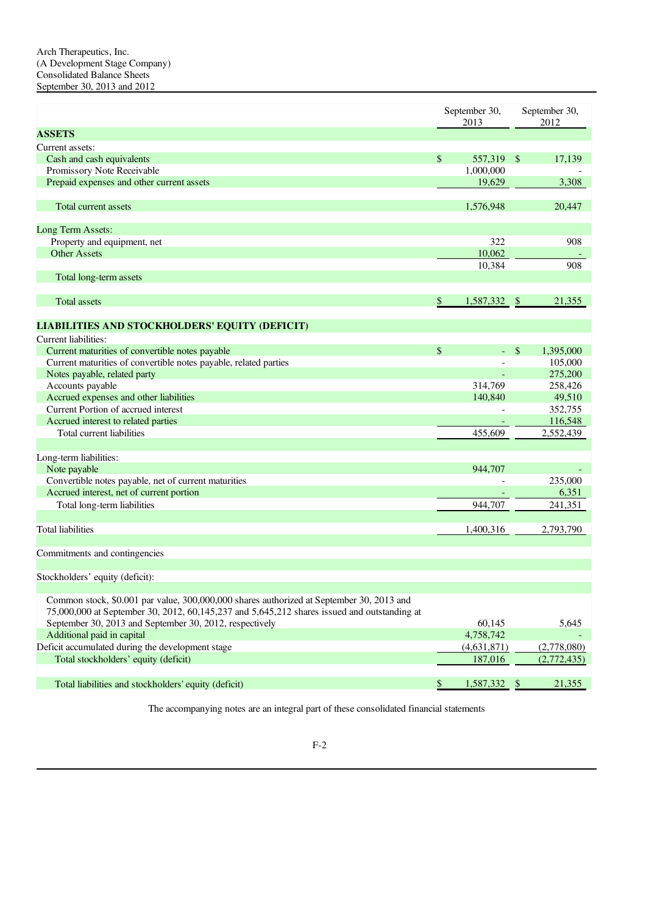|                                                                                                 | September 30,<br>2013             |              | September 30,<br>2012 |  |
|-------------------------------------------------------------------------------------------------|-----------------------------------|--------------|-----------------------|--|
| <b>ASSETS</b>                                                                                   |                                   |              |                       |  |
| Current assets:                                                                                 |                                   |              |                       |  |
| Cash and cash equivalents                                                                       | \$<br>557,319 \$                  |              | 17.139                |  |
| Promissory Note Receivable                                                                      | 1,000,000                         |              |                       |  |
| Prepaid expenses and other current assets                                                       | 19,629                            |              | 3,308                 |  |
|                                                                                                 |                                   |              |                       |  |
| <b>Total current assets</b>                                                                     | 1,576,948                         |              | 20,447                |  |
| Long Term Assets:                                                                               |                                   |              |                       |  |
| Property and equipment, net                                                                     | 322                               |              | 908                   |  |
| <b>Other Assets</b>                                                                             | 10,062                            |              |                       |  |
|                                                                                                 | 10,384                            |              | 908                   |  |
| Total long-term assets                                                                          |                                   |              |                       |  |
|                                                                                                 |                                   |              |                       |  |
| <b>Total assets</b>                                                                             | \$<br>1,587,332 \$                |              | 21,355                |  |
|                                                                                                 |                                   |              |                       |  |
| <b>LIABILITIES AND STOCKHOLDERS' EQUITY (DEFICIT)</b>                                           |                                   |              |                       |  |
| Current liabilities:                                                                            |                                   |              |                       |  |
| Current maturities of convertible notes payable                                                 | \$<br>$\mathcal{L}_{\mathcal{A}}$ | $\mathbb{S}$ | 1,395,000             |  |
| Current maturities of convertible notes payable, related parties                                |                                   |              | 105,000               |  |
| Notes payable, related party                                                                    |                                   |              | 275,200               |  |
| Accounts payable                                                                                | 314,769                           |              | 258,426               |  |
| Accrued expenses and other liabilities                                                          | 140,840                           |              | 49,510                |  |
| Current Portion of accrued interest                                                             |                                   |              | 352,755               |  |
| Accrued interest to related parties                                                             |                                   |              | 116,548               |  |
| Total current liabilities                                                                       | 455,609                           |              | 2,552,439             |  |
|                                                                                                 |                                   |              |                       |  |
| Long-term liabilities:                                                                          |                                   |              |                       |  |
| Note payable                                                                                    | 944,707                           |              |                       |  |
| Convertible notes payable, net of current maturities                                            | $\overline{a}$                    |              | 235,000               |  |
| Accrued interest, net of current portion                                                        |                                   |              | 6,351                 |  |
| Total long-term liabilities                                                                     | 944,707                           |              | 241,351               |  |
|                                                                                                 |                                   |              |                       |  |
| <b>Total liabilities</b>                                                                        | 1,400,316                         |              | 2,793,790             |  |
| Commitments and contingencies                                                                   |                                   |              |                       |  |
|                                                                                                 |                                   |              |                       |  |
| Stockholders' equity (deficit):                                                                 |                                   |              |                       |  |
| Common stock, \$0.001 par value, 300,000,000 shares authorized at September 30, 2013 and        |                                   |              |                       |  |
| 75,000,000 at September 30, 2012, 60, 145, 237 and 5, 645, 212 shares issued and outstanding at |                                   |              |                       |  |
| September 30, 2013 and September 30, 2012, respectively                                         | 60,145                            |              | 5,645                 |  |
| Additional paid in capital                                                                      | 4,758,742                         |              |                       |  |
| Deficit accumulated during the development stage                                                | (4,631,871)                       |              | (2,778,080)           |  |
| Total stockholders' equity (deficit)                                                            | 187,016                           |              | (2,772,435)           |  |
|                                                                                                 |                                   |              |                       |  |
| Total liabilities and stockholders' equity (deficit)                                            | \$<br>$1,587,332$ \$              |              | 21,355                |  |
|                                                                                                 |                                   |              |                       |  |

The accompanying notes are an integral part of these consolidated financial statements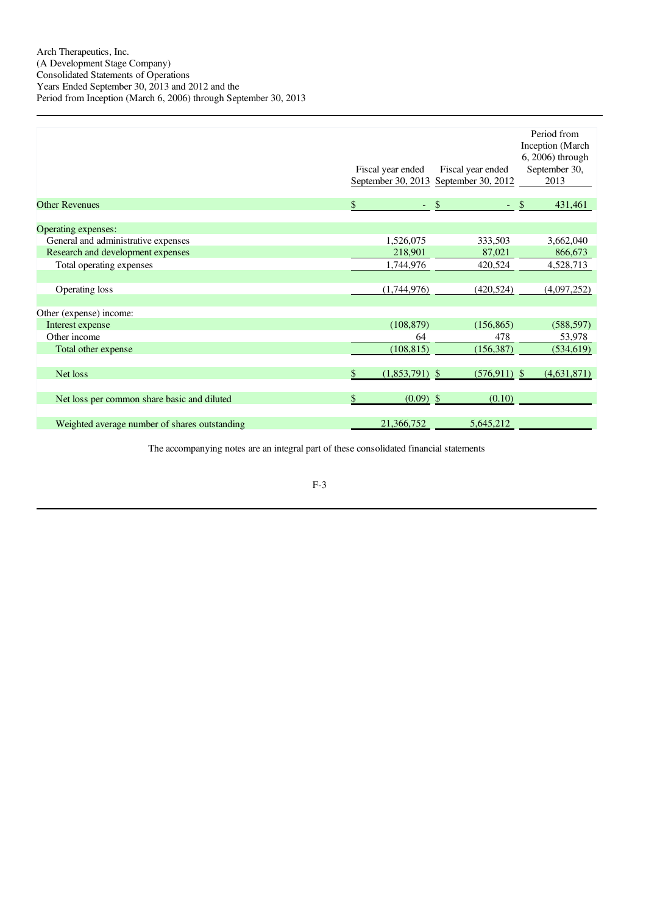|                                               | Fiscal year ended      | Fiscal year ended<br>September 30, 2013 September 30, 2012 | Period from<br>Inception (March<br>6, 2006) through<br>September 30,<br>2013 |
|-----------------------------------------------|------------------------|------------------------------------------------------------|------------------------------------------------------------------------------|
| <b>Other Revenues</b>                         | \$<br>$-$ \$           | - \$                                                       | 431,461                                                                      |
|                                               |                        |                                                            |                                                                              |
| Operating expenses:                           |                        |                                                            |                                                                              |
| General and administrative expenses           | 1,526,075              | 333,503                                                    | 3,662,040                                                                    |
| Research and development expenses             | 218,901                | 87,021                                                     | 866,673                                                                      |
| Total operating expenses                      | 1,744,976              | 420,524                                                    | 4,528,713                                                                    |
|                                               |                        |                                                            |                                                                              |
| Operating loss                                | (1,744,976)            | (420, 524)                                                 | (4,097,252)                                                                  |
|                                               |                        |                                                            |                                                                              |
| Other (expense) income:                       |                        |                                                            |                                                                              |
| Interest expense                              | (108, 879)             | (156, 865)                                                 | (588, 597)                                                                   |
| Other income                                  | 64                     | 478                                                        | 53,978                                                                       |
| Total other expense                           | (108, 815)             | (156, 387)                                                 | (534, 619)                                                                   |
|                                               |                        |                                                            |                                                                              |
| Net loss                                      | $(1,853,791)$ \$<br>\$ | $(576, 911)$ \$                                            | (4,631,871)                                                                  |
|                                               |                        |                                                            |                                                                              |
| Net loss per common share basic and diluted   | \$<br>$(0.09)$ \$      | (0.10)                                                     |                                                                              |
|                                               |                        |                                                            |                                                                              |
| Weighted average number of shares outstanding | 21,366,752             | 5,645,212                                                  |                                                                              |
|                                               |                        |                                                            |                                                                              |

The accompanying notes are an integral part of these consolidated financial statements

F-3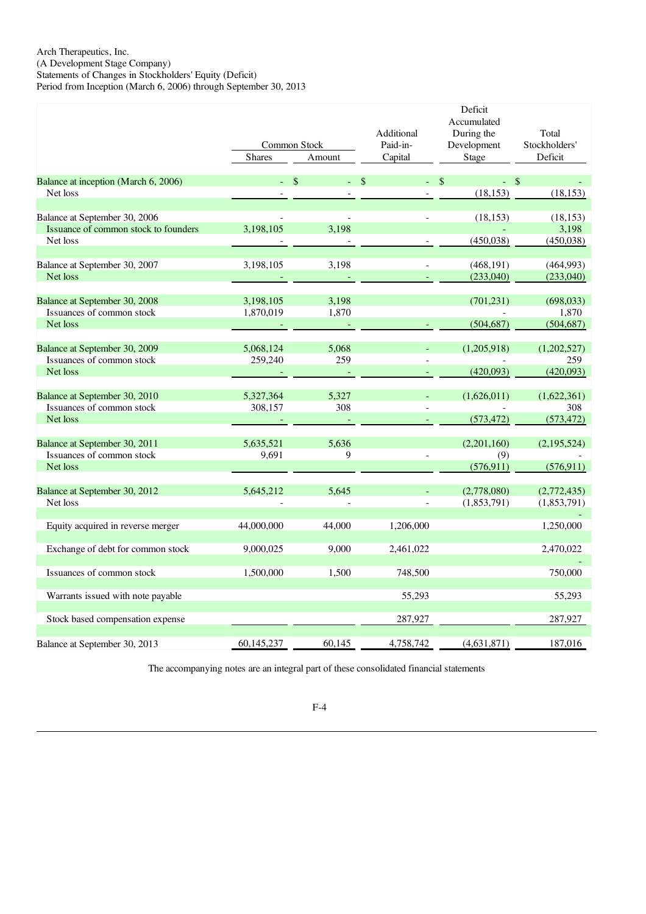## Arch Therapeutics, Inc. (A Development Stage Company) Statements of Changes in Stockholders' Equity (Deficit) Period from Inception (March 6, 2006) through September 30, 2013

|                                      |                     | Common Stock   | Additional<br>Paid-in- | Deficit<br>Accumulated<br>During the<br>Development | Total<br>Stockholders' |
|--------------------------------------|---------------------|----------------|------------------------|-----------------------------------------------------|------------------------|
|                                      | <b>Shares</b>       | Amount         | Capital                | Stage                                               | Deficit                |
| Balance at inception (March 6, 2006) | $\omega_{\rm{eff}}$ | $\mathcal{S}$  | $-$ \$<br>$-$ \$       | $-$ \$                                              |                        |
| Net loss                             |                     |                |                        | (18, 153)                                           | (18, 153)              |
| Balance at September 30, 2006        |                     |                |                        | (18, 153)                                           | (18, 153)              |
| Issuance of common stock to founders | 3,198,105           | 3,198          |                        |                                                     | 3,198                  |
| Net loss                             |                     |                |                        | (450, 038)                                          | (450, 038)             |
|                                      |                     |                |                        |                                                     |                        |
| Balance at September 30, 2007        | 3,198,105           | 3,198          |                        | (468, 191)                                          | (464,993)              |
| Net loss                             |                     |                |                        | (233,040)                                           | (233,040)              |
| Balance at September 30, 2008        | 3,198,105           | 3,198          |                        | (701, 231)                                          | (698, 033)             |
| Issuances of common stock            | 1,870,019           | 1,870          |                        |                                                     | 1,870                  |
| Net loss                             | $\sim$              | $\sim$         |                        | (504, 687)                                          | (504, 687)             |
|                                      |                     |                |                        |                                                     |                        |
| Balance at September 30, 2009        | 5,068,124           | 5,068          |                        | (1,205,918)                                         | (1,202,527)            |
| Issuances of common stock            | 259,240             | 259            |                        |                                                     | 259                    |
| Net loss                             |                     | $\Box$         |                        | (420,093)                                           | (420,093)              |
| Balance at September 30, 2010        | 5,327,364           | 5,327          |                        | (1,626,011)                                         | (1,622,361)            |
| Issuances of common stock            | 308,157             | 308            |                        |                                                     | 308                    |
| Net loss                             |                     |                |                        | (573, 472)                                          | (573, 472)             |
|                                      |                     |                |                        |                                                     |                        |
| Balance at September 30, 2011        | 5,635,521           | 5,636          |                        | (2,201,160)                                         | (2,195,524)            |
| Issuances of common stock            | 9,691               | 9              | $\frac{1}{2}$          | (9)                                                 |                        |
| Net loss                             |                     |                |                        | (576, 911)                                          | (576, 911)             |
| Balance at September 30, 2012        | 5,645,212           | 5.645          |                        | (2,778,080)                                         | (2,772,435)            |
| Net loss                             |                     | $\overline{a}$ | $\overline{a}$         | (1,853,791)                                         | (1,853,791)            |
|                                      |                     |                |                        |                                                     |                        |
| Equity acquired in reverse merger    | 44,000,000          | 44,000         | 1,206,000              |                                                     | 1,250,000              |
| Exchange of debt for common stock    | 9,000,025           | 9,000          | 2,461,022              |                                                     | 2,470,022              |
| Issuances of common stock            | 1,500,000           | 1,500          | 748,500                |                                                     | 750,000                |
| Warrants issued with note payable    |                     |                | 55,293                 |                                                     | 55,293                 |
| Stock based compensation expense     |                     |                | 287,927                |                                                     | 287,927                |
| Balance at September 30, 2013        | 60,145,237          | 60,145         | 4,758,742              | (4,631,871)                                         | 187,016                |

The accompanying notes are an integral part of these consolidated financial statements

F-4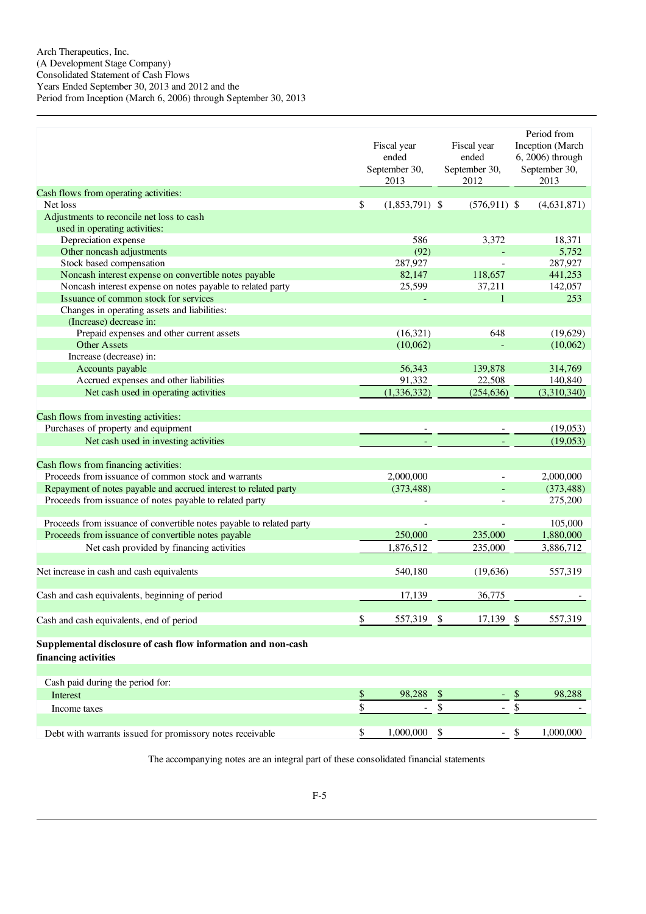|                                                                                       | Fiscal year<br>ended<br>September 30,<br>2013 | Fiscal year<br>ended<br>September 30,<br>2012 | Period from<br>Inception (March<br>6, 2006) through<br>September 30,<br>2013 |
|---------------------------------------------------------------------------------------|-----------------------------------------------|-----------------------------------------------|------------------------------------------------------------------------------|
| Cash flows from operating activities:                                                 |                                               |                                               |                                                                              |
| Net loss                                                                              | \$<br>$(1,853,791)$ \$                        | $(576, 911)$ \$                               | (4,631,871)                                                                  |
| Adjustments to reconcile net loss to cash                                             |                                               |                                               |                                                                              |
| used in operating activities:                                                         |                                               |                                               |                                                                              |
| Depreciation expense                                                                  | 586                                           | 3,372                                         | 18,371                                                                       |
| Other noncash adjustments                                                             | (92)                                          |                                               | 5,752                                                                        |
| Stock based compensation                                                              | 287,927                                       |                                               | 287,927                                                                      |
| Noncash interest expense on convertible notes payable                                 | 82,147                                        | 118,657                                       | 441,253                                                                      |
| Noncash interest expense on notes payable to related party                            | 25,599                                        | 37,211                                        | 142,057                                                                      |
| Issuance of common stock for services                                                 |                                               |                                               | 253                                                                          |
| Changes in operating assets and liabilities:                                          |                                               |                                               |                                                                              |
| (Increase) decrease in:                                                               |                                               |                                               |                                                                              |
| Prepaid expenses and other current assets                                             | (16,321)                                      | 648                                           | (19,629)                                                                     |
| <b>Other Assets</b>                                                                   | (10,062)                                      |                                               | (10,062)                                                                     |
| Increase (decrease) in:                                                               |                                               |                                               |                                                                              |
| Accounts payable                                                                      | 56,343                                        | 139,878                                       | 314,769                                                                      |
| Accrued expenses and other liabilities                                                | 91,332                                        | 22,508                                        | 140,840                                                                      |
| Net cash used in operating activities                                                 | (1,336,332)                                   | (254, 636)                                    | (3,310,340)                                                                  |
|                                                                                       |                                               |                                               |                                                                              |
| Cash flows from investing activities:                                                 |                                               |                                               |                                                                              |
| Purchases of property and equipment                                                   |                                               |                                               | (19,053)                                                                     |
| Net cash used in investing activities                                                 |                                               |                                               | (19,053)                                                                     |
|                                                                                       |                                               |                                               |                                                                              |
| Cash flows from financing activities:                                                 |                                               |                                               |                                                                              |
| Proceeds from issuance of common stock and warrants                                   | 2,000,000                                     |                                               | 2,000,000                                                                    |
| Repayment of notes payable and accrued interest to related party                      | (373, 488)                                    |                                               | (373, 488)                                                                   |
| Proceeds from issuance of notes payable to related party                              |                                               |                                               | 275,200                                                                      |
|                                                                                       |                                               |                                               |                                                                              |
| Proceeds from issuance of convertible notes payable to related party                  |                                               |                                               | 105,000                                                                      |
| Proceeds from issuance of convertible notes payable                                   | 250,000                                       | 235,000                                       | 1,880,000                                                                    |
| Net cash provided by financing activities                                             | 1,876,512                                     | 235,000                                       | 3,886,712                                                                    |
|                                                                                       |                                               |                                               |                                                                              |
| Net increase in cash and cash equivalents                                             | 540,180                                       | (19,636)                                      | 557,319                                                                      |
|                                                                                       |                                               |                                               |                                                                              |
| Cash and cash equivalents, beginning of period                                        | 17,139                                        | 36,775                                        |                                                                              |
|                                                                                       |                                               |                                               |                                                                              |
| Cash and cash equivalents, end of period                                              | \$<br>557,319 \$                              | 17,139 \$                                     | 557,319                                                                      |
|                                                                                       |                                               |                                               |                                                                              |
| Supplemental disclosure of cash flow information and non-cash<br>financing activities |                                               |                                               |                                                                              |
|                                                                                       |                                               |                                               |                                                                              |
| Cash paid during the period for:                                                      |                                               |                                               |                                                                              |
| Interest                                                                              | \$<br>98,288                                  | $\mathcal{L}$                                 | 98,288                                                                       |
| Income taxes                                                                          | \$                                            | \$                                            | \$                                                                           |
|                                                                                       |                                               |                                               |                                                                              |
| Debt with warrants issued for promissory notes receivable                             | \$<br>$1,000,000$ \$                          | $\sim$                                        | \$<br>1,000,000                                                              |

The accompanying notes are an integral part of these consolidated financial statements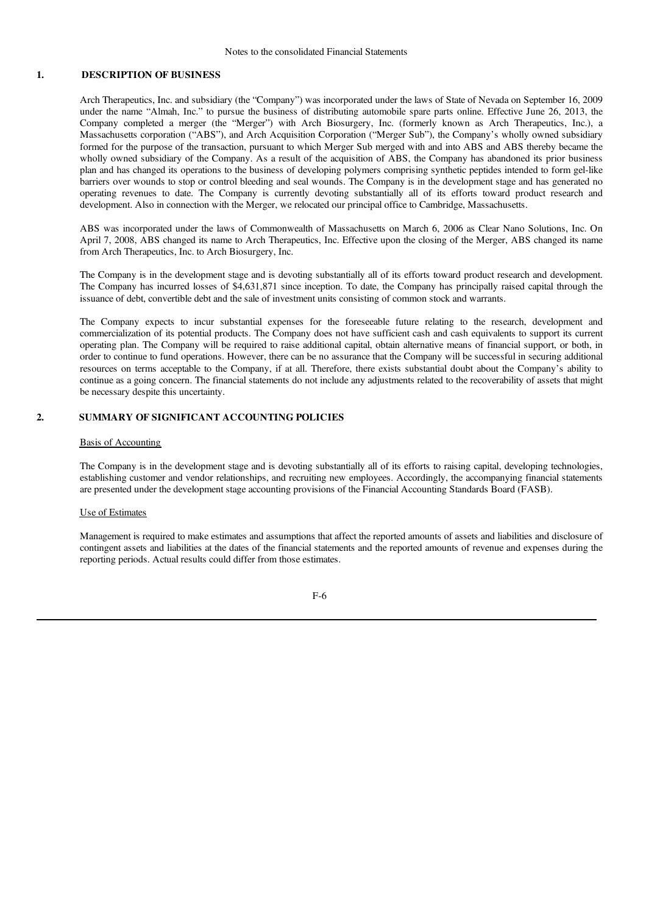## 1. DESCRIPTION OF BUSINESS

Arch Therapeutics, Inc. and subsidiary (the "Company") was incorporated under the laws of State of Nevada on September 16, 2009 under the name "Almah, Inc." to pursue the business of distributing automobile spare parts online. Effective June 26, 2013, the Company completed a merger (the "Merger") with Arch Biosurgery, Inc. (formerly known as Arch Therapeutics, Inc.), a Massachusetts corporation ("ABS"), and Arch Acquisition Corporation ("Merger Sub"), the Company's wholly owned subsidiary formed for the purpose of the transaction, pursuant to which Merger Sub merged with and into ABS and ABS thereby became the wholly owned subsidiary of the Company. As a result of the acquisition of ABS, the Company has abandoned its prior business plan and has changed its operations to the business of developing polymers comprising synthetic peptides intended to form gel-like barriers over wounds to stop or control bleeding and seal wounds. The Company is in the development stage and has generated no operating revenues to date. The Company is currently devoting substantially all of its efforts toward product research and development. Also in connection with the Merger, we relocated our principal office to Cambridge, Massachusetts.

ABS was incorporated under the laws of Commonwealth of Massachusetts on March 6, 2006 as Clear Nano Solutions, Inc. On April 7, 2008, ABS changed its name to Arch Therapeutics, Inc. Effective upon the closing of the Merger, ABS changed its name from Arch Therapeutics, Inc. to Arch Biosurgery, Inc.

The Company is in the development stage and is devoting substantially all of its efforts toward product research and development. The Company has incurred losses of \$4,631,871 since inception. To date, the Company has principally raised capital through the issuance of debt, convertible debt and the sale of investment units consisting of common stock and warrants.

The Company expects to incur substantial expenses for the foreseeable future relating to the research, development and commercialization of its potential products. The Company does not have sufficient cash and cash equivalents to support its current operating plan. The Company will be required to raise additional capital, obtain alternative means of financial support, or both, in order to continue to fund operations. However, there can be no assurance that the Company will be successful in securing additional resources on terms acceptable to the Company, if at all. Therefore, there exists substantial doubt about the Company's ability to continue as a going concern. The financial statements do not include any adjustments related to the recoverability of assets that might be necessary despite this uncertainty.

## 2. SUMMARY OF SIGNIFICANT ACCOUNTING POLICIES

#### Basis of Accounting

The Company is in the development stage and is devoting substantially all of its efforts to raising capital, developing technologies, establishing customer and vendor relationships, and recruiting new employees. Accordingly, the accompanying financial statements are presented under the development stage accounting provisions of the Financial Accounting Standards Board (FASB).

#### Use of Estimates

Management is required to make estimates and assumptions that affect the reported amounts of assets and liabilities and disclosure of contingent assets and liabilities at the dates of the financial statements and the reported amounts of revenue and expenses during the reporting periods. Actual results could differ from those estimates.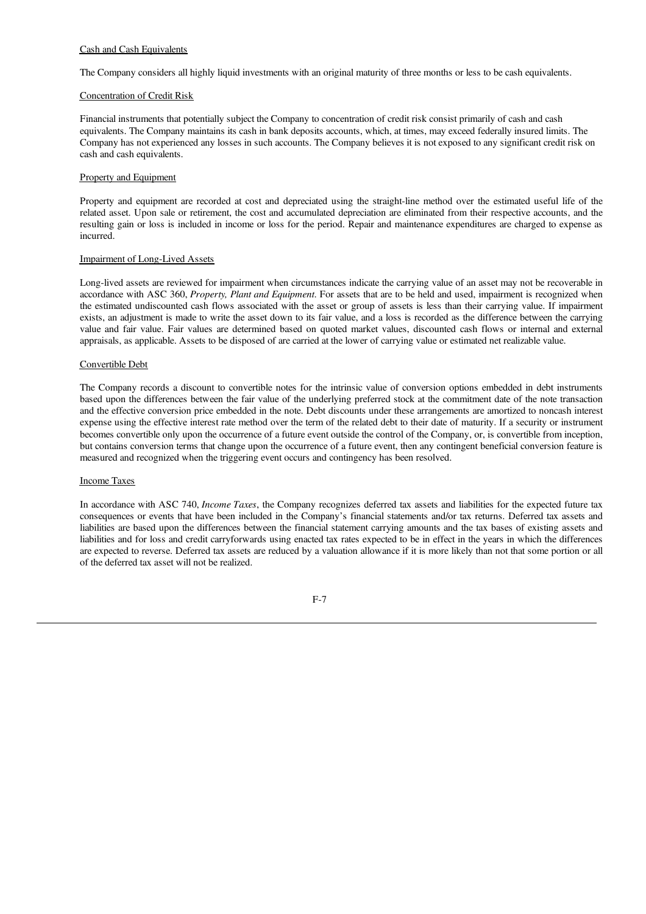## Cash and Cash Equivalents

The Company considers all highly liquid investments with an original maturity of three months or less to be cash equivalents.

## Concentration of Credit Risk

Financial instruments that potentially subject the Company to concentration of credit risk consist primarily of cash and cash equivalents. The Company maintains its cash in bank deposits accounts, which, at times, may exceed federally insured limits. The Company has not experienced any losses in such accounts. The Company believes it is not exposed to any significant credit risk on cash and cash equivalents.

## Property and Equipment

Property and equipment are recorded at cost and depreciated using the straight-line method over the estimated useful life of the related asset. Upon sale or retirement, the cost and accumulated depreciation are eliminated from their respective accounts, and the resulting gain or loss is included in income or loss for the period. Repair and maintenance expenditures are charged to expense as incurred.

## Impairment of Long-Lived Assets

Long-lived assets are reviewed for impairment when circumstances indicate the carrying value of an asset may not be recoverable in accordance with ASC 360, *Property, Plant and Equipment*. For assets that are to be held and used, impairment is recognized when the estimated undiscounted cash flows associated with the asset or group of assets is less than their carrying value. If impairment exists, an adjustment is made to write the asset down to its fair value, and a loss is recorded as the difference between the carrying value and fair value. Fair values are determined based on quoted market values, discounted cash flows or internal and external appraisals, as applicable. Assets to be disposed of are carried at the lower of carrying value or estimated net realizable value.

## Convertible Debt

The Company records a discount to convertible notes for the intrinsic value of conversion options embedded in debt instruments based upon the differences between the fair value of the underlying preferred stock at the commitment date of the note transaction and the effective conversion price embedded in the note. Debt discounts under these arrangements are amortized to noncash interest expense using the effective interest rate method over the term of the related debt to their date of maturity. If a security or instrument becomes convertible only upon the occurrence of a future event outside the control of the Company, or, is convertible from inception, but contains conversion terms that change upon the occurrence of a future event, then any contingent beneficial conversion feature is measured and recognized when the triggering event occurs and contingency has been resolved.

#### Income Taxes

In accordance with ASC 740, *Income Taxes*, the Company recognizes deferred tax assets and liabilities for the expected future tax consequences or events that have been included in the Company's financial statements and/or tax returns. Deferred tax assets and liabilities are based upon the differences between the financial statement carrying amounts and the tax bases of existing assets and liabilities and for loss and credit carryforwards using enacted tax rates expected to be in effect in the years in which the differences are expected to reverse. Deferred tax assets are reduced by a valuation allowance if it is more likely than not that some portion or all of the deferred tax asset will not be realized.

#### F-7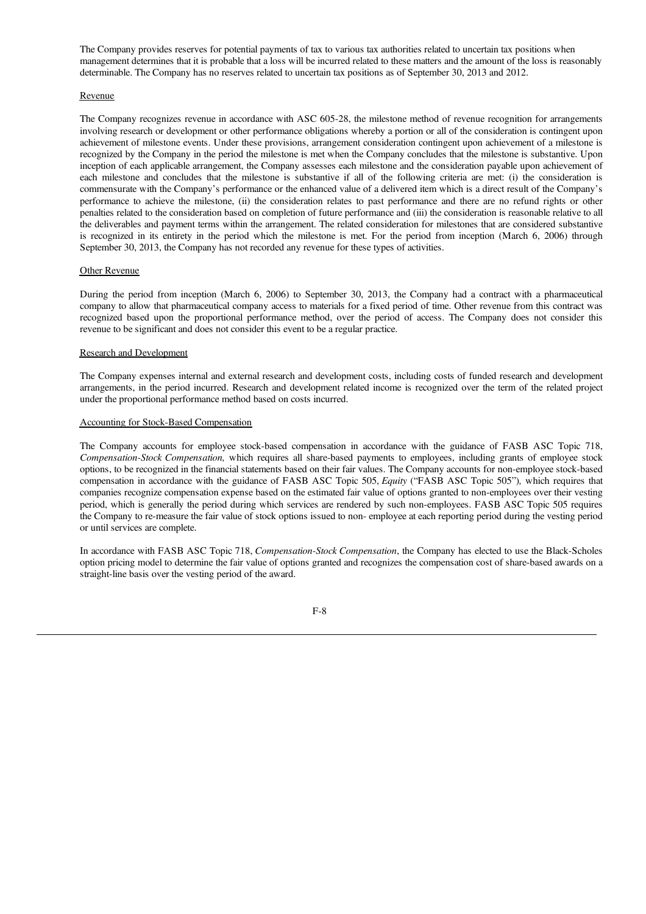The Company provides reserves for potential payments of tax to various tax authorities related to uncertain tax positions when management determines that it is probable that a loss will be incurred related to these matters and the amount of the loss is reasonably determinable. The Company has no reserves related to uncertain tax positions as of September 30, 2013 and 2012.

## Revenue

The Company recognizes revenue in accordance with ASC 605-28, the milestone method of revenue recognition for arrangements involving research or development or other performance obligations whereby a portion or all of the consideration is contingent upon achievement of milestone events. Under these provisions, arrangement consideration contingent upon achievement of a milestone is recognized by the Company in the period the milestone is met when the Company concludes that the milestone is substantive. Upon inception of each applicable arrangement, the Company assesses each milestone and the consideration payable upon achievement of each milestone and concludes that the milestone is substantive if all of the following criteria are met: (i) the consideration is commensurate with the Company's performance or the enhanced value of a delivered item which is a direct result of the Company's performance to achieve the milestone, (ii) the consideration relates to past performance and there are no refund rights or other penalties related to the consideration based on completion of future performance and (iii) the consideration is reasonable relative to all the deliverables and payment terms within the arrangement. The related consideration for milestones that are considered substantive is recognized in its entirety in the period which the milestone is met. For the period from inception (March 6, 2006) through September 30, 2013, the Company has not recorded any revenue for these types of activities.

### Other Revenue

During the period from inception (March 6, 2006) to September 30, 2013, the Company had a contract with a pharmaceutical company to allow that pharmaceutical company access to materials for a fixed period of time. Other revenue from this contract was recognized based upon the proportional performance method, over the period of access. The Company does not consider this revenue to be significant and does not consider this event to be a regular practice.

#### Research and Development

The Company expenses internal and external research and development costs, including costs of funded research and development arrangements, in the period incurred. Research and development related income is recognized over the term of the related project under the proportional performance method based on costs incurred.

## Accounting for Stock-Based Compensation

The Company accounts for employee stock-based compensation in accordance with the guidance of FASB ASC Topic 718, *Compensation-Stock Compensation,* which requires all share-based payments to employees, including grants of employee stock options, to be recognized in the financial statements based on their fair values. The Company accounts for non-employee stock-based compensation in accordance with the guidance of FASB ASC Topic 505, *Equity* ("FASB ASC Topic 505")*,* which requires that companies recognize compensation expense based on the estimated fair value of options granted to non-employees over their vesting period, which is generally the period during which services are rendered by such non-employees. FASB ASC Topic 505 requires the Company to re-measure the fair value of stock options issued to non- employee at each reporting period during the vesting period or until services are complete.

In accordance with FASB ASC Topic 718, *Compensation-Stock Compensation*, the Company has elected to use the Black-Scholes option pricing model to determine the fair value of options granted and recognizes the compensation cost of share-based awards on a straight-line basis over the vesting period of the award.

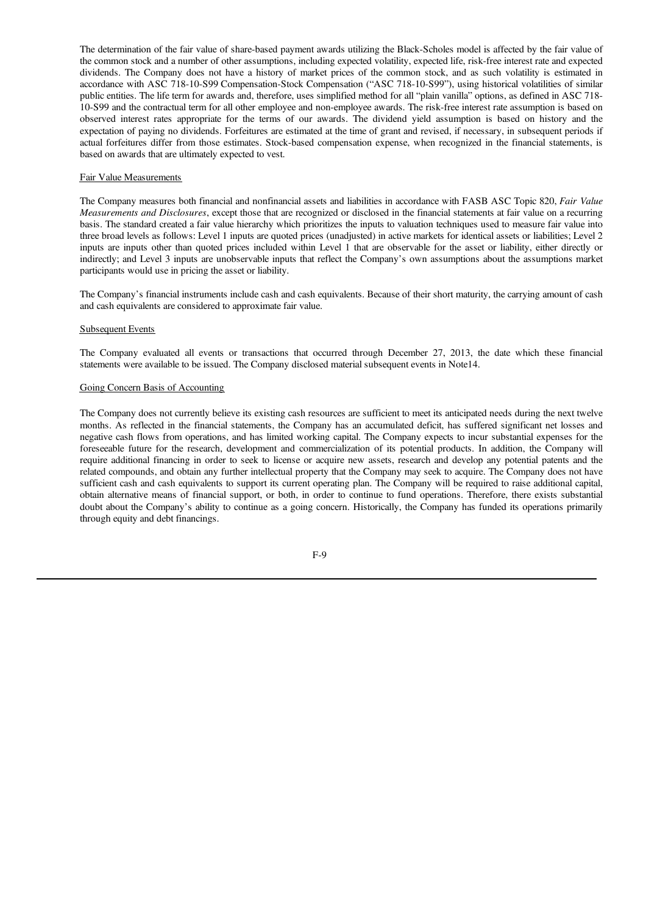The determination of the fair value of share-based payment awards utilizing the Black-Scholes model is affected by the fair value of the common stock and a number of other assumptions, including expected volatility, expected life, risk-free interest rate and expected dividends. The Company does not have a history of market prices of the common stock, and as such volatility is estimated in accordance with ASC 718-10-S99 Compensation-Stock Compensation ("ASC 718-10-S99"), using historical volatilities of similar public entities. The life term for awards and, therefore, uses simplified method for all "plain vanilla" options, as defined in ASC 718- 10-S99 and the contractual term for all other employee and non-employee awards. The risk-free interest rate assumption is based on observed interest rates appropriate for the terms of our awards. The dividend yield assumption is based on history and the expectation of paying no dividends. Forfeitures are estimated at the time of grant and revised, if necessary, in subsequent periods if actual forfeitures differ from those estimates. Stock-based compensation expense, when recognized in the financial statements, is based on awards that are ultimately expected to vest.

#### Fair Value Measurements

The Company measures both financial and nonfinancial assets and liabilities in accordance with FASB ASC Topic 820, *Fair Value Measurements and Disclosures*, except those that are recognized or disclosed in the financial statements at fair value on a recurring basis. The standard created a fair value hierarchy which prioritizes the inputs to valuation techniques used to measure fair value into three broad levels as follows: Level 1 inputs are quoted prices (unadjusted) in active markets for identical assets or liabilities; Level 2 inputs are inputs other than quoted prices included within Level 1 that are observable for the asset or liability, either directly or indirectly; and Level 3 inputs are unobservable inputs that reflect the Company's own assumptions about the assumptions market participants would use in pricing the asset or liability.

The Company's financial instruments include cash and cash equivalents. Because of their short maturity, the carrying amount of cash and cash equivalents are considered to approximate fair value.

## Subsequent Events

The Company evaluated all events or transactions that occurred through December 27, 2013, the date which these financial statements were available to be issued. The Company disclosed material subsequent events in Note14.

## Going Concern Basis of Accounting

The Company does not currently believe its existing cash resources are sufficient to meet its anticipated needs during the next twelve months. As reflected in the financial statements, the Company has an accumulated deficit, has suffered significant net losses and negative cash flows from operations, and has limited working capital. The Company expects to incur substantial expenses for the foreseeable future for the research, development and commercialization of its potential products. In addition, the Company will require additional financing in order to seek to license or acquire new assets, research and develop any potential patents and the related compounds, and obtain any further intellectual property that the Company may seek to acquire. The Company does not have sufficient cash and cash equivalents to support its current operating plan. The Company will be required to raise additional capital, obtain alternative means of financial support, or both, in order to continue to fund operations. Therefore, there exists substantial doubt about the Company's ability to continue as a going concern. Historically, the Company has funded its operations primarily through equity and debt financings.

$$
F-9
$$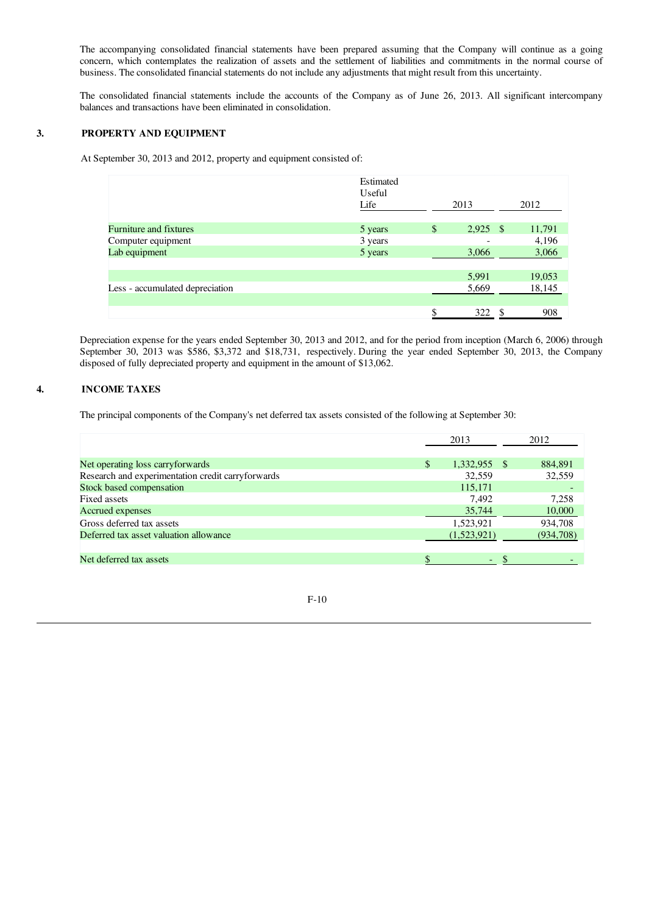The accompanying consolidated financial statements have been prepared assuming that the Company will continue as a going concern, which contemplates the realization of assets and the settlement of liabilities and commitments in the normal course of business. The consolidated financial statements do not include any adjustments that might result from this uncertainty.

The consolidated financial statements include the accounts of the Company as of June 26, 2013. All significant intercompany balances and transactions have been eliminated in consolidation.

## 3. PROPERTY AND EQUIPMENT

At September 30, 2013 and 2012, property and equipment consisted of:

|                                 | Estimated<br>Useful<br>Life |    | 2013       | 2012   |
|---------------------------------|-----------------------------|----|------------|--------|
| <b>Furniture and fixtures</b>   | 5 years                     | \$ | $2,925$ \$ | 11,791 |
| Computer equipment              | 3 years                     |    |            | 4,196  |
| Lab equipment                   | 5 years                     |    | 3,066      | 3,066  |
|                                 |                             |    | 5,991      | 19,053 |
| Less - accumulated depreciation |                             |    | 5,669      | 18,145 |
|                                 |                             | Φ  | 322        | 908    |

Depreciation expense for the years ended September 30, 2013 and 2012, and for the period from inception (March 6, 2006) through September 30, 2013 was \$586, \$3,372 and \$18,731, respectively. During the year ended September 30, 2013, the Company disposed of fully depreciated property and equipment in the amount of \$13,062.

# 4. INCOME TAXES

The principal components of the Company's net deferred tax assets consisted of the following at September 30:

|                                                   | 2013         | 2012      |
|---------------------------------------------------|--------------|-----------|
| Net operating loss carryforwards                  | 1,332,955 \$ | 884,891   |
| Research and experimentation credit carryforwards | 32,559       | 32,559    |
| Stock based compensation                          | 115,171      |           |
| Fixed assets                                      | 7.492        | 7,258     |
| Accrued expenses                                  | 35,744       | 10,000    |
| Gross deferred tax assets                         | 1,523,921    | 934,708   |
| Deferred tax asset valuation allowance            | (1,523,921)  | (934,708) |
| Net deferred tax assets                           |              |           |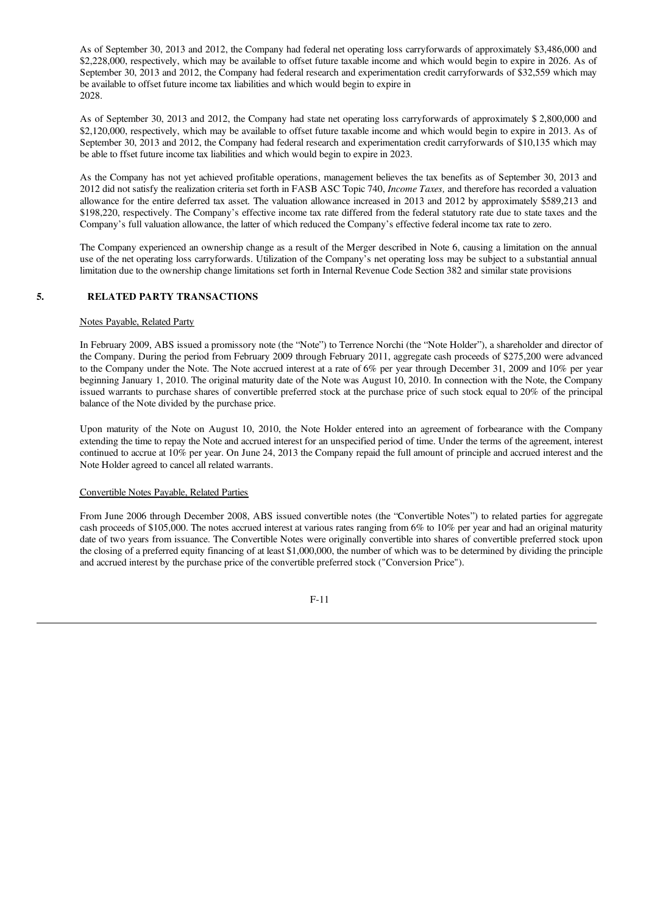As of September 30, 2013 and 2012, the Company had federal net operating loss carryforwards of approximately \$3,486,000 and \$2,228,000, respectively, which may be available to offset future taxable income and which would begin to expire in 2026. As of September 30, 2013 and 2012, the Company had federal research and experimentation credit carryforwards of \$32,559 which may be available to offset future income tax liabilities and which would begin to expire in 2028.

As of September 30, 2013 and 2012, the Company had state net operating loss carryforwards of approximately \$ 2,800,000 and \$2,120,000, respectively, which may be available to offset future taxable income and which would begin to expire in 2013. As of September 30, 2013 and 2012, the Company had federal research and experimentation credit carryforwards of \$10,135 which may be able to ffset future income tax liabilities and which would begin to expire in 2023.

As the Company has not yet achieved profitable operations, management believes the tax benefits as of September 30, 2013 and 2012 did not satisfy the realization criteria set forth in FASB ASC Topic 740, *Income Taxes,* and therefore has recorded a valuation allowance for the entire deferred tax asset. The valuation allowance increased in 2013 and 2012 by approximately \$589,213 and \$198,220, respectively. The Company's effective income tax rate differed from the federal statutory rate due to state taxes and the Company's full valuation allowance, the latter of which reduced the Company's effective federal income tax rate to zero.

The Company experienced an ownership change as a result of the Merger described in Note 6, causing a limitation on the annual use of the net operating loss carryforwards. Utilization of the Company's net operating loss may be subject to a substantial annual limitation due to the ownership change limitations set forth in Internal Revenue Code Section 382 and similar state provisions

## 5. RELATED PARTY TRANSACTIONS

## Notes Payable, Related Party

In February 2009, ABS issued a promissory note (the "Note") to Terrence Norchi (the "Note Holder"), a shareholder and director of the Company. During the period from February 2009 through February 2011, aggregate cash proceeds of \$275,200 were advanced to the Company under the Note. The Note accrued interest at a rate of 6% per year through December 31, 2009 and 10% per year beginning January 1, 2010. The original maturity date of the Note was August 10, 2010. In connection with the Note, the Company issued warrants to purchase shares of convertible preferred stock at the purchase price of such stock equal to 20% of the principal balance of the Note divided by the purchase price.

Upon maturity of the Note on August 10, 2010, the Note Holder entered into an agreement of forbearance with the Company extending the time to repay the Note and accrued interest for an unspecified period of time. Under the terms of the agreement, interest continued to accrue at 10% per year. On June 24, 2013 the Company repaid the full amount of principle and accrued interest and the Note Holder agreed to cancel all related warrants.

## Convertible Notes Payable, Related Parties

From June 2006 through December 2008, ABS issued convertible notes (the "Convertible Notes") to related parties for aggregate cash proceeds of \$105,000. The notes accrued interest at various rates ranging from 6% to 10% per year and had an original maturity date of two years from issuance. The Convertible Notes were originally convertible into shares of convertible preferred stock upon the closing of a preferred equity financing of at least \$1,000,000, the number of which was to be determined by dividing the principle and accrued interest by the purchase price of the convertible preferred stock ("Conversion Price").

## F-11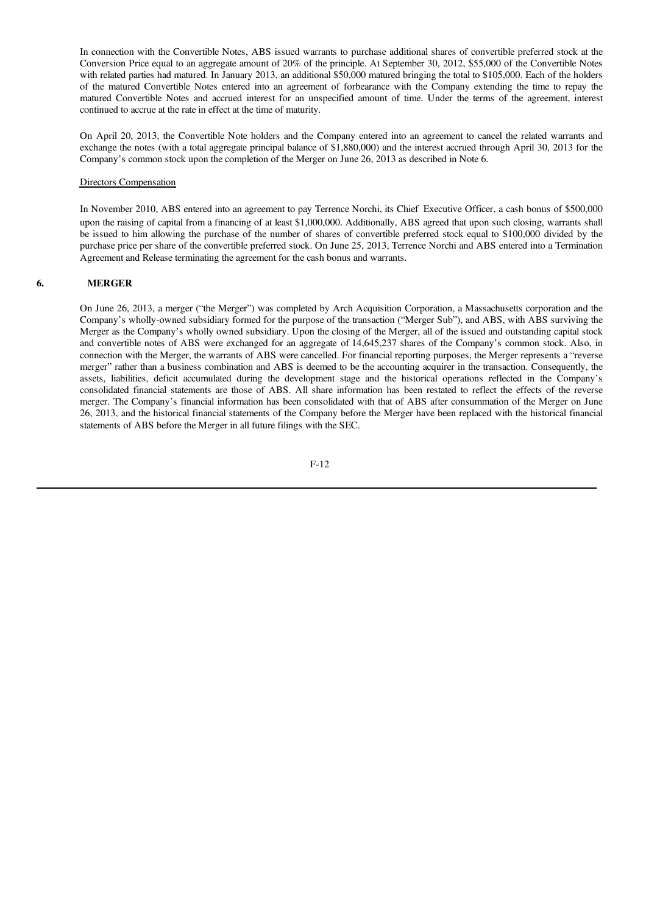In connection with the Convertible Notes, ABS issued warrants to purchase additional shares of convertible preferred stock at the Conversion Price equal to an aggregate amount of 20% of the principle. At September 30, 2012, \$55,000 of the Convertible Notes with related parties had matured. In January 2013, an additional \$50,000 matured bringing the total to \$105,000. Each of the holders of the matured Convertible Notes entered into an agreement of forbearance with the Company extending the time to repay the matured Convertible Notes and accrued interest for an unspecified amount of time. Under the terms of the agreement, interest continued to accrue at the rate in effect at the time of maturity.

On April 20, 2013, the Convertible Note holders and the Company entered into an agreement to cancel the related warrants and exchange the notes (with a total aggregate principal balance of \$1,880,000) and the interest accrued through April 30, 2013 for the Company's common stock upon the completion of the Merger on June 26, 2013 as described in Note 6.

#### Directors Compensation

In November 2010, ABS entered into an agreement to pay Terrence Norchi, its Chief Executive Officer, a cash bonus of \$500,000 upon the raising of capital from a financing of at least \$1,000,000. Additionally, ABS agreed that upon such closing, warrants shall be issued to him allowing the purchase of the number of shares of convertible preferred stock equal to \$100,000 divided by the purchase price per share of the convertible preferred stock. On June 25, 2013, Terrence Norchi and ABS entered into a Termination Agreement and Release terminating the agreement for the cash bonus and warrants.

## 6. MERGER

On June 26, 2013, a merger ("the Merger") was completed by Arch Acquisition Corporation, a Massachusetts corporation and the Company's wholly-owned subsidiary formed for the purpose of the transaction ("Merger Sub"), and ABS, with ABS surviving the Merger as the Company's wholly owned subsidiary. Upon the closing of the Merger, all of the issued and outstanding capital stock and convertible notes of ABS were exchanged for an aggregate of 14,645,237 shares of the Company's common stock. Also, in connection with the Merger, the warrants of ABS were cancelled. For financial reporting purposes, the Merger represents a "reverse merger" rather than a business combination and ABS is deemed to be the accounting acquirer in the transaction. Consequently, the assets, liabilities, deficit accumulated during the development stage and the historical operations reflected in the Company's consolidated financial statements are those of ABS. All share information has been restated to reflect the effects of the reverse merger. The Company's financial information has been consolidated with that of ABS after consummation of the Merger on June 26, 2013, and the historical financial statements of the Company before the Merger have been replaced with the historical financial statements of ABS before the Merger in all future filings with the SEC.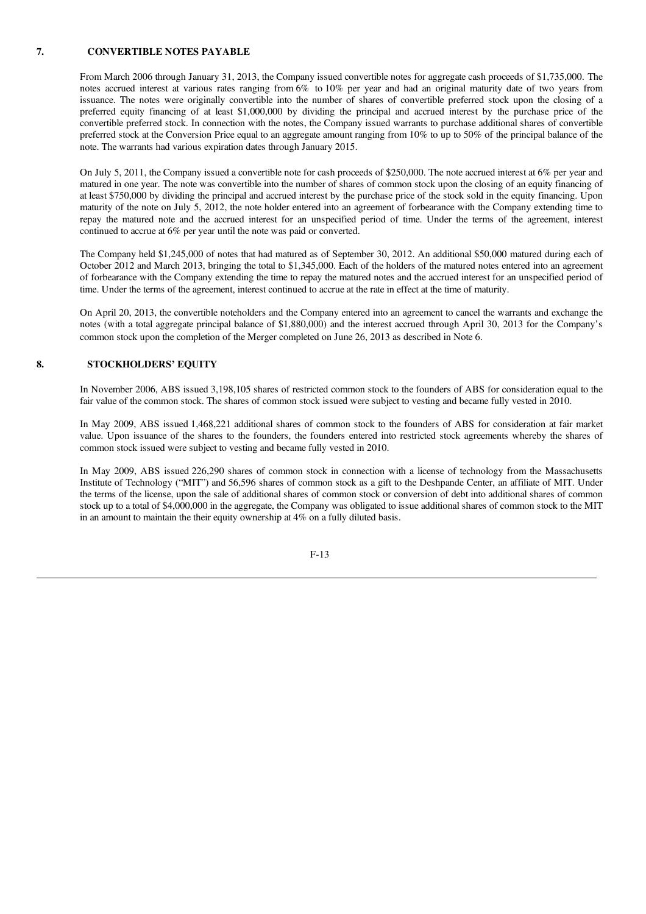## 7. CONVERTIBLE NOTES PAYABLE

From March 2006 through January 31, 2013, the Company issued convertible notes for aggregate cash proceeds of \$1,735,000. The notes accrued interest at various rates ranging from 6% to 10% per year and had an original maturity date of two years from issuance. The notes were originally convertible into the number of shares of convertible preferred stock upon the closing of a preferred equity financing of at least \$1,000,000 by dividing the principal and accrued interest by the purchase price of the convertible preferred stock. In connection with the notes, the Company issued warrants to purchase additional shares of convertible preferred stock at the Conversion Price equal to an aggregate amount ranging from 10% to up to 50% of the principal balance of the note. The warrants had various expiration dates through January 2015.

On July 5, 2011, the Company issued a convertible note for cash proceeds of \$250,000. The note accrued interest at 6% per year and matured in one year. The note was convertible into the number of shares of common stock upon the closing of an equity financing of at least \$750,000 by dividing the principal and accrued interest by the purchase price of the stock sold in the equity financing. Upon maturity of the note on July 5, 2012, the note holder entered into an agreement of forbearance with the Company extending time to repay the matured note and the accrued interest for an unspecified period of time. Under the terms of the agreement, interest continued to accrue at 6% per year until the note was paid or converted.

The Company held \$1,245,000 of notes that had matured as of September 30, 2012. An additional \$50,000 matured during each of October 2012 and March 2013, bringing the total to \$1,345,000. Each of the holders of the matured notes entered into an agreement of forbearance with the Company extending the time to repay the matured notes and the accrued interest for an unspecified period of time. Under the terms of the agreement, interest continued to accrue at the rate in effect at the time of maturity.

On April 20, 2013, the convertible noteholders and the Company entered into an agreement to cancel the warrants and exchange the notes (with a total aggregate principal balance of \$1,880,000) and the interest accrued through April 30, 2013 for the Company's common stock upon the completion of the Merger completed on June 26, 2013 as described in Note 6.

## 8. STOCKHOLDERS' EQUITY

In November 2006, ABS issued 3,198,105 shares of restricted common stock to the founders of ABS for consideration equal to the fair value of the common stock. The shares of common stock issued were subject to vesting and became fully vested in 2010.

In May 2009, ABS issued 1,468,221 additional shares of common stock to the founders of ABS for consideration at fair market value. Upon issuance of the shares to the founders, the founders entered into restricted stock agreements whereby the shares of common stock issued were subject to vesting and became fully vested in 2010.

In May 2009, ABS issued 226,290 shares of common stock in connection with a license of technology from the Massachusetts Institute of Technology ("MIT") and 56,596 shares of common stock as a gift to the Deshpande Center, an affiliate of MIT. Under the terms of the license, upon the sale of additional shares of common stock or conversion of debt into additional shares of common stock up to a total of \$4,000,000 in the aggregate, the Company was obligated to issue additional shares of common stock to the MIT in an amount to maintain the their equity ownership at 4% on a fully diluted basis.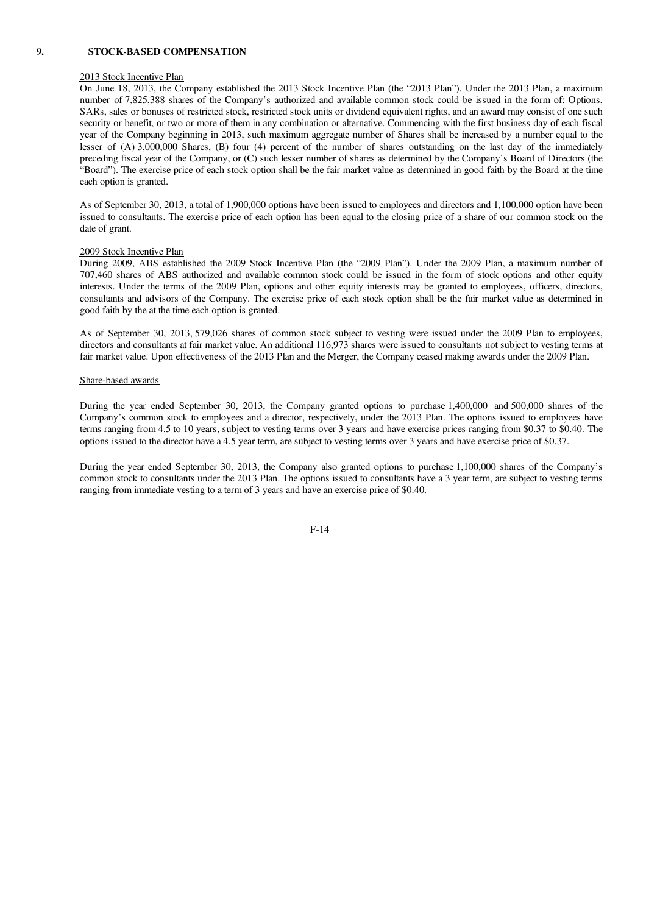## 9. STOCK-BASED COMPENSATION

## 2013 Stock Incentive Plan

On June 18, 2013, the Company established the 2013 Stock Incentive Plan (the "2013 Plan"). Under the 2013 Plan, a maximum number of 7,825,388 shares of the Company's authorized and available common stock could be issued in the form of: Options, SARs, sales or bonuses of restricted stock, restricted stock units or dividend equivalent rights, and an award may consist of one such security or benefit, or two or more of them in any combination or alternative. Commencing with the first business day of each fiscal year of the Company beginning in 2013, such maximum aggregate number of Shares shall be increased by a number equal to the lesser of (A) 3,000,000 Shares, (B) four (4) percent of the number of shares outstanding on the last day of the immediately preceding fiscal year of the Company, or (C) such lesser number of shares as determined by the Company's Board of Directors (the "Board"). The exercise price of each stock option shall be the fair market value as determined in good faith by the Board at the time each option is granted.

As of September 30, 2013, a total of 1,900,000 options have been issued to employees and directors and 1,100,000 option have been issued to consultants. The exercise price of each option has been equal to the closing price of a share of our common stock on the date of grant.

## 2009 Stock Incentive Plan

During 2009, ABS established the 2009 Stock Incentive Plan (the "2009 Plan"). Under the 2009 Plan, a maximum number of 707,460 shares of ABS authorized and available common stock could be issued in the form of stock options and other equity interests. Under the terms of the 2009 Plan, options and other equity interests may be granted to employees, officers, directors, consultants and advisors of the Company. The exercise price of each stock option shall be the fair market value as determined in good faith by the at the time each option is granted.

As of September 30, 2013, 579,026 shares of common stock subject to vesting were issued under the 2009 Plan to employees, directors and consultants at fair market value. An additional 116,973 shares were issued to consultants not subject to vesting terms at fair market value. Upon effectiveness of the 2013 Plan and the Merger, the Company ceased making awards under the 2009 Plan.

## Share-based awards

During the year ended September 30, 2013, the Company granted options to purchase 1,400,000 and 500,000 shares of the Company's common stock to employees and a director, respectively, under the 2013 Plan. The options issued to employees have terms ranging from 4.5 to 10 years, subject to vesting terms over 3 years and have exercise prices ranging from \$0.37 to \$0.40. The options issued to the director have a 4.5 year term, are subject to vesting terms over 3 years and have exercise price of \$0.37.

During the year ended September 30, 2013, the Company also granted options to purchase 1,100,000 shares of the Company's common stock to consultants under the 2013 Plan. The options issued to consultants have a 3 year term, are subject to vesting terms ranging from immediate vesting to a term of 3 years and have an exercise price of \$0.40.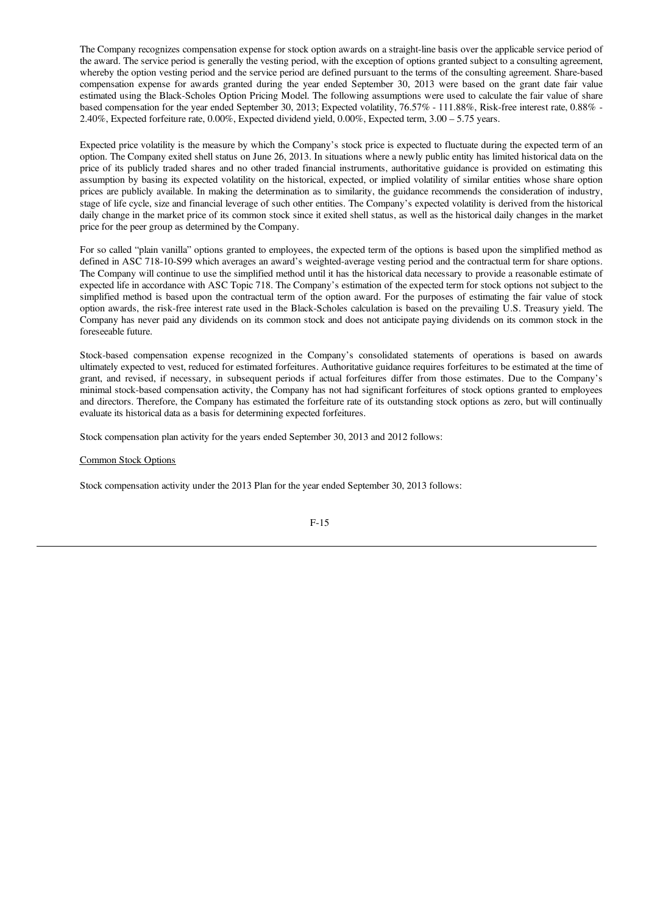The Company recognizes compensation expense for stock option awards on a straight-line basis over the applicable service period of the award. The service period is generally the vesting period, with the exception of options granted subject to a consulting agreement, whereby the option vesting period and the service period are defined pursuant to the terms of the consulting agreement. Share-based compensation expense for awards granted during the year ended September 30, 2013 were based on the grant date fair value estimated using the Black-Scholes Option Pricing Model. The following assumptions were used to calculate the fair value of share based compensation for the year ended September 30, 2013; Expected volatility, 76.57% - 111.88%, Risk-free interest rate, 0.88% - 2.40%, Expected forfeiture rate, 0.00%, Expected dividend yield, 0.00%, Expected term, 3.00 – 5.75 years.

Expected price volatility is the measure by which the Company's stock price is expected to fluctuate during the expected term of an option. The Company exited shell status on June 26, 2013. In situations where a newly public entity has limited historical data on the price of its publicly traded shares and no other traded financial instruments, authoritative guidance is provided on estimating this assumption by basing its expected volatility on the historical, expected, or implied volatility of similar entities whose share option prices are publicly available. In making the determination as to similarity, the guidance recommends the consideration of industry, stage of life cycle, size and financial leverage of such other entities. The Company's expected volatility is derived from the historical daily change in the market price of its common stock since it exited shell status, as well as the historical daily changes in the market price for the peer group as determined by the Company.

For so called "plain vanilla" options granted to employees, the expected term of the options is based upon the simplified method as defined in ASC 718-10-S99 which averages an award's weighted-average vesting period and the contractual term for share options. The Company will continue to use the simplified method until it has the historical data necessary to provide a reasonable estimate of expected life in accordance with ASC Topic 718. The Company's estimation of the expected term for stock options not subject to the simplified method is based upon the contractual term of the option award. For the purposes of estimating the fair value of stock option awards, the risk-free interest rate used in the Black-Scholes calculation is based on the prevailing U.S. Treasury yield. The Company has never paid any dividends on its common stock and does not anticipate paying dividends on its common stock in the foreseeable future.

Stock-based compensation expense recognized in the Company's consolidated statements of operations is based on awards ultimately expected to vest, reduced for estimated forfeitures. Authoritative guidance requires forfeitures to be estimated at the time of grant, and revised, if necessary, in subsequent periods if actual forfeitures differ from those estimates. Due to the Company's minimal stock-based compensation activity, the Company has not had significant forfeitures of stock options granted to employees and directors. Therefore, the Company has estimated the forfeiture rate of its outstanding stock options as zero, but will continually evaluate its historical data as a basis for determining expected forfeitures.

Stock compensation plan activity for the years ended September 30, 2013 and 2012 follows:

## Common Stock Options

Stock compensation activity under the 2013 Plan for the year ended September 30, 2013 follows: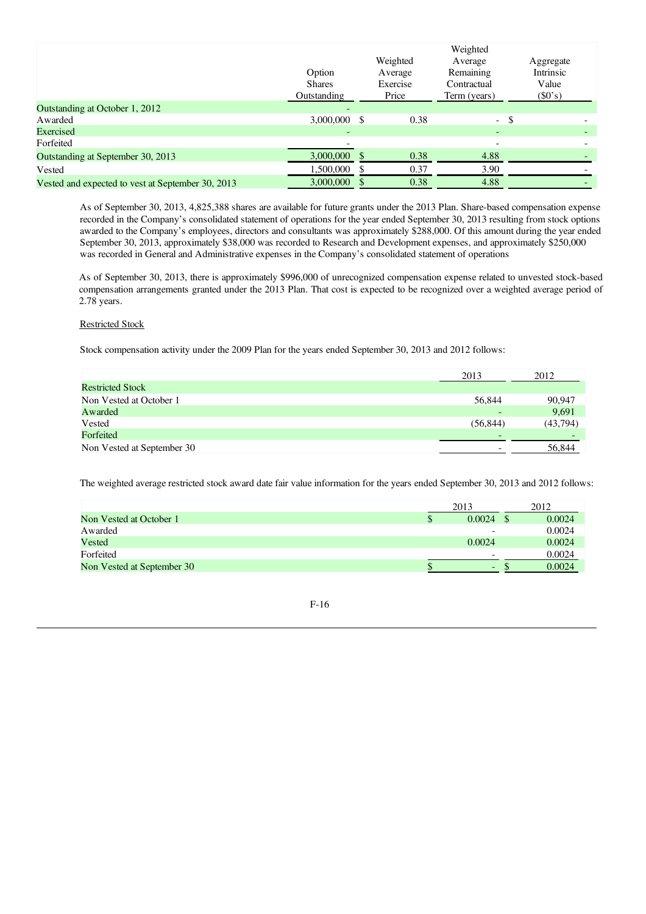|                                                   |                          |            | Weighted                 |           |
|---------------------------------------------------|--------------------------|------------|--------------------------|-----------|
|                                                   |                          | Weighted   | Average                  | Aggregate |
|                                                   | Option                   | Average    | Remaining                | Intrinsic |
|                                                   | <b>Shares</b>            | Exercise   | Contractual              | Value     |
|                                                   | Outstanding              | Price      | Term (years)             | (\$0's)   |
| Outstanding at October 1, 2012                    |                          |            |                          |           |
| Awarded                                           | 3,000,000<br>- \$        | 0.38       | - \$                     |           |
| Exercised                                         | $\overline{\phantom{0}}$ |            | $\overline{\phantom{a}}$ |           |
| Forfeited                                         |                          |            |                          |           |
| Outstanding at September 30, 2013                 | 3,000,000                | 0.38<br>-S | 4.88                     |           |
| Vested                                            | 1,500,000                | 0.37       | 3.90                     |           |
| Vested and expected to vest at September 30, 2013 | 3,000,000                | 0.38       | 4.88                     |           |

As of September 30, 2013, 4,825,388 shares are available for future grants under the 2013 Plan. Share-based compensation expense recorded in the Company's consolidated statement of operations for the year ended September 30, 2013 resulting from stock options awarded to the Company's employees, directors and consultants was approximately \$288,000. Of this amount during the year ended September 30, 2013, approximately \$38,000 was recorded to Research and Development expenses, and approximately \$250,000 was recorded in General and Administrative expenses in the Company's consolidated statement of operations

As of September 30, 2013, there is approximately \$996,000 of unrecognized compensation expense related to unvested stock-based compensation arrangements granted under the 2013 Plan. That cost is expected to be recognized over a weighted average period of 2.78 years.

## Restricted Stock

Stock compensation activity under the 2009 Plan for the years ended September 30, 2013 and 2012 follows:

|                            | 2013                     | 2012     |
|----------------------------|--------------------------|----------|
| <b>Restricted Stock</b>    |                          |          |
| Non Vested at October 1    | 56,844                   | 90,947   |
| Awarded                    | $\overline{\phantom{0}}$ | 9,691    |
| Vested                     | (56, 844)                | (43,794) |
| Forfeited                  | $\overline{\phantom{0}}$ |          |
| Non Vested at September 30 | $\overline{\phantom{0}}$ | 56,844   |

The weighted average restricted stock award date fair value information for the years ended September 30, 2013 and 2012 follows:

|                            |   | 2013                     | 2012 |        |  |
|----------------------------|---|--------------------------|------|--------|--|
| Non Vested at October 1    | Ф | 0.0024                   |      | 0.0024 |  |
| Awarded                    |   |                          |      | 0.0024 |  |
| Vested                     |   | 0.0024                   |      | 0.0024 |  |
| Forfeited                  |   |                          |      | 0.0024 |  |
| Non Vested at September 30 |   | $\overline{\phantom{a}}$ |      | 0.0024 |  |

# F-16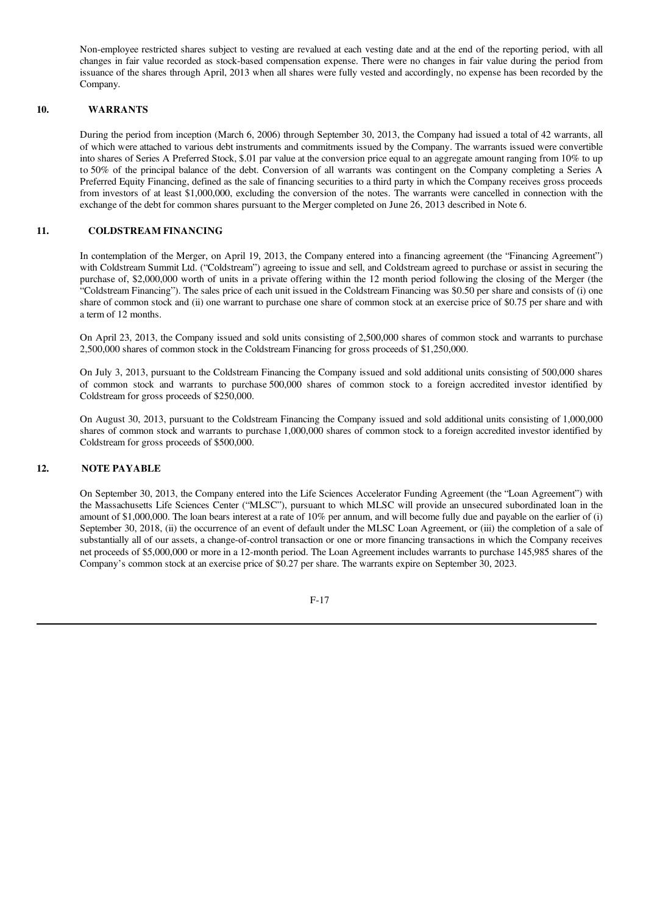Non-employee restricted shares subject to vesting are revalued at each vesting date and at the end of the reporting period, with all changes in fair value recorded as stock-based compensation expense. There were no changes in fair value during the period from issuance of the shares through April, 2013 when all shares were fully vested and accordingly, no expense has been recorded by the Company*.*

## 10. WARRANTS

During the period from inception (March 6, 2006) through September 30, 2013, the Company had issued a total of 42 warrants, all of which were attached to various debt instruments and commitments issued by the Company. The warrants issued were convertible into shares of Series A Preferred Stock, \$.01 par value at the conversion price equal to an aggregate amount ranging from 10% to up to 50% of the principal balance of the debt. Conversion of all warrants was contingent on the Company completing a Series A Preferred Equity Financing, defined as the sale of financing securities to a third party in which the Company receives gross proceeds from investors of at least \$1,000,000, excluding the conversion of the notes. The warrants were cancelled in connection with the exchange of the debt for common shares pursuant to the Merger completed on June 26, 2013 described in Note 6.

# 11. COLDSTREAM FINANCING

In contemplation of the Merger, on April 19, 2013, the Company entered into a financing agreement (the "Financing Agreement") with Coldstream Summit Ltd. ("Coldstream") agreeing to issue and sell, and Coldstream agreed to purchase or assist in securing the purchase of, \$2,000,000 worth of units in a private offering within the 12 month period following the closing of the Merger (the "Coldstream Financing"). The sales price of each unit issued in the Coldstream Financing was \$0.50 per share and consists of (i) one share of common stock and (ii) one warrant to purchase one share of common stock at an exercise price of \$0.75 per share and with a term of 12 months.

On April 23, 2013, the Company issued and sold units consisting of 2,500,000 shares of common stock and warrants to purchase 2,500,000 shares of common stock in the Coldstream Financing for gross proceeds of \$1,250,000.

On July 3, 2013, pursuant to the Coldstream Financing the Company issued and sold additional units consisting of 500,000 shares of common stock and warrants to purchase 500,000 shares of common stock to a foreign accredited investor identified by Coldstream for gross proceeds of \$250,000.

On August 30, 2013, pursuant to the Coldstream Financing the Company issued and sold additional units consisting of 1,000,000 shares of common stock and warrants to purchase 1,000,000 shares of common stock to a foreign accredited investor identified by Coldstream for gross proceeds of \$500,000.

# 12. NOTE PAYABLE

On September 30, 2013, the Company entered into the Life Sciences Accelerator Funding Agreement (the "Loan Agreement") with the Massachusetts Life Sciences Center ("MLSC"), pursuant to which MLSC will provide an unsecured subordinated loan in the amount of \$1,000,000. The loan bears interest at a rate of 10% per annum, and will become fully due and payable on the earlier of (i) September 30, 2018, (ii) the occurrence of an event of default under the MLSC Loan Agreement, or (iii) the completion of a sale of substantially all of our assets, a change-of-control transaction or one or more financing transactions in which the Company receives net proceeds of \$5,000,000 or more in a 12-month period. The Loan Agreement includes warrants to purchase 145,985 shares of the Company's common stock at an exercise price of \$0.27 per share. The warrants expire on September 30, 2023.

## F-17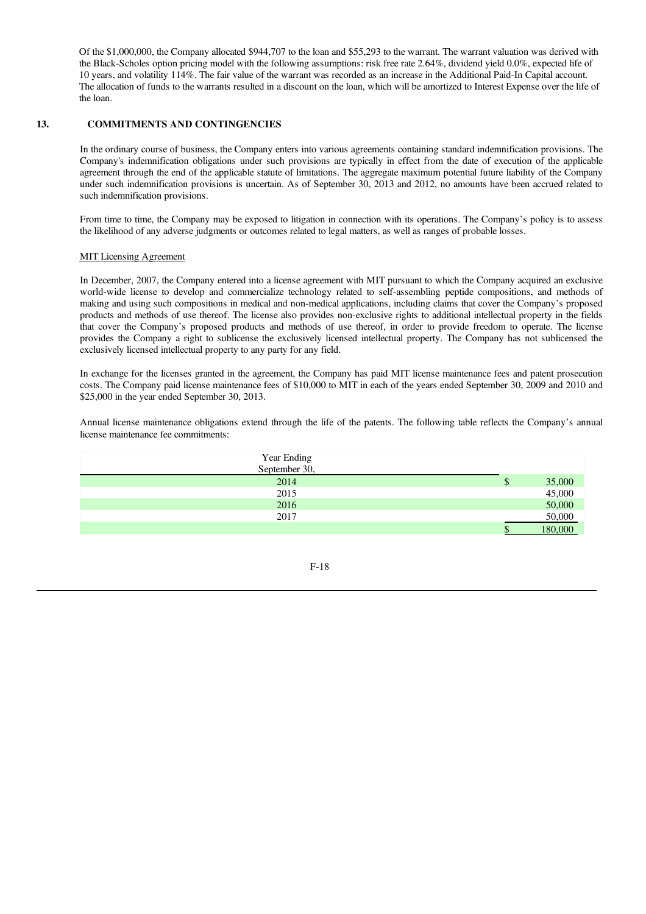Of the \$1,000,000, the Company allocated \$944,707 to the loan and \$55,293 to the warrant. The warrant valuation was derived with the Black-Scholes option pricing model with the following assumptions: risk free rate 2.64%, dividend yield 0.0%, expected life of 10 years, and volatility 114%. The fair value of the warrant was recorded as an increase in the Additional Paid-In Capital account. The allocation of funds to the warrants resulted in a discount on the loan, which will be amortized to Interest Expense over the life of the loan.

## 13. COMMITMENTS AND CONTINGENCIES

In the ordinary course of business, the Company enters into various agreements containing standard indemnification provisions. The Company's indemnification obligations under such provisions are typically in effect from the date of execution of the applicable agreement through the end of the applicable statute of limitations. The aggregate maximum potential future liability of the Company under such indemnification provisions is uncertain. As of September 30, 2013 and 2012, no amounts have been accrued related to such indemnification provisions.

From time to time, the Company may be exposed to litigation in connection with its operations. The Company's policy is to assess the likelihood of any adverse judgments or outcomes related to legal matters, as well as ranges of probable losses.

#### MIT Licensing Agreement

In December, 2007, the Company entered into a license agreement with MIT pursuant to which the Company acquired an exclusive world-wide license to develop and commercialize technology related to self-assembling peptide compositions, and methods of making and using such compositions in medical and non-medical applications, including claims that cover the Company's proposed products and methods of use thereof. The license also provides non-exclusive rights to additional intellectual property in the fields that cover the Company's proposed products and methods of use thereof, in order to provide freedom to operate. The license provides the Company a right to sublicense the exclusively licensed intellectual property. The Company has not sublicensed the exclusively licensed intellectual property to any party for any field.

In exchange for the licenses granted in the agreement, the Company has paid MIT license maintenance fees and patent prosecution costs. The Company paid license maintenance fees of \$10,000 to MIT in each of the years ended September 30, 2009 and 2010 and \$25,000 in the year ended September 30, 2013.

Annual license maintenance obligations extend through the life of the patents. The following table reflects the Company's annual license maintenance fee commitments:

| Year Ending   |   |                            |
|---------------|---|----------------------------|
| September 30, |   |                            |
| 2014          | Φ |                            |
| 2015          |   | 35,000<br>45,000<br>50,000 |
| 2016          |   |                            |
| 2017          |   | 50,000                     |
|               |   | 180,000                    |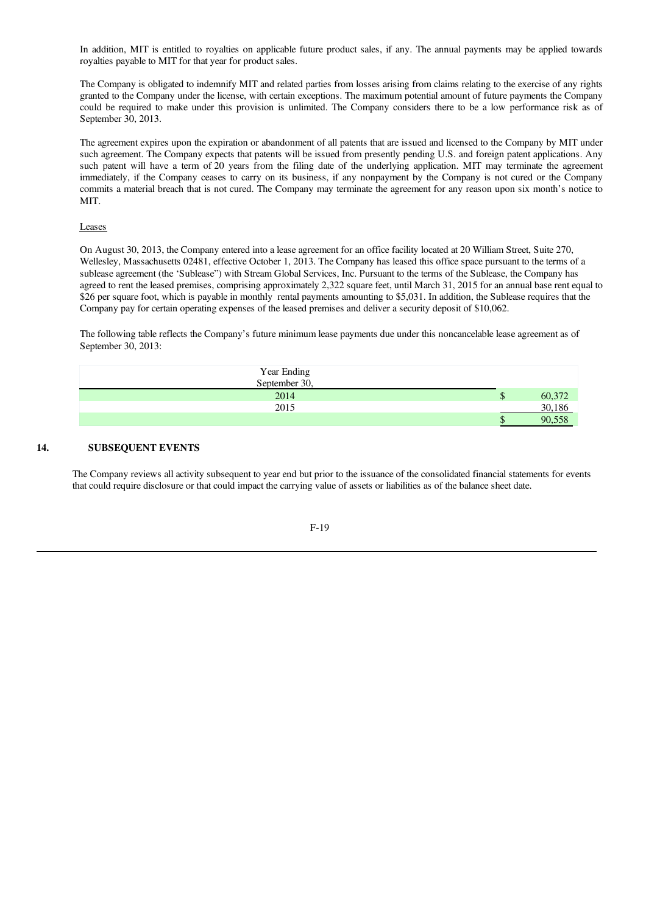In addition, MIT is entitled to royalties on applicable future product sales, if any. The annual payments may be applied towards royalties payable to MIT for that year for product sales.

The Company is obligated to indemnify MIT and related parties from losses arising from claims relating to the exercise of any rights granted to the Company under the license, with certain exceptions. The maximum potential amount of future payments the Company could be required to make under this provision is unlimited. The Company considers there to be a low performance risk as of September 30, 2013.

The agreement expires upon the expiration or abandonment of all patents that are issued and licensed to the Company by MIT under such agreement. The Company expects that patents will be issued from presently pending U.S. and foreign patent applications. Any such patent will have a term of 20 years from the filing date of the underlying application. MIT may terminate the agreement immediately, if the Company ceases to carry on its business, if any nonpayment by the Company is not cured or the Company commits a material breach that is not cured. The Company may terminate the agreement for any reason upon six month's notice to MIT.

#### **Leases**

On August 30, 2013, the Company entered into a lease agreement for an office facility located at 20 William Street, Suite 270, Wellesley, Massachusetts 02481, effective October 1, 2013. The Company has leased this office space pursuant to the terms of a sublease agreement (the 'Sublease") with Stream Global Services, Inc. Pursuant to the terms of the Sublease, the Company has agreed to rent the leased premises, comprising approximately 2,322 square feet, until March 31, 2015 for an annual base rent equal to \$26 per square foot, which is payable in monthly rental payments amounting to \$5,031. In addition, the Sublease requires that the Company pay for certain operating expenses of the leased premises and deliver a security deposit of \$10,062.

The following table reflects the Company's future minimum lease payments due under this noncancelable lease agreement as of September 30, 2013:

| Year Ending   |   |        |
|---------------|---|--------|
| September 30, |   |        |
| 2014          | Φ | 60,372 |
| 2015          |   | 30,186 |
|               |   |        |

# 14. SUBSEQUENT EVENTS

The Company reviews all activity subsequent to year end but prior to the issuance of the consolidated financial statements for events that could require disclosure or that could impact the carrying value of assets or liabilities as of the balance sheet date.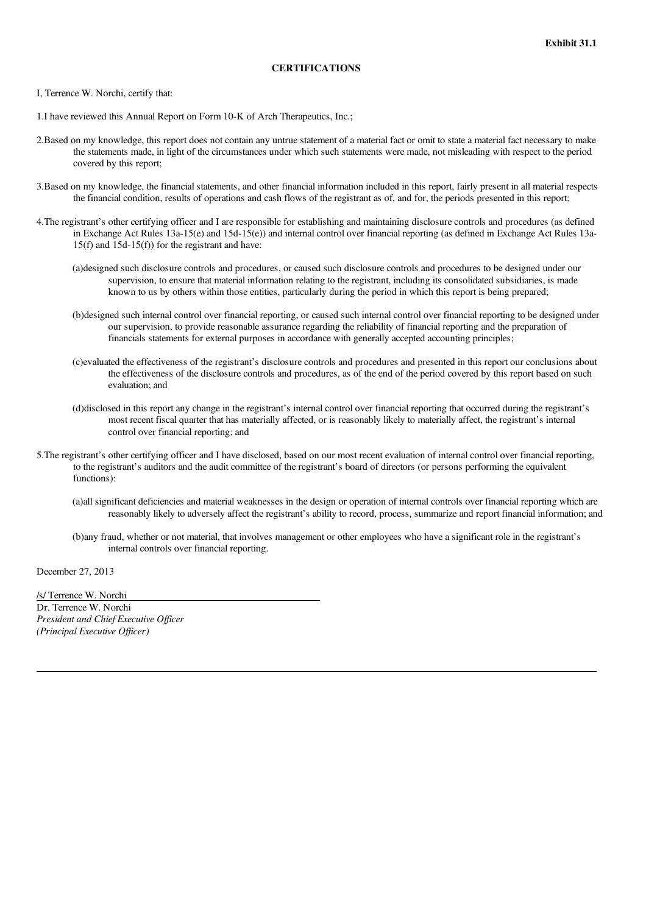# **CERTIFICATIONS**

I, Terrence W. Norchi, certify that:

- 1.I have reviewed this Annual Report on Form 10-K of Arch Therapeutics, Inc.;
- 2.Based on my knowledge, this report does not contain any untrue statement of a material fact or omit to state a material fact necessary to make the statements made, in light of the circumstances under which such statements were made, not misleading with respect to the period covered by this report;
- 3.Based on my knowledge, the financial statements, and other financial information included in this report, fairly present in all material respects the financial condition, results of operations and cash flows of the registrant as of, and for, the periods presented in this report;
- 4.The registrant's other certifying officer and I are responsible for establishing and maintaining disclosure controls and procedures (as defined in Exchange Act Rules 13a-15(e) and 15d-15(e)) and internal control over financial reporting (as defined in Exchange Act Rules 13a-15(f) and 15d-15(f)) for the registrant and have:
	- (a)designed such disclosure controls and procedures, or caused such disclosure controls and procedures to be designed under our supervision, to ensure that material information relating to the registrant, including its consolidated subsidiaries, is made known to us by others within those entities, particularly during the period in which this report is being prepared;
	- (b)designed such internal control over financial reporting, or caused such internal control over financial reporting to be designed under our supervision, to provide reasonable assurance regarding the reliability of financial reporting and the preparation of financials statements for external purposes in accordance with generally accepted accounting principles;
	- (c)evaluated the effectiveness of the registrant's disclosure controls and procedures and presented in this report our conclusions about the effectiveness of the disclosure controls and procedures, as of the end of the period covered by this report based on such evaluation; and
	- (d)disclosed in this report any change in the registrant's internal control over financial reporting that occurred during the registrant's most recent fiscal quarter that has materially affected, or is reasonably likely to materially affect, the registrant's internal control over financial reporting; and
- 5.The registrant's other certifying officer and I have disclosed, based on our most recent evaluation of internal control over financial reporting, to the registrant's auditors and the audit committee of the registrant's board of directors (or persons performing the equivalent functions):
	- (a)all significant deficiencies and material weaknesses in the design or operation of internal controls over financial reporting which are reasonably likely to adversely affect the registrant's ability to record, process, summarize and report financial information; and
	- (b)any fraud, whether or not material, that involves management or other employees who have a significant role in the registrant's internal controls over financial reporting.

December 27, 2013

/s/ Terrence W. Norchi Dr. Terrence W. Norchi

*President and Chief Executive Of icer (Principal Executive Of icer)*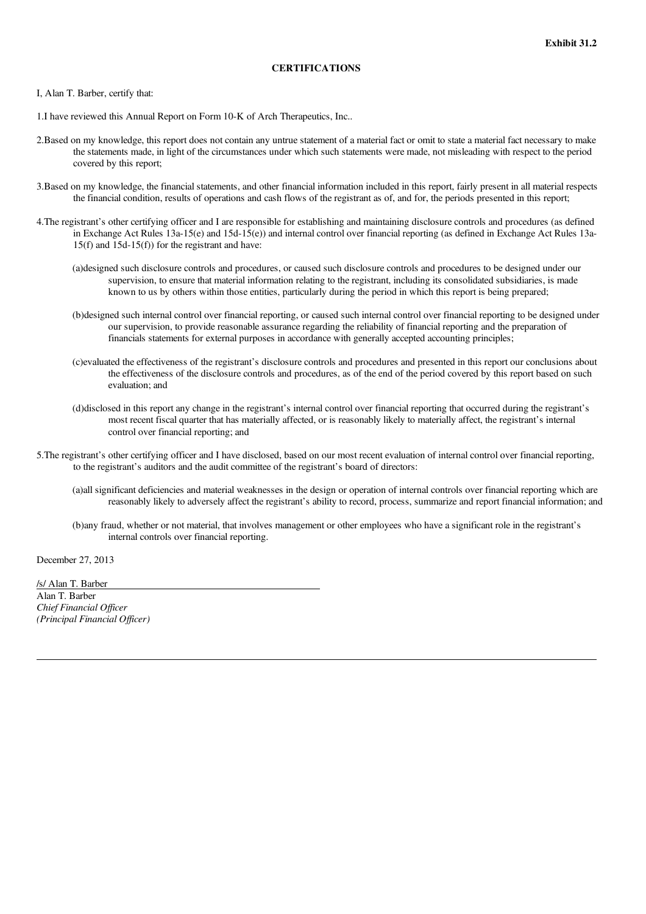## **CERTIFICATIONS**

I, Alan T. Barber, certify that:

- 1.I have reviewed this Annual Report on Form 10-K of Arch Therapeutics, Inc..
- 2.Based on my knowledge, this report does not contain any untrue statement of a material fact or omit to state a material fact necessary to make the statements made, in light of the circumstances under which such statements were made, not misleading with respect to the period covered by this report;
- 3.Based on my knowledge, the financial statements, and other financial information included in this report, fairly present in all material respects the financial condition, results of operations and cash flows of the registrant as of, and for, the periods presented in this report;
- 4.The registrant's other certifying officer and I are responsible for establishing and maintaining disclosure controls and procedures (as defined in Exchange Act Rules 13a-15(e) and 15d-15(e)) and internal control over financial reporting (as defined in Exchange Act Rules 13a-15(f) and 15d-15(f)) for the registrant and have:
	- (a)designed such disclosure controls and procedures, or caused such disclosure controls and procedures to be designed under our supervision, to ensure that material information relating to the registrant, including its consolidated subsidiaries, is made known to us by others within those entities, particularly during the period in which this report is being prepared;
	- (b)designed such internal control over financial reporting, or caused such internal control over financial reporting to be designed under our supervision, to provide reasonable assurance regarding the reliability of financial reporting and the preparation of financials statements for external purposes in accordance with generally accepted accounting principles;
	- (c)evaluated the effectiveness of the registrant's disclosure controls and procedures and presented in this report our conclusions about the effectiveness of the disclosure controls and procedures, as of the end of the period covered by this report based on such evaluation; and
	- (d)disclosed in this report any change in the registrant's internal control over financial reporting that occurred during the registrant's most recent fiscal quarter that has materially affected, or is reasonably likely to materially affect, the registrant's internal control over financial reporting; and
- 5.The registrant's other certifying officer and I have disclosed, based on our most recent evaluation of internal control over financial reporting, to the registrant's auditors and the audit committee of the registrant's board of directors:
	- (a)all significant deficiencies and material weaknesses in the design or operation of internal controls over financial reporting which are reasonably likely to adversely affect the registrant's ability to record, process, summarize and report financial information; and
	- (b)any fraud, whether or not material, that involves management or other employees who have a significant role in the registrant's internal controls over financial reporting.

December 27, 2013

/s/ Alan T. Barber Alan T. Barber *Chief Financial Of icer (Principal Financial Of icer)*